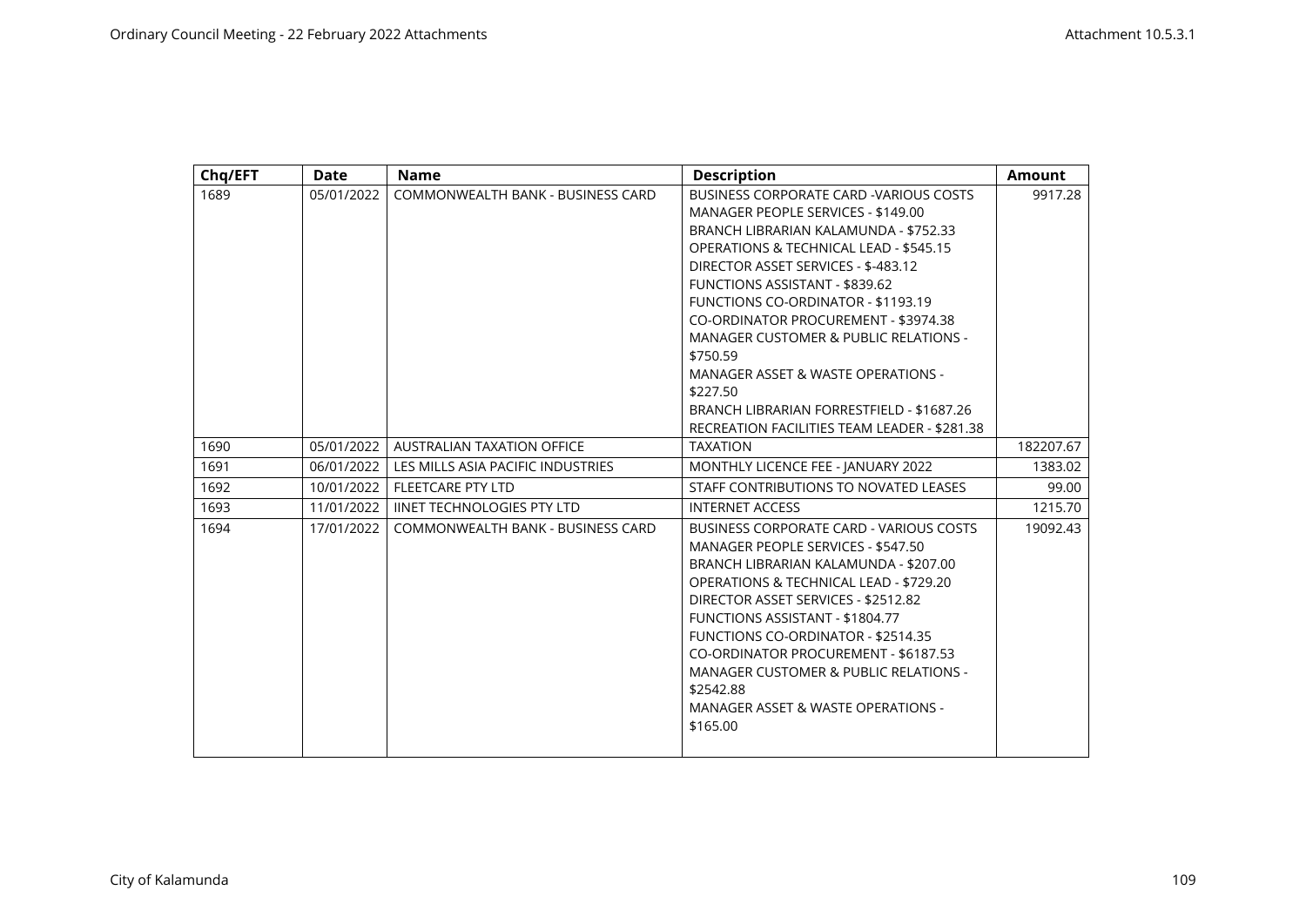| Chq/EFT | <b>Date</b> | <b>Name</b>                       | <b>Description</b>                                                                                                                                                                                                                                                                                                                                                                                                                                                                                                                           | <b>Amount</b> |
|---------|-------------|-----------------------------------|----------------------------------------------------------------------------------------------------------------------------------------------------------------------------------------------------------------------------------------------------------------------------------------------------------------------------------------------------------------------------------------------------------------------------------------------------------------------------------------------------------------------------------------------|---------------|
| 1689    | 05/01/2022  | COMMONWEALTH BANK - BUSINESS CARD | BUSINESS CORPORATE CARD -VARIOUS COSTS<br>MANAGER PEOPLE SERVICES - \$149.00<br>BRANCH LIBRARIAN KALAMUNDA - \$752.33<br>OPERATIONS & TECHNICAL LEAD - \$545.15<br>DIRECTOR ASSET SERVICES - \$-483.12<br>FUNCTIONS ASSISTANT - \$839.62<br><b>FUNCTIONS CO-ORDINATOR - \$1193.19</b><br>CO-ORDINATOR PROCUREMENT - \$3974.38<br><b>MANAGER CUSTOMER &amp; PUBLIC RELATIONS -</b><br>\$750.59<br>MANAGER ASSET & WASTE OPERATIONS -<br>\$227.50<br>BRANCH LIBRARIAN FORRESTFIELD - \$1687.26<br>RECREATION FACILITIES TEAM LEADER - \$281.38 | 9917.28       |
| 1690    | 05/01/2022  | AUSTRALIAN TAXATION OFFICE        | <b>TAXATION</b>                                                                                                                                                                                                                                                                                                                                                                                                                                                                                                                              | 182207.67     |
| 1691    | 06/01/2022  | LES MILLS ASIA PACIFIC INDUSTRIES | MONTHLY LICENCE FEE - JANUARY 2022                                                                                                                                                                                                                                                                                                                                                                                                                                                                                                           | 1383.02       |
| 1692    | 10/01/2022  | <b>FLEETCARE PTY LTD</b>          | STAFF CONTRIBUTIONS TO NOVATED LEASES                                                                                                                                                                                                                                                                                                                                                                                                                                                                                                        | 99.00         |
| 1693    | 11/01/2022  | <b>IINET TECHNOLOGIES PTY LTD</b> | <b>INTERNET ACCESS</b>                                                                                                                                                                                                                                                                                                                                                                                                                                                                                                                       | 1215.70       |
| 1694    | 17/01/2022  | COMMONWEALTH BANK - BUSINESS CARD | BUSINESS CORPORATE CARD - VARIOUS COSTS<br>MANAGER PEOPLE SERVICES - \$547.50<br>BRANCH LIBRARIAN KALAMUNDA - \$207.00<br>OPERATIONS & TECHNICAL LEAD - \$729.20<br>DIRECTOR ASSET SERVICES - \$2512.82<br><b>FUNCTIONS ASSISTANT - \$1804.77</b><br>FUNCTIONS CO-ORDINATOR - \$2514.35<br>CO-ORDINATOR PROCUREMENT - \$6187.53<br><b>MANAGER CUSTOMER &amp; PUBLIC RELATIONS -</b><br>\$2542.88<br>MANAGER ASSET & WASTE OPERATIONS -<br>\$165.00                                                                                           | 19092.43      |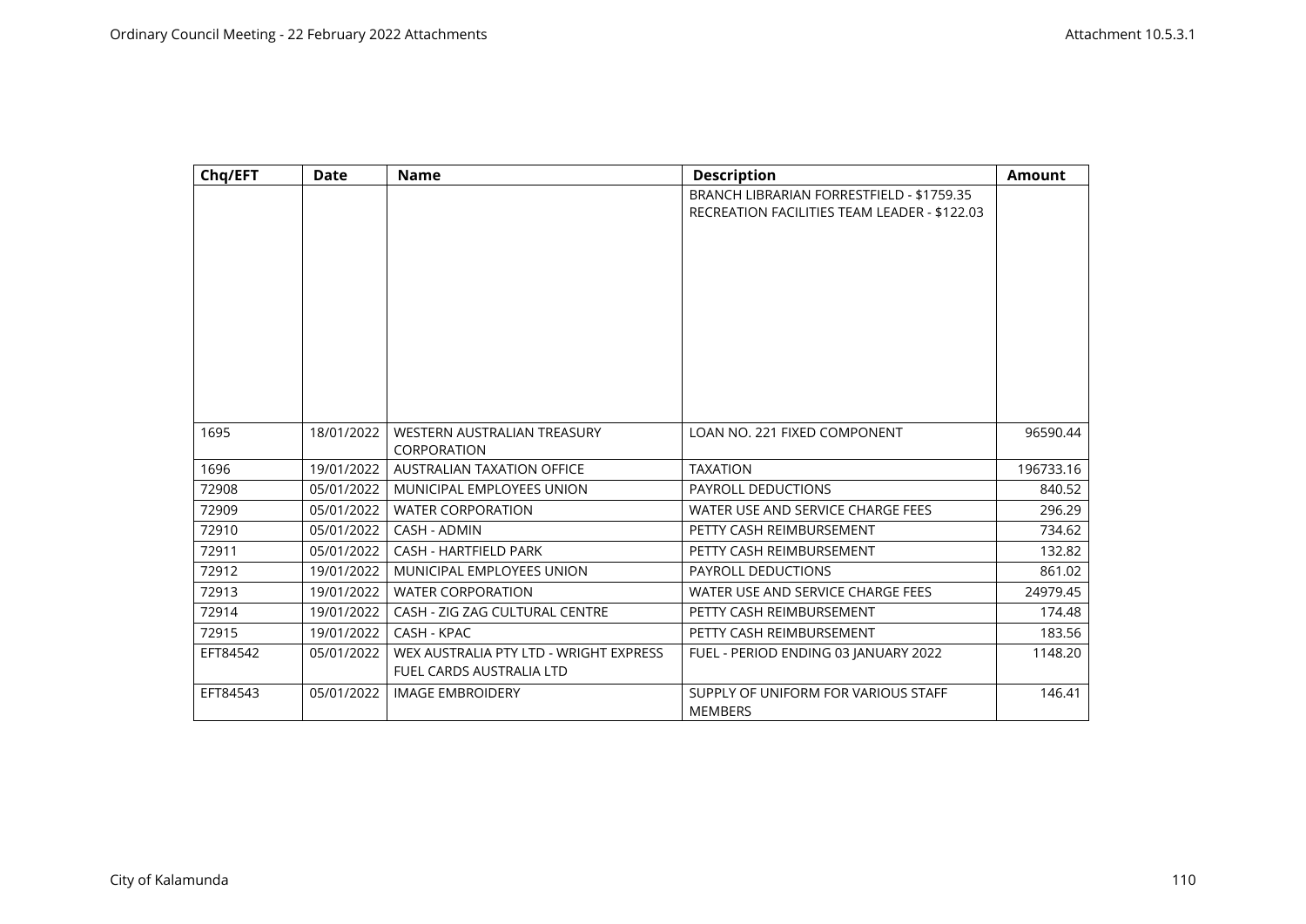| Chq/EFT  | Date       | <b>Name</b>                                                               | <b>Description</b>                                                                        | <b>Amount</b> |
|----------|------------|---------------------------------------------------------------------------|-------------------------------------------------------------------------------------------|---------------|
|          |            |                                                                           | BRANCH LIBRARIAN FORRESTFIELD - \$1759.35<br>RECREATION FACILITIES TEAM LEADER - \$122.03 |               |
|          |            |                                                                           |                                                                                           |               |
|          |            |                                                                           |                                                                                           |               |
|          |            |                                                                           |                                                                                           |               |
|          |            |                                                                           |                                                                                           |               |
|          |            |                                                                           |                                                                                           |               |
|          |            |                                                                           |                                                                                           |               |
|          |            |                                                                           |                                                                                           |               |
|          |            |                                                                           |                                                                                           |               |
| 1695     | 18/01/2022 | WESTERN AUSTRALIAN TREASURY                                               | LOAN NO. 221 FIXED COMPONENT                                                              | 96590.44      |
|          |            | CORPORATION                                                               |                                                                                           |               |
| 1696     | 19/01/2022 | <b>AUSTRALIAN TAXATION OFFICE</b>                                         | <b>TAXATION</b>                                                                           | 196733.16     |
| 72908    | 05/01/2022 | MUNICIPAL EMPLOYEES UNION                                                 | PAYROLL DEDUCTIONS                                                                        | 840.52        |
| 72909    | 05/01/2022 | <b>WATER CORPORATION</b>                                                  | WATER USE AND SERVICE CHARGE FEES                                                         | 296.29        |
| 72910    | 05/01/2022 | CASH - ADMIN                                                              | PETTY CASH REIMBURSEMENT                                                                  | 734.62        |
| 72911    | 05/01/2022 | <b>CASH - HARTFIELD PARK</b>                                              | PETTY CASH REIMBURSEMENT                                                                  | 132.82        |
| 72912    | 19/01/2022 | MUNICIPAL EMPLOYEES UNION                                                 | PAYROLL DEDUCTIONS                                                                        | 861.02        |
| 72913    | 19/01/2022 | <b>WATER CORPORATION</b>                                                  | WATER USE AND SERVICE CHARGE FEES                                                         | 24979.45      |
| 72914    | 19/01/2022 | CASH - ZIG ZAG CULTURAL CENTRE                                            | PETTY CASH REIMBURSEMENT                                                                  | 174.48        |
| 72915    | 19/01/2022 | CASH - KPAC                                                               | PETTY CASH REIMBURSEMENT                                                                  | 183.56        |
| EFT84542 | 05/01/2022 | WEX AUSTRALIA PTY LTD - WRIGHT EXPRESS<br><b>FUEL CARDS AUSTRALIA LTD</b> | FUEL - PERIOD ENDING 03 JANUARY 2022                                                      | 1148.20       |
| EFT84543 | 05/01/2022 | <b>IMAGE EMBROIDERY</b>                                                   | SUPPLY OF UNIFORM FOR VARIOUS STAFF<br><b>MEMBERS</b>                                     | 146.41        |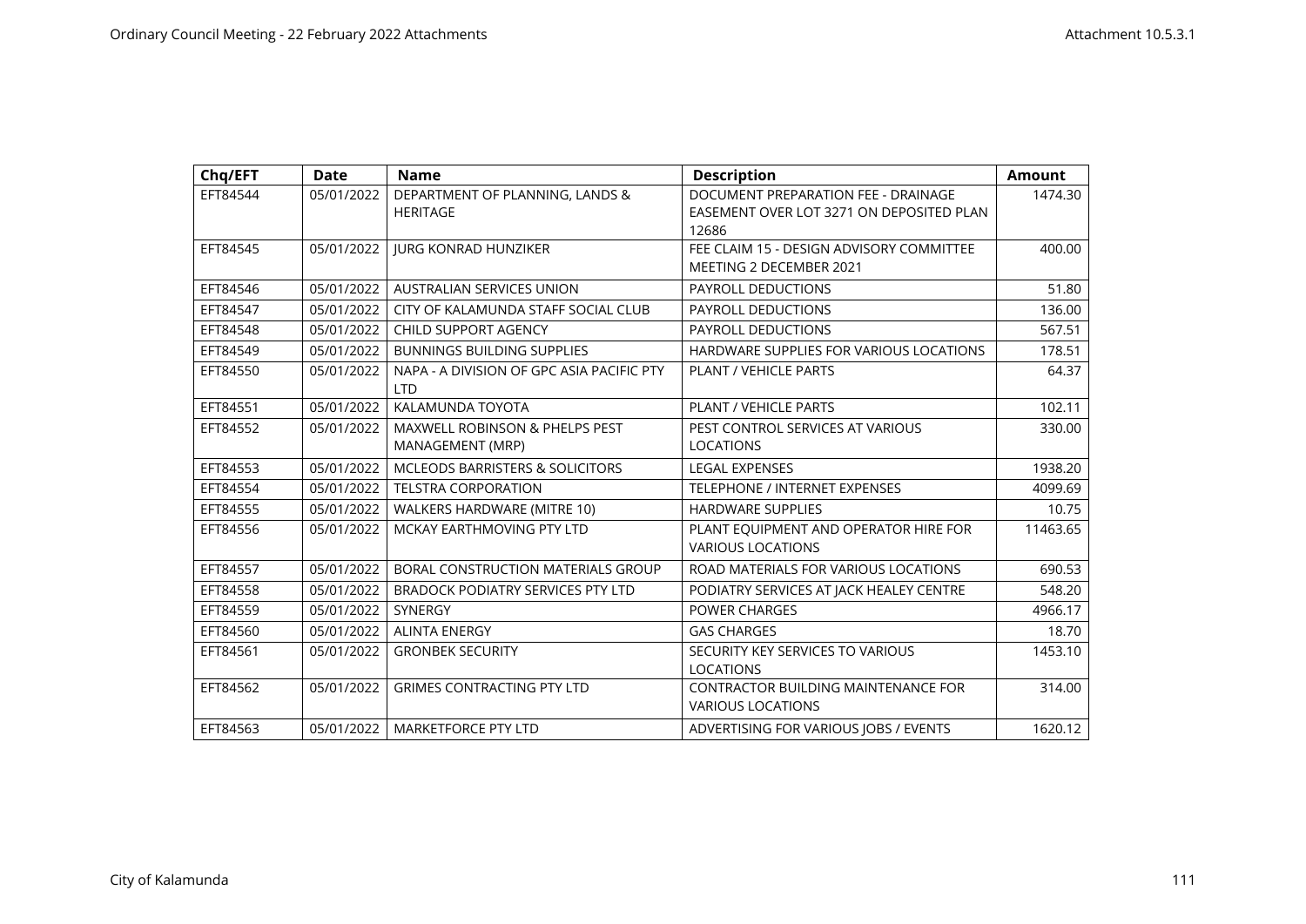| Chq/EFT  | <b>Date</b> | <b>Name</b>                                                   | <b>Description</b>                                                                       | <b>Amount</b> |
|----------|-------------|---------------------------------------------------------------|------------------------------------------------------------------------------------------|---------------|
| EFT84544 | 05/01/2022  | DEPARTMENT OF PLANNING, LANDS &<br><b>HERITAGE</b>            | DOCUMENT PREPARATION FEE - DRAINAGE<br>EASEMENT OVER LOT 3271 ON DEPOSITED PLAN<br>12686 | 1474.30       |
| EFT84545 | 05/01/2022  | <b>JURG KONRAD HUNZIKER</b>                                   | FEE CLAIM 15 - DESIGN ADVISORY COMMITTEE<br>MEETING 2 DECEMBER 2021                      | 400.00        |
| EFT84546 | 05/01/2022  | <b>AUSTRALIAN SERVICES UNION</b>                              | <b>PAYROLL DEDUCTIONS</b>                                                                | 51.80         |
| EFT84547 | 05/01/2022  | CITY OF KALAMUNDA STAFF SOCIAL CLUB                           | <b>PAYROLL DEDUCTIONS</b>                                                                | 136.00        |
| EFT84548 | 05/01/2022  | <b>CHILD SUPPORT AGENCY</b>                                   | PAYROLL DEDUCTIONS                                                                       | 567.51        |
| EFT84549 | 05/01/2022  | <b>BUNNINGS BUILDING SUPPLIES</b>                             | HARDWARE SUPPLIES FOR VARIOUS LOCATIONS                                                  | 178.51        |
| EFT84550 | 05/01/2022  | NAPA - A DIVISION OF GPC ASIA PACIFIC PTY<br><b>LTD</b>       | PLANT / VEHICLE PARTS                                                                    | 64.37         |
| EFT84551 | 05/01/2022  | KALAMUNDA TOYOTA                                              | PLANT / VEHICLE PARTS                                                                    | 102.11        |
| EFT84552 | 05/01/2022  | <b>MAXWELL ROBINSON &amp; PHELPS PEST</b><br>MANAGEMENT (MRP) | PEST CONTROL SERVICES AT VARIOUS<br>LOCATIONS                                            | 330.00        |
| EFT84553 | 05/01/2022  | <b>MCLEODS BARRISTERS &amp; SOLICITORS</b>                    | <b>LEGAL EXPENSES</b>                                                                    | 1938.20       |
| EFT84554 | 05/01/2022  | <b>TELSTRA CORPORATION</b>                                    | TELEPHONE / INTERNET EXPENSES                                                            | 4099.69       |
| EFT84555 | 05/01/2022  | WALKERS HARDWARE (MITRE 10)                                   | <b>HARDWARE SUPPLIES</b>                                                                 | 10.75         |
| EFT84556 | 05/01/2022  | MCKAY EARTHMOVING PTY LTD                                     | PLANT EQUIPMENT AND OPERATOR HIRE FOR<br><b>VARIOUS LOCATIONS</b>                        | 11463.65      |
| EFT84557 | 05/01/2022  | BORAL CONSTRUCTION MATERIALS GROUP                            | ROAD MATERIALS FOR VARIOUS LOCATIONS                                                     | 690.53        |
| EFT84558 | 05/01/2022  | <b>BRADOCK PODIATRY SERVICES PTY LTD</b>                      | PODIATRY SERVICES AT JACK HEALEY CENTRE                                                  | 548.20        |
| EFT84559 | 05/01/2022  | <b>SYNERGY</b>                                                | <b>POWER CHARGES</b>                                                                     | 4966.17       |
| EFT84560 | 05/01/2022  | <b>ALINTA ENERGY</b>                                          | <b>GAS CHARGES</b>                                                                       | 18.70         |
| EFT84561 | 05/01/2022  | <b>GRONBEK SECURITY</b>                                       | SECURITY KEY SERVICES TO VARIOUS<br><b>LOCATIONS</b>                                     | 1453.10       |
| EFT84562 | 05/01/2022  | <b>GRIMES CONTRACTING PTY LTD</b>                             | <b>CONTRACTOR BUILDING MAINTENANCE FOR</b><br><b>VARIOUS LOCATIONS</b>                   | 314.00        |
| EFT84563 | 05/01/2022  | <b>MARKETFORCE PTY LTD</b>                                    | ADVERTISING FOR VARIOUS JOBS / EVENTS                                                    | 1620.12       |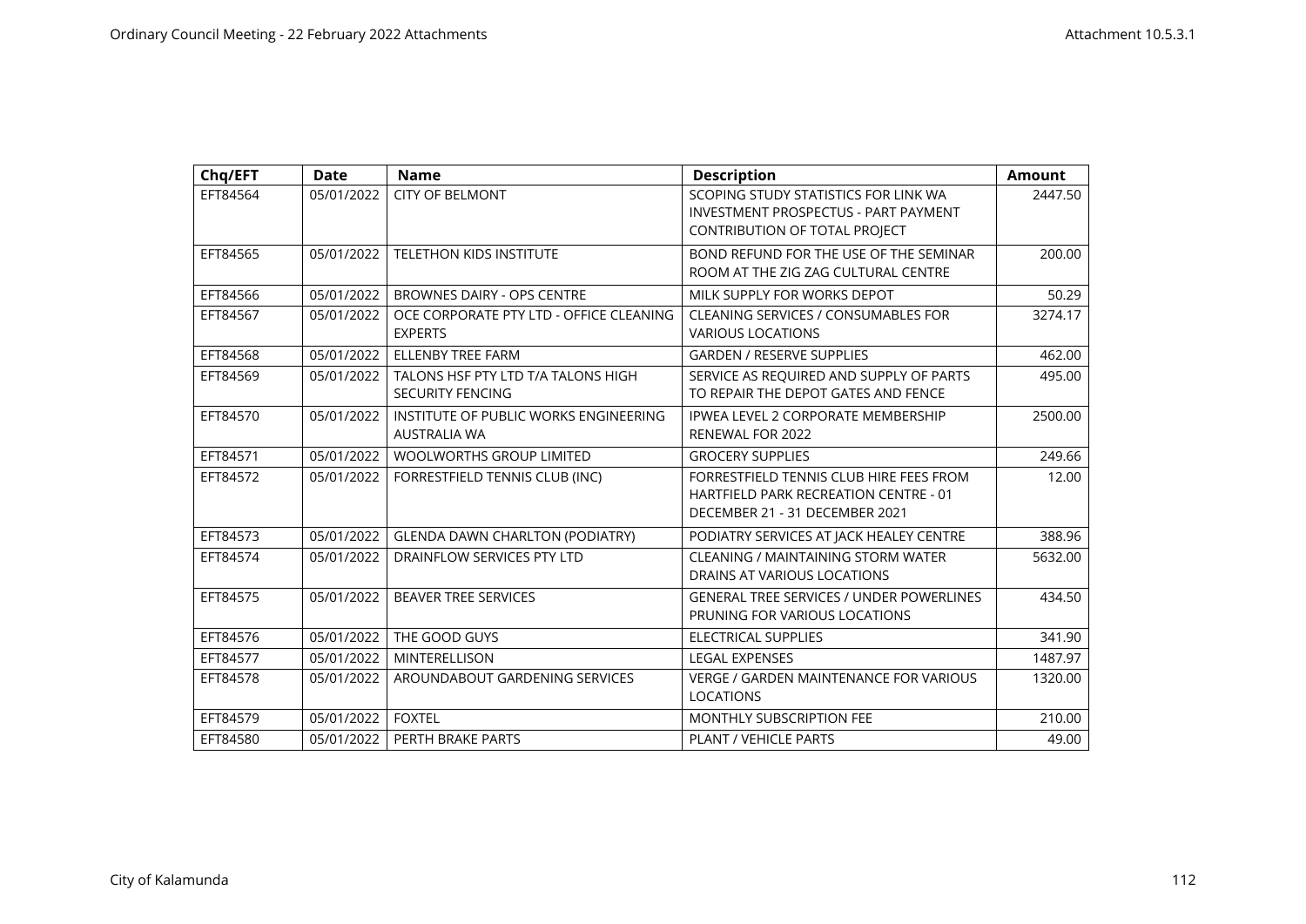| Chq/EFT  | <b>Date</b> | <b>Name</b>                                                   | <b>Description</b>                                                                                                   | <b>Amount</b> |
|----------|-------------|---------------------------------------------------------------|----------------------------------------------------------------------------------------------------------------------|---------------|
| EFT84564 | 05/01/2022  | <b>CITY OF BELMONT</b>                                        | SCOPING STUDY STATISTICS FOR LINK WA<br><b>INVESTMENT PROSPECTUS - PART PAYMENT</b><br>CONTRIBUTION OF TOTAL PROJECT | 2447.50       |
| EFT84565 | 05/01/2022  | <b>TELETHON KIDS INSTITUTE</b>                                | BOND REFUND FOR THE USE OF THE SEMINAR<br>ROOM AT THE ZIG ZAG CULTURAL CENTRE                                        | 200.00        |
| EFT84566 | 05/01/2022  | BROWNES DAIRY - OPS CENTRE                                    | MILK SUPPLY FOR WORKS DEPOT                                                                                          | 50.29         |
| EFT84567 | 05/01/2022  | OCE CORPORATE PTY LTD - OFFICE CLEANING<br><b>EXPERTS</b>     | CLEANING SERVICES / CONSUMABLES FOR<br><b>VARIOUS LOCATIONS</b>                                                      | 3274.17       |
| EFT84568 | 05/01/2022  | <b>ELLENBY TREE FARM</b>                                      | <b>GARDEN / RESERVE SUPPLIES</b>                                                                                     | 462.00        |
| EFT84569 | 05/01/2022  | TALONS HSF PTY LTD T/A TALONS HIGH<br><b>SECURITY FENCING</b> | SERVICE AS REQUIRED AND SUPPLY OF PARTS<br>TO REPAIR THE DEPOT GATES AND FENCE                                       | 495.00        |
| EFT84570 | 05/01/2022  | INSTITUTE OF PUBLIC WORKS ENGINEERING<br><b>AUSTRALIA WA</b>  | IPWEA LEVEL 2 CORPORATE MEMBERSHIP<br>RENEWAL FOR 2022                                                               | 2500.00       |
| EFT84571 | 05/01/2022  | <b>WOOLWORTHS GROUP LIMITED</b>                               | <b>GROCERY SUPPLIES</b>                                                                                              | 249.66        |
| EFT84572 | 05/01/2022  | FORRESTFIELD TENNIS CLUB (INC)                                | FORRESTFIELD TENNIS CLUB HIRE FEES FROM<br>HARTFIELD PARK RECREATION CENTRE - 01<br>DECEMBER 21 - 31 DECEMBER 2021   | 12.00         |
| EFT84573 | 05/01/2022  | <b>GLENDA DAWN CHARLTON (PODIATRY)</b>                        | PODIATRY SERVICES AT JACK HEALEY CENTRE                                                                              | 388.96        |
| EFT84574 | 05/01/2022  | DRAINFLOW SERVICES PTY LTD                                    | CLEANING / MAINTAINING STORM WATER<br>DRAINS AT VARIOUS LOCATIONS                                                    | 5632.00       |
| EFT84575 | 05/01/2022  | <b>BEAVER TREE SERVICES</b>                                   | <b>GENERAL TREE SERVICES / UNDER POWERLINES</b><br>PRUNING FOR VARIOUS LOCATIONS                                     | 434.50        |
| EFT84576 | 05/01/2022  | THE GOOD GUYS                                                 | <b>ELECTRICAL SUPPLIES</b>                                                                                           | 341.90        |
| EFT84577 | 05/01/2022  | <b>MINTERELLISON</b>                                          | <b>LEGAL EXPENSES</b>                                                                                                | 1487.97       |
| EFT84578 | 05/01/2022  | AROUNDABOUT GARDENING SERVICES                                | <b>VERGE / GARDEN MAINTENANCE FOR VARIOUS</b><br><b>LOCATIONS</b>                                                    | 1320.00       |
| EFT84579 | 05/01/2022  | <b>FOXTEL</b>                                                 | <b>MONTHLY SUBSCRIPTION FEE</b>                                                                                      | 210.00        |
| EFT84580 | 05/01/2022  | PERTH BRAKE PARTS                                             | <b>PLANT / VEHICLE PARTS</b>                                                                                         | 49.00         |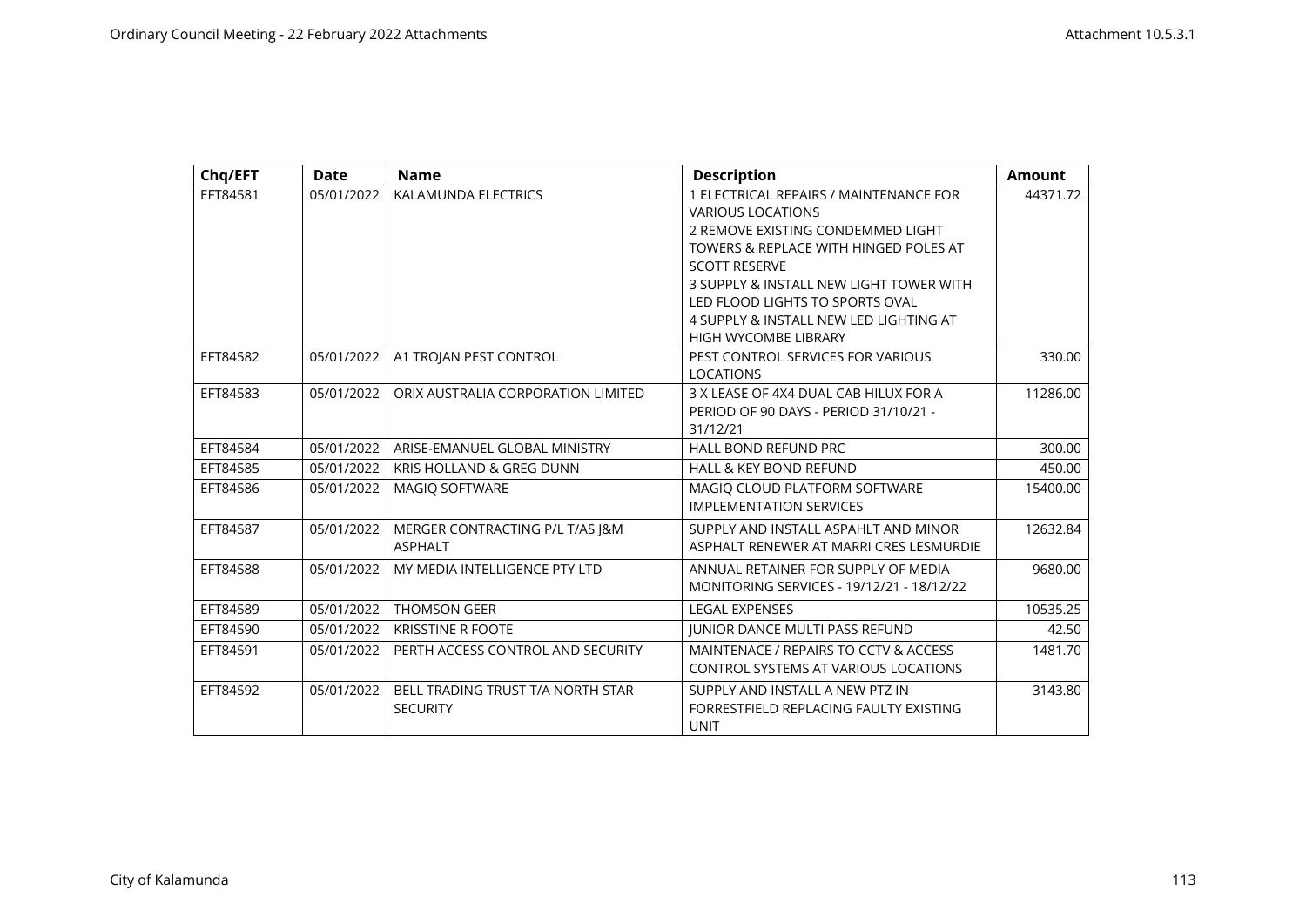| Chq/EFT  | <b>Date</b> | <b>Name</b>                         | <b>Description</b>                        | <b>Amount</b> |
|----------|-------------|-------------------------------------|-------------------------------------------|---------------|
| EFT84581 | 05/01/2022  | KALAMUNDA ELECTRICS                 | 1 ELECTRICAL REPAIRS / MAINTENANCE FOR    | 44371.72      |
|          |             |                                     | <b>VARIOUS LOCATIONS</b>                  |               |
|          |             |                                     | 2 REMOVE EXISTING CONDEMMED LIGHT         |               |
|          |             |                                     | TOWERS & REPLACE WITH HINGED POLES AT     |               |
|          |             |                                     | <b>SCOTT RESERVE</b>                      |               |
|          |             |                                     | 3 SUPPLY & INSTALL NEW LIGHT TOWER WITH   |               |
|          |             |                                     | LED FLOOD LIGHTS TO SPORTS OVAL           |               |
|          |             |                                     | 4 SUPPLY & INSTALL NEW LED LIGHTING AT    |               |
|          |             |                                     | <b>HIGH WYCOMBE LIBRARY</b>               |               |
| EFT84582 | 05/01/2022  | A1 TROJAN PEST CONTROL              | PEST CONTROL SERVICES FOR VARIOUS         | 330.00        |
|          |             |                                     | <b>LOCATIONS</b>                          |               |
| EFT84583 | 05/01/2022  | ORIX AUSTRALIA CORPORATION LIMITED  | 3 X LEASE OF 4X4 DUAL CAB HILUX FOR A     | 11286.00      |
|          |             |                                     | PERIOD OF 90 DAYS - PERIOD 31/10/21 -     |               |
|          |             |                                     | 31/12/21                                  |               |
| EFT84584 | 05/01/2022  | ARISE-EMANUEL GLOBAL MINISTRY       | <b>HALL BOND REFUND PRC</b>               | 300.00        |
| EFT84585 | 05/01/2022  | <b>KRIS HOLLAND &amp; GREG DUNN</b> | <b>HALL &amp; KEY BOND REFUND</b>         | 450.00        |
| EFT84586 | 05/01/2022  | <b>MAGIO SOFTWARE</b>               | MAGIQ CLOUD PLATFORM SOFTWARE             | 15400.00      |
|          |             |                                     | <b>IMPLEMENTATION SERVICES</b>            |               |
| EFT84587 | 05/01/2022  | MERGER CONTRACTING P/L T/AS J&M     | SUPPLY AND INSTALL ASPAHLT AND MINOR      | 12632.84      |
|          |             | <b>ASPHALT</b>                      | ASPHALT RENEWER AT MARRI CRES LESMURDIE   |               |
| EFT84588 | 05/01/2022  | MY MEDIA INTELLIGENCE PTY LTD       | ANNUAL RETAINER FOR SUPPLY OF MEDIA       | 9680.00       |
|          |             |                                     | MONITORING SERVICES - 19/12/21 - 18/12/22 |               |
| EFT84589 | 05/01/2022  | <b>THOMSON GEER</b>                 | <b>LEGAL EXPENSES</b>                     | 10535.25      |
| EFT84590 | 05/01/2022  | <b>KRISSTINE R FOOTE</b>            | <b>JUNIOR DANCE MULTI PASS REFUND</b>     | 42.50         |
| EFT84591 | 05/01/2022  | PERTH ACCESS CONTROL AND SECURITY   | MAINTENACE / REPAIRS TO CCTV & ACCESS     | 1481.70       |
|          |             |                                     | CONTROL SYSTEMS AT VARIOUS LOCATIONS      |               |
| EFT84592 | 05/01/2022  | BELL TRADING TRUST T/A NORTH STAR   | SUPPLY AND INSTALL A NEW PTZ IN           | 3143.80       |
|          |             | <b>SECURITY</b>                     | FORRESTFIELD REPLACING FAULTY EXISTING    |               |
|          |             |                                     | <b>UNIT</b>                               |               |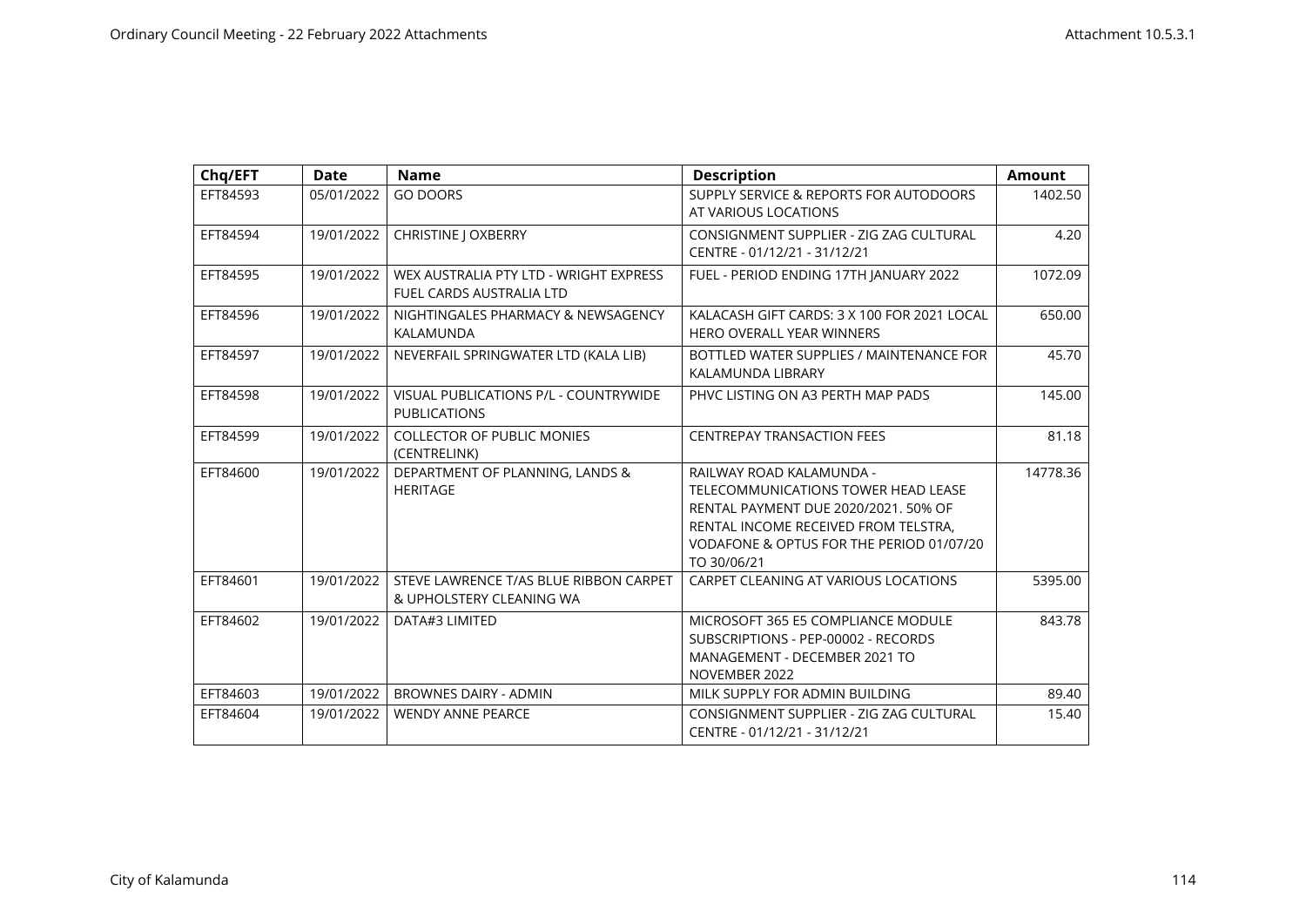| Chq/EFT  | <b>Date</b> | <b>Name</b>                                                               | <b>Description</b>                                                                                                                                                                                         | <b>Amount</b> |
|----------|-------------|---------------------------------------------------------------------------|------------------------------------------------------------------------------------------------------------------------------------------------------------------------------------------------------------|---------------|
| EFT84593 | 05/01/2022  | <b>GO DOORS</b>                                                           | SUPPLY SERVICE & REPORTS FOR AUTODOORS<br>AT VARIOUS LOCATIONS                                                                                                                                             | 1402.50       |
| EFT84594 | 19/01/2022  | CHRISTINE J OXBERRY                                                       | CONSIGNMENT SUPPLIER - ZIG ZAG CULTURAL<br>CENTRE - 01/12/21 - 31/12/21                                                                                                                                    | 4.20          |
| EFT84595 | 19/01/2022  | WEX AUSTRALIA PTY LTD - WRIGHT EXPRESS<br><b>FUEL CARDS AUSTRALIA LTD</b> | FUEL - PERIOD ENDING 17TH JANUARY 2022                                                                                                                                                                     | 1072.09       |
| EFT84596 | 19/01/2022  | NIGHTINGALES PHARMACY & NEWSAGENCY<br>KALAMUNDA                           | KALACASH GIFT CARDS: 3 X 100 FOR 2021 LOCAL<br><b>HERO OVERALL YEAR WINNERS</b>                                                                                                                            | 650.00        |
| EFT84597 | 19/01/2022  | NEVERFAIL SPRINGWATER LTD (KALA LIB)                                      | BOTTLED WATER SUPPLIES / MAINTENANCE FOR<br>KALAMUNDA LIBRARY                                                                                                                                              | 45.70         |
| EFT84598 | 19/01/2022  | VISUAL PUBLICATIONS P/L - COUNTRYWIDE<br><b>PUBLICATIONS</b>              | PHVC LISTING ON A3 PERTH MAP PADS                                                                                                                                                                          | 145.00        |
| EFT84599 | 19/01/2022  | <b>COLLECTOR OF PUBLIC MONIES</b><br>(CENTRELINK)                         | <b>CENTREPAY TRANSACTION FEES</b>                                                                                                                                                                          | 81.18         |
| EFT84600 | 19/01/2022  | DEPARTMENT OF PLANNING, LANDS &<br><b>HERITAGE</b>                        | RAILWAY ROAD KALAMUNDA -<br>TELECOMMUNICATIONS TOWER HEAD LEASE<br>RENTAL PAYMENT DUE 2020/2021, 50% OF<br>RENTAL INCOME RECEIVED FROM TELSTRA.<br>VODAFONE & OPTUS FOR THE PERIOD 01/07/20<br>TO 30/06/21 | 14778.36      |
| EFT84601 | 19/01/2022  | STEVE LAWRENCE T/AS BLUE RIBBON CARPET<br>& UPHOLSTERY CLEANING WA        | CARPET CLEANING AT VARIOUS LOCATIONS                                                                                                                                                                       | 5395.00       |
| EFT84602 | 19/01/2022  | DATA#3 LIMITED                                                            | MICROSOFT 365 E5 COMPLIANCE MODULE<br>SUBSCRIPTIONS - PEP-00002 - RECORDS<br>MANAGEMENT - DECEMBER 2021 TO<br>NOVEMBER 2022                                                                                | 843.78        |
| EFT84603 | 19/01/2022  | <b>BROWNES DAIRY - ADMIN</b>                                              | MILK SUPPLY FOR ADMIN BUILDING                                                                                                                                                                             | 89.40         |
| EFT84604 | 19/01/2022  | <b>WENDY ANNE PEARCE</b>                                                  | CONSIGNMENT SUPPLIER - ZIG ZAG CULTURAL<br>CENTRE - 01/12/21 - 31/12/21                                                                                                                                    | 15.40         |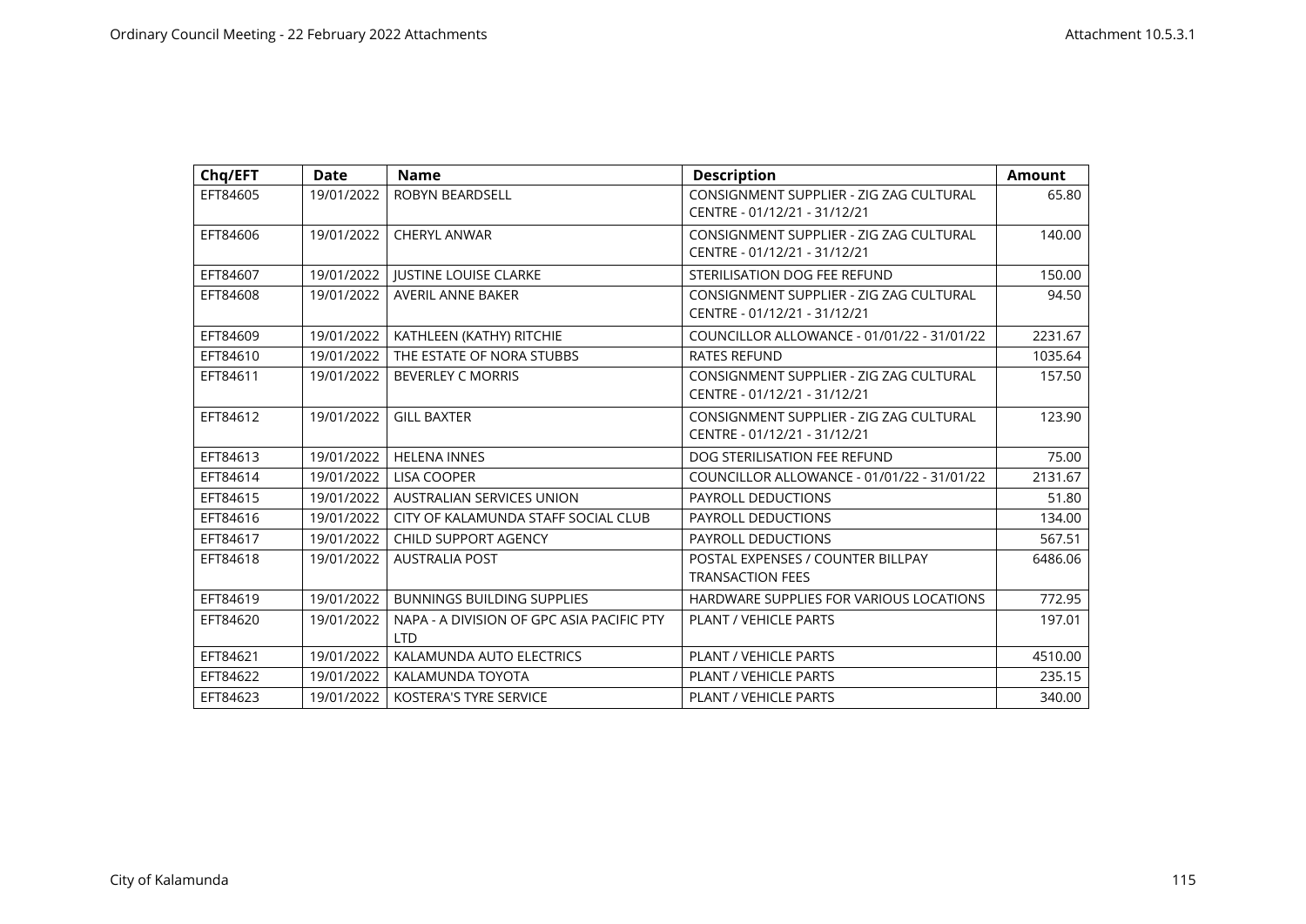| Chq/EFT  | <b>Date</b> | <b>Name</b>                                             | <b>Description</b>                                                      | <b>Amount</b> |
|----------|-------------|---------------------------------------------------------|-------------------------------------------------------------------------|---------------|
| EFT84605 | 19/01/2022  | <b>ROBYN BEARDSELL</b>                                  | CONSIGNMENT SUPPLIER - ZIG ZAG CULTURAL<br>CENTRE - 01/12/21 - 31/12/21 | 65.80         |
| EFT84606 | 19/01/2022  | <b>CHERYL ANWAR</b>                                     | CONSIGNMENT SUPPLIER - ZIG ZAG CULTURAL<br>CENTRE - 01/12/21 - 31/12/21 | 140.00        |
| EFT84607 | 19/01/2022  | <b>JUSTINE LOUISE CLARKE</b>                            | STERILISATION DOG FEE REFUND                                            | 150.00        |
| EFT84608 | 19/01/2022  | <b>AVERIL ANNE BAKER</b>                                | CONSIGNMENT SUPPLIER - ZIG ZAG CULTURAL<br>CENTRE - 01/12/21 - 31/12/21 | 94.50         |
| EFT84609 | 19/01/2022  | KATHLEEN (KATHY) RITCHIE                                | COUNCILLOR ALLOWANCE - 01/01/22 - 31/01/22                              | 2231.67       |
| EFT84610 | 19/01/2022  | THE ESTATE OF NORA STUBBS                               | <b>RATES REFUND</b>                                                     | 1035.64       |
| EFT84611 | 19/01/2022  | <b>BEVERLEY C MORRIS</b>                                | CONSIGNMENT SUPPLIER - ZIG ZAG CULTURAL<br>CENTRE - 01/12/21 - 31/12/21 | 157.50        |
| EFT84612 | 19/01/2022  | <b>GILL BAXTER</b>                                      | CONSIGNMENT SUPPLIER - ZIG ZAG CULTURAL<br>CENTRE - 01/12/21 - 31/12/21 | 123.90        |
| EFT84613 | 19/01/2022  | <b>HELENA INNES</b>                                     | DOG STERILISATION FEE REFUND                                            | 75.00         |
| EFT84614 | 19/01/2022  | <b>LISA COOPER</b>                                      | COUNCILLOR ALLOWANCE - 01/01/22 - 31/01/22                              | 2131.67       |
| EFT84615 | 19/01/2022  | AUSTRALIAN SERVICES UNION                               | <b>PAYROLL DEDUCTIONS</b>                                               | 51.80         |
| EFT84616 | 19/01/2022  | CITY OF KALAMUNDA STAFF SOCIAL CLUB                     | PAYROLL DEDUCTIONS                                                      | 134.00        |
| EFT84617 | 19/01/2022  | CHILD SUPPORT AGENCY                                    | PAYROLL DEDUCTIONS                                                      | 567.51        |
| EFT84618 | 19/01/2022  | <b>AUSTRALIA POST</b>                                   | POSTAL EXPENSES / COUNTER BILLPAY<br><b>TRANSACTION FEES</b>            | 6486.06       |
| EFT84619 | 19/01/2022  | <b>BUNNINGS BUILDING SUPPLIES</b>                       | HARDWARE SUPPLIES FOR VARIOUS LOCATIONS                                 | 772.95        |
| EFT84620 | 19/01/2022  | NAPA - A DIVISION OF GPC ASIA PACIFIC PTY<br><b>LTD</b> | <b>PLANT / VEHICLE PARTS</b>                                            | 197.01        |
| EFT84621 | 19/01/2022  | KALAMUNDA AUTO ELECTRICS                                | <b>PLANT / VEHICLE PARTS</b>                                            | 4510.00       |
| EFT84622 | 19/01/2022  | KALAMUNDA TOYOTA                                        | <b>PLANT / VEHICLE PARTS</b>                                            | 235.15        |
| EFT84623 | 19/01/2022  | <b>KOSTERA'S TYRE SERVICE</b>                           | <b>PLANT / VEHICLE PARTS</b>                                            | 340.00        |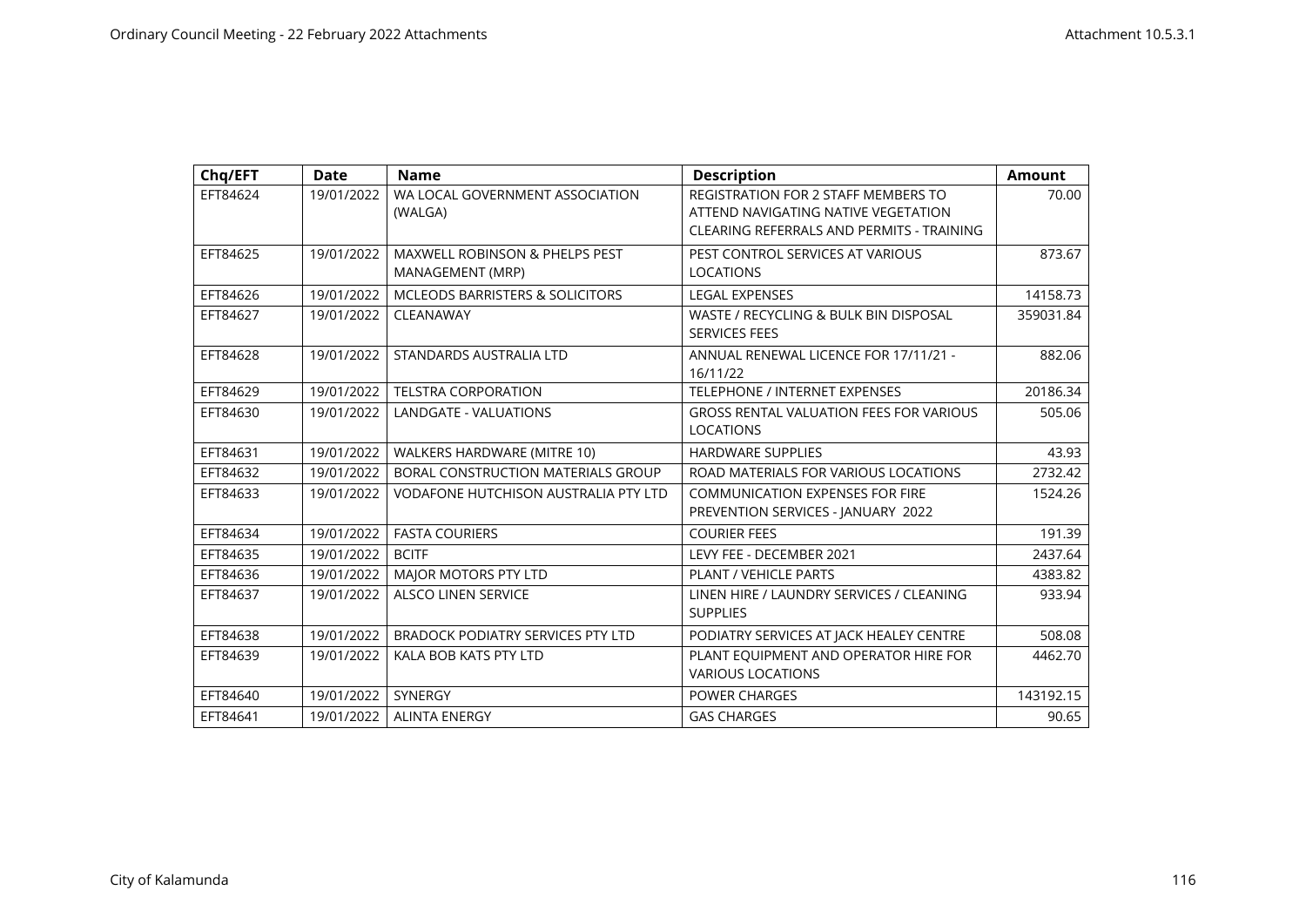| Chq/EFT  | <b>Date</b> | <b>Name</b>                                                   | <b>Description</b>                                                                                                      | <b>Amount</b> |
|----------|-------------|---------------------------------------------------------------|-------------------------------------------------------------------------------------------------------------------------|---------------|
| EFT84624 | 19/01/2022  | WA LOCAL GOVERNMENT ASSOCIATION<br>(WALGA)                    | REGISTRATION FOR 2 STAFF MEMBERS TO<br>ATTEND NAVIGATING NATIVE VEGETATION<br>CLEARING REFERRALS AND PERMITS - TRAINING | 70.00         |
| EFT84625 | 19/01/2022  | <b>MAXWELL ROBINSON &amp; PHELPS PEST</b><br>MANAGEMENT (MRP) | PEST CONTROL SERVICES AT VARIOUS<br><b>LOCATIONS</b>                                                                    | 873.67        |
| EFT84626 | 19/01/2022  | <b>MCLEODS BARRISTERS &amp; SOLICITORS</b>                    | <b>LEGAL EXPENSES</b>                                                                                                   | 14158.73      |
| EFT84627 | 19/01/2022  | CLEANAWAY                                                     | WASTE / RECYCLING & BULK BIN DISPOSAL<br><b>SERVICES FEES</b>                                                           | 359031.84     |
| EFT84628 | 19/01/2022  | STANDARDS AUSTRALIA LTD                                       | ANNUAL RENEWAL LICENCE FOR 17/11/21 -<br>16/11/22                                                                       | 882.06        |
| EFT84629 | 19/01/2022  | <b>TELSTRA CORPORATION</b>                                    | <b>TELEPHONE / INTERNET EXPENSES</b>                                                                                    | 20186.34      |
| EFT84630 | 19/01/2022  | LANDGATE - VALUATIONS                                         | <b>GROSS RENTAL VALUATION FEES FOR VARIOUS</b><br><b>LOCATIONS</b>                                                      | 505.06        |
| EFT84631 | 19/01/2022  | WALKERS HARDWARE (MITRE 10)                                   | <b>HARDWARE SUPPLIES</b>                                                                                                | 43.93         |
| EFT84632 | 19/01/2022  | BORAL CONSTRUCTION MATERIALS GROUP                            | ROAD MATERIALS FOR VARIOUS LOCATIONS                                                                                    | 2732.42       |
| EFT84633 | 19/01/2022  | <b>VODAFONE HUTCHISON AUSTRALIA PTY LTD</b>                   | <b>COMMUNICATION EXPENSES FOR FIRE</b><br>PREVENTION SERVICES - JANUARY 2022                                            | 1524.26       |
| EFT84634 | 19/01/2022  | <b>FASTA COURIERS</b>                                         | <b>COURIER FEES</b>                                                                                                     | 191.39        |
| EFT84635 | 19/01/2022  | <b>BCITF</b>                                                  | LEVY FEE - DECEMBER 2021                                                                                                | 2437.64       |
| EFT84636 | 19/01/2022  | MAJOR MOTORS PTY LTD                                          | <b>PLANT / VEHICLE PARTS</b>                                                                                            | 4383.82       |
| EFT84637 | 19/01/2022  | <b>ALSCO LINEN SERVICE</b>                                    | LINEN HIRE / LAUNDRY SERVICES / CLEANING<br><b>SUPPLIES</b>                                                             | 933.94        |
| EFT84638 | 19/01/2022  | <b>BRADOCK PODIATRY SERVICES PTY LTD</b>                      | PODIATRY SERVICES AT JACK HEALEY CENTRE                                                                                 | 508.08        |
| EFT84639 | 19/01/2022  | KALA BOB KATS PTY LTD                                         | PLANT EQUIPMENT AND OPERATOR HIRE FOR<br><b>VARIOUS LOCATIONS</b>                                                       | 4462.70       |
| EFT84640 | 19/01/2022  | SYNERGY                                                       | <b>POWER CHARGES</b>                                                                                                    | 143192.15     |
| EFT84641 | 19/01/2022  | <b>ALINTA ENERGY</b>                                          | <b>GAS CHARGES</b>                                                                                                      | 90.65         |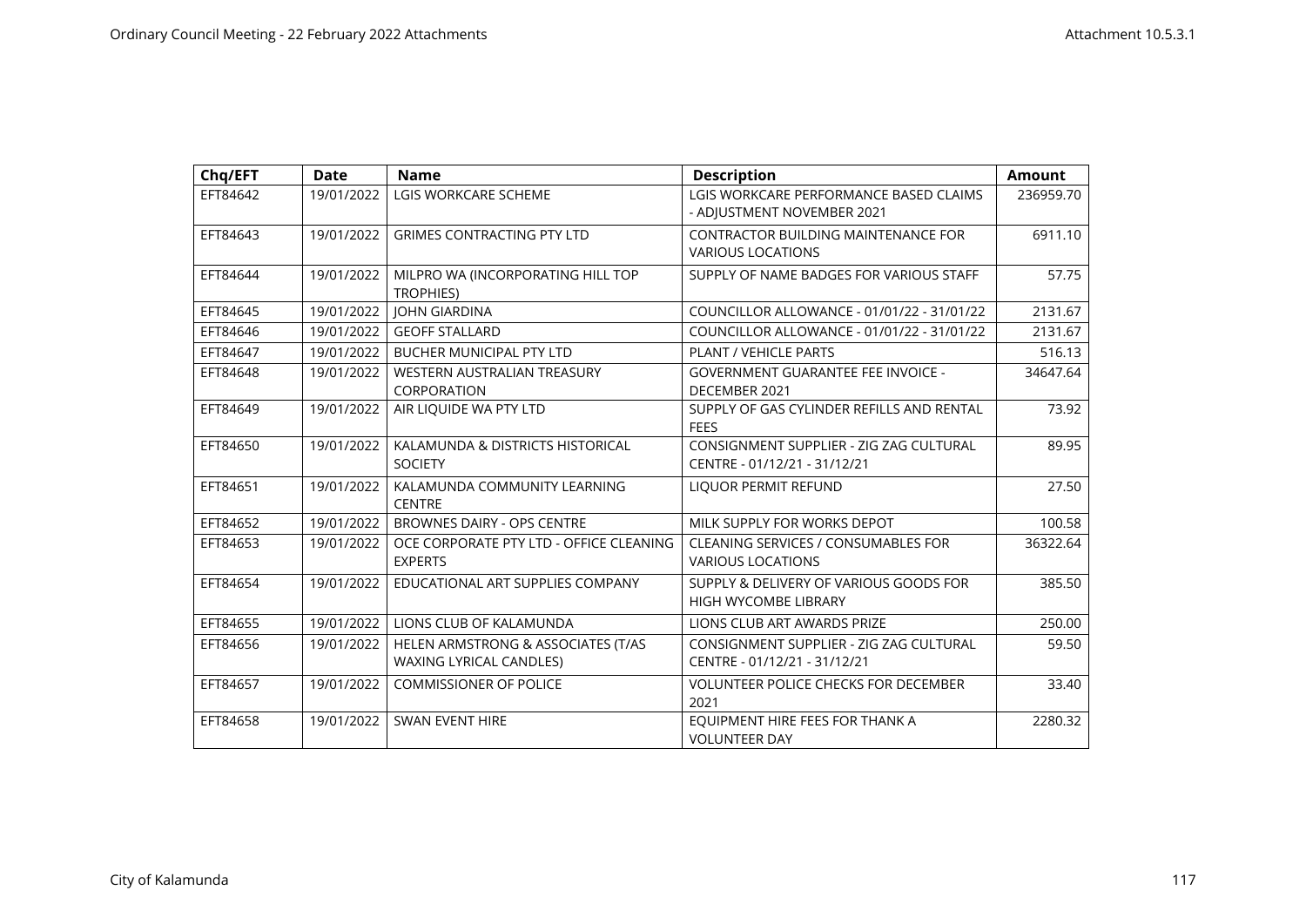| Chq/EFT  | <b>Date</b> | <b>Name</b>                                               | <b>Description</b>                                                      | <b>Amount</b> |
|----------|-------------|-----------------------------------------------------------|-------------------------------------------------------------------------|---------------|
| EFT84642 | 19/01/2022  | <b>LGIS WORKCARE SCHEME</b>                               | LGIS WORKCARE PERFORMANCE BASED CLAIMS<br>- ADJUSTMENT NOVEMBER 2021    | 236959.70     |
| EFT84643 | 19/01/2022  | <b>GRIMES CONTRACTING PTY LTD</b>                         | CONTRACTOR BUILDING MAINTENANCE FOR<br><b>VARIOUS LOCATIONS</b>         | 6911.10       |
| EFT84644 | 19/01/2022  | MILPRO WA (INCORPORATING HILL TOP<br><b>TROPHIES)</b>     | SUPPLY OF NAME BADGES FOR VARIOUS STAFF                                 | 57.75         |
| EFT84645 | 19/01/2022  | <b>JOHN GIARDINA</b>                                      | COUNCILLOR ALLOWANCE - 01/01/22 - 31/01/22                              | 2131.67       |
| EFT84646 | 19/01/2022  | <b>GEOFF STALLARD</b>                                     | COUNCILLOR ALLOWANCE - 01/01/22 - 31/01/22                              | 2131.67       |
| EFT84647 | 19/01/2022  | <b>BUCHER MUNICIPAL PTY LTD</b>                           | <b>PLANT / VEHICLE PARTS</b>                                            | 516.13        |
| EFT84648 | 19/01/2022  | WESTERN AUSTRALIAN TREASURY<br>CORPORATION                | <b>GOVERNMENT GUARANTEE FEE INVOICE -</b><br>DECEMBER 2021              | 34647.64      |
| EFT84649 | 19/01/2022  | AIR LIQUIDE WA PTY LTD                                    | SUPPLY OF GAS CYLINDER REFILLS AND RENTAL<br><b>FEES</b>                | 73.92         |
| EFT84650 | 19/01/2022  | KALAMUNDA & DISTRICTS HISTORICAL<br><b>SOCIETY</b>        | CONSIGNMENT SUPPLIER - ZIG ZAG CULTURAL<br>CENTRE - 01/12/21 - 31/12/21 | 89.95         |
| EFT84651 | 19/01/2022  | KALAMUNDA COMMUNITY LEARNING<br><b>CENTRE</b>             | <b>LIQUOR PERMIT REFUND</b>                                             | 27.50         |
| EFT84652 | 19/01/2022  | BROWNES DAIRY - OPS CENTRE                                | MILK SUPPLY FOR WORKS DEPOT                                             | 100.58        |
| EFT84653 | 19/01/2022  | OCE CORPORATE PTY LTD - OFFICE CLEANING<br><b>EXPERTS</b> | <b>CLEANING SERVICES / CONSUMABLES FOR</b><br><b>VARIOUS LOCATIONS</b>  | 36322.64      |
| EFT84654 | 19/01/2022  | EDUCATIONAL ART SUPPLIES COMPANY                          | SUPPLY & DELIVERY OF VARIOUS GOODS FOR<br><b>HIGH WYCOMBE LIBRARY</b>   | 385.50        |
| EFT84655 | 19/01/2022  | LIONS CLUB OF KALAMUNDA                                   | LIONS CLUB ART AWARDS PRIZE                                             | 250.00        |
| EFT84656 | 19/01/2022  | HELEN ARMSTRONG & ASSOCIATES (T/AS                        | CONSIGNMENT SUPPLIER - ZIG ZAG CULTURAL                                 | 59.50         |
|          |             | <b>WAXING LYRICAL CANDLES)</b>                            | CENTRE - 01/12/21 - 31/12/21                                            |               |
| EFT84657 | 19/01/2022  | <b>COMMISSIONER OF POLICE</b>                             | <b>VOLUNTEER POLICE CHECKS FOR DECEMBER</b><br>2021                     | 33.40         |
| EFT84658 | 19/01/2022  | <b>SWAN EVENT HIRE</b>                                    | EQUIPMENT HIRE FEES FOR THANK A<br><b>VOLUNTEER DAY</b>                 | 2280.32       |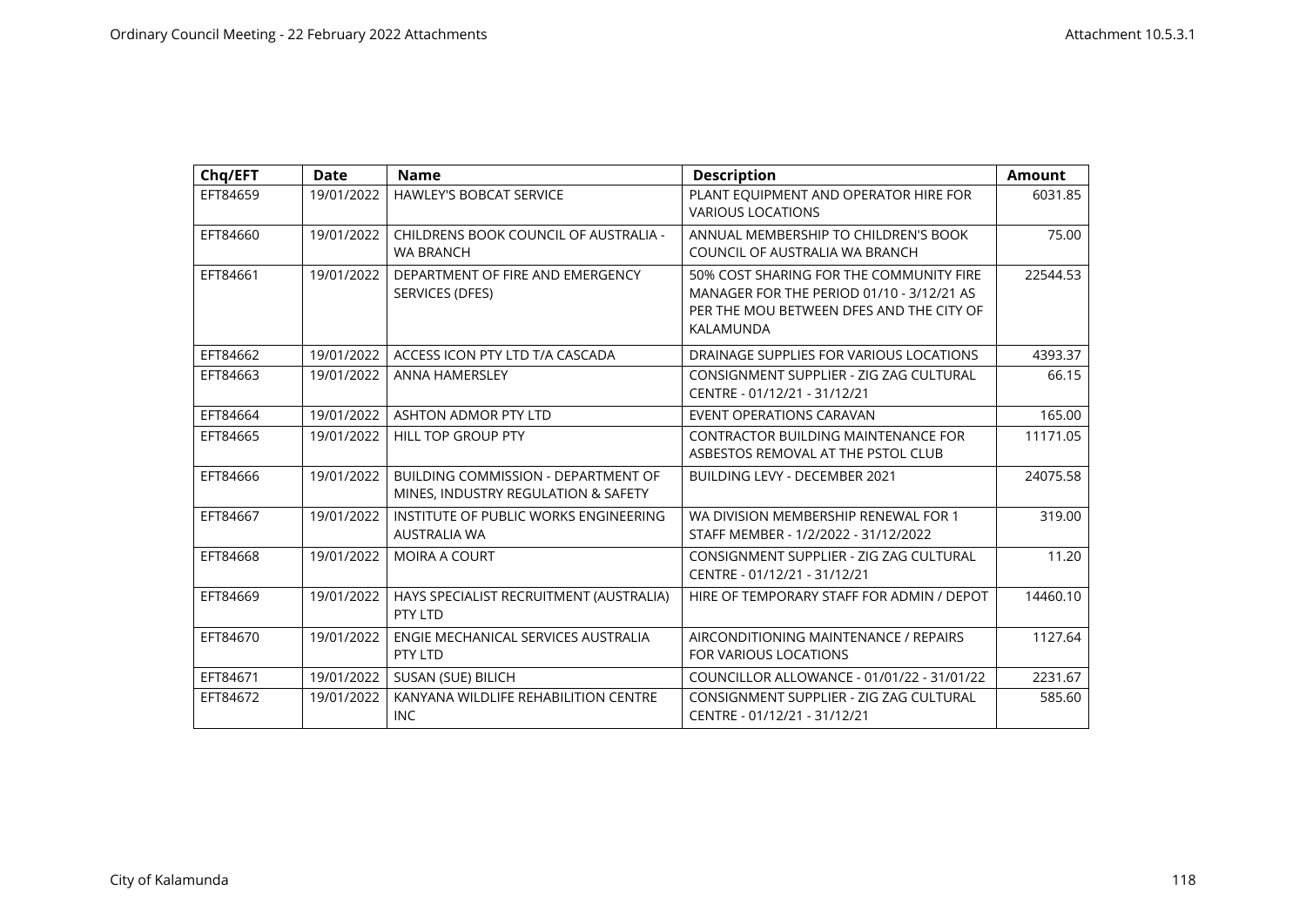| Chq/EFT  | <b>Date</b> | <b>Name</b>                                                                       | <b>Description</b>                                                                                                                            | <b>Amount</b> |
|----------|-------------|-----------------------------------------------------------------------------------|-----------------------------------------------------------------------------------------------------------------------------------------------|---------------|
| EFT84659 | 19/01/2022  | HAWLEY'S BOBCAT SERVICE                                                           | PLANT EQUIPMENT AND OPERATOR HIRE FOR<br><b>VARIOUS LOCATIONS</b>                                                                             | 6031.85       |
| EFT84660 | 19/01/2022  | CHILDRENS BOOK COUNCIL OF AUSTRALIA -<br><b>WA BRANCH</b>                         | ANNUAL MEMBERSHIP TO CHILDREN'S BOOK<br>COUNCIL OF AUSTRALIA WA BRANCH                                                                        | 75.00         |
| EFT84661 | 19/01/2022  | DEPARTMENT OF FIRE AND EMERGENCY<br>SERVICES (DFES)                               | 50% COST SHARING FOR THE COMMUNITY FIRE<br>MANAGER FOR THE PERIOD 01/10 - 3/12/21 AS<br>PER THE MOU BETWEEN DFES AND THE CITY OF<br>KALAMUNDA | 22544.53      |
| EFT84662 | 19/01/2022  | ACCESS ICON PTY LTD T/A CASCADA                                                   | DRAINAGE SUPPLIES FOR VARIOUS LOCATIONS                                                                                                       | 4393.37       |
| EFT84663 | 19/01/2022  | <b>ANNA HAMERSLEY</b>                                                             | CONSIGNMENT SUPPLIER - ZIG ZAG CULTURAL<br>CENTRE - 01/12/21 - 31/12/21                                                                       | 66.15         |
| EFT84664 | 19/01/2022  | ASHTON ADMOR PTY LTD                                                              | EVENT OPERATIONS CARAVAN                                                                                                                      | 165.00        |
| EFT84665 | 19/01/2022  | <b>HILL TOP GROUP PTY</b>                                                         | <b>CONTRACTOR BUILDING MAINTENANCE FOR</b><br>ASBESTOS REMOVAL AT THE PSTOL CLUB                                                              | 11171.05      |
| EFT84666 | 19/01/2022  | <b>BUILDING COMMISSION - DEPARTMENT OF</b><br>MINES, INDUSTRY REGULATION & SAFETY | <b>BUILDING LEVY - DECEMBER 2021</b>                                                                                                          | 24075.58      |
| EFT84667 | 19/01/2022  | INSTITUTE OF PUBLIC WORKS ENGINEERING<br><b>AUSTRALIA WA</b>                      | WA DIVISION MEMBERSHIP RENEWAL FOR 1<br>STAFF MEMBER - 1/2/2022 - 31/12/2022                                                                  | 319.00        |
| EFT84668 | 19/01/2022  | <b>MOIRA A COURT</b>                                                              | CONSIGNMENT SUPPLIER - ZIG ZAG CULTURAL<br>CENTRE - 01/12/21 - 31/12/21                                                                       | 11.20         |
| EFT84669 | 19/01/2022  | HAYS SPECIALIST RECRUITMENT (AUSTRALIA)<br>PTY LTD                                | HIRE OF TEMPORARY STAFF FOR ADMIN / DEPOT                                                                                                     | 14460.10      |
| EFT84670 | 19/01/2022  | ENGIE MECHANICAL SERVICES AUSTRALIA<br>PTY LTD                                    | AIRCONDITIONING MAINTENANCE / REPAIRS<br><b>FOR VARIOUS LOCATIONS</b>                                                                         | 1127.64       |
| EFT84671 | 19/01/2022  | SUSAN (SUE) BILICH                                                                | COUNCILLOR ALLOWANCE - 01/01/22 - 31/01/22                                                                                                    | 2231.67       |
| EFT84672 | 19/01/2022  | KANYANA WILDLIFE REHABILITION CENTRE<br><b>INC</b>                                | CONSIGNMENT SUPPLIER - ZIG ZAG CULTURAL<br>CENTRE - 01/12/21 - 31/12/21                                                                       | 585.60        |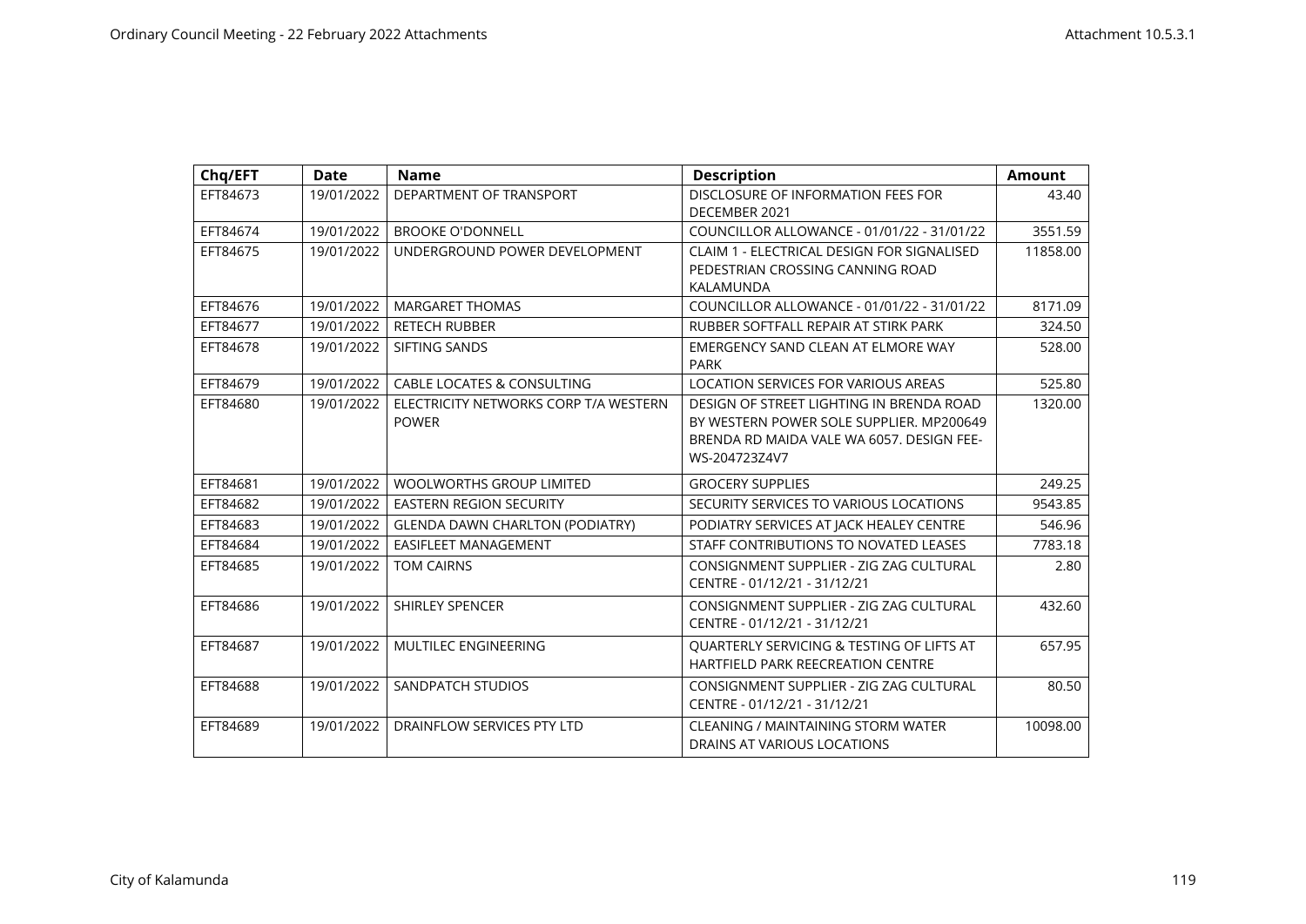| Chq/EFT  | <b>Date</b> | <b>Name</b>                                           | <b>Description</b>                                                                                                                                 | <b>Amount</b> |
|----------|-------------|-------------------------------------------------------|----------------------------------------------------------------------------------------------------------------------------------------------------|---------------|
| EFT84673 | 19/01/2022  | DEPARTMENT OF TRANSPORT                               | DISCLOSURE OF INFORMATION FEES FOR<br>DECEMBER 2021                                                                                                | 43.40         |
| EFT84674 | 19/01/2022  | <b>BROOKE O'DONNELL</b>                               | COUNCILLOR ALLOWANCE - 01/01/22 - 31/01/22                                                                                                         | 3551.59       |
| EFT84675 | 19/01/2022  | UNDERGROUND POWER DEVELOPMENT                         | CLAIM 1 - ELECTRICAL DESIGN FOR SIGNALISED<br>PEDESTRIAN CROSSING CANNING ROAD<br>KALAMUNDA                                                        | 11858.00      |
| EFT84676 | 19/01/2022  | <b>MARGARET THOMAS</b>                                | COUNCILLOR ALLOWANCE - 01/01/22 - 31/01/22                                                                                                         | 8171.09       |
| EFT84677 | 19/01/2022  | <b>RETECH RUBBER</b>                                  | RUBBER SOFTFALL REPAIR AT STIRK PARK                                                                                                               | 324.50        |
| EFT84678 | 19/01/2022  | SIFTING SANDS                                         | EMERGENCY SAND CLEAN AT ELMORE WAY<br><b>PARK</b>                                                                                                  | 528.00        |
| EFT84679 | 19/01/2022  | <b>CABLE LOCATES &amp; CONSULTING</b>                 | <b>LOCATION SERVICES FOR VARIOUS AREAS</b>                                                                                                         | 525.80        |
| EFT84680 | 19/01/2022  | ELECTRICITY NETWORKS CORP T/A WESTERN<br><b>POWER</b> | DESIGN OF STREET LIGHTING IN BRENDA ROAD<br>BY WESTERN POWER SOLE SUPPLIER. MP200649<br>BRENDA RD MAIDA VALE WA 6057. DESIGN FEE-<br>WS-204723Z4V7 | 1320.00       |
| EFT84681 | 19/01/2022  | <b>WOOLWORTHS GROUP LIMITED</b>                       | <b>GROCERY SUPPLIES</b>                                                                                                                            | 249.25        |
| EFT84682 | 19/01/2022  | <b>EASTERN REGION SECURITY</b>                        | SECURITY SERVICES TO VARIOUS LOCATIONS                                                                                                             | 9543.85       |
| EFT84683 | 19/01/2022  | <b>GLENDA DAWN CHARLTON (PODIATRY)</b>                | PODIATRY SERVICES AT JACK HEALEY CENTRE                                                                                                            | 546.96        |
| EFT84684 | 19/01/2022  | <b>EASIFLEET MANAGEMENT</b>                           | STAFF CONTRIBUTIONS TO NOVATED LEASES                                                                                                              | 7783.18       |
| EFT84685 | 19/01/2022  | <b>TOM CAIRNS</b>                                     | CONSIGNMENT SUPPLIER - ZIG ZAG CULTURAL<br>CENTRE - 01/12/21 - 31/12/21                                                                            | 2.80          |
| EFT84686 | 19/01/2022  | SHIRLEY SPENCER                                       | CONSIGNMENT SUPPLIER - ZIG ZAG CULTURAL<br>CENTRE - 01/12/21 - 31/12/21                                                                            | 432.60        |
| EFT84687 | 19/01/2022  | MULTILEC ENGINEERING                                  | <b>OUARTERLY SERVICING &amp; TESTING OF LIFTS AT</b><br><b>HARTFIELD PARK REECREATION CENTRE</b>                                                   | 657.95        |
| EFT84688 | 19/01/2022  | SANDPATCH STUDIOS                                     | CONSIGNMENT SUPPLIER - ZIG ZAG CULTURAL<br>CENTRE - 01/12/21 - 31/12/21                                                                            | 80.50         |
| EFT84689 | 19/01/2022  | DRAINFLOW SERVICES PTY LTD                            | CLEANING / MAINTAINING STORM WATER<br>DRAINS AT VARIOUS LOCATIONS                                                                                  | 10098.00      |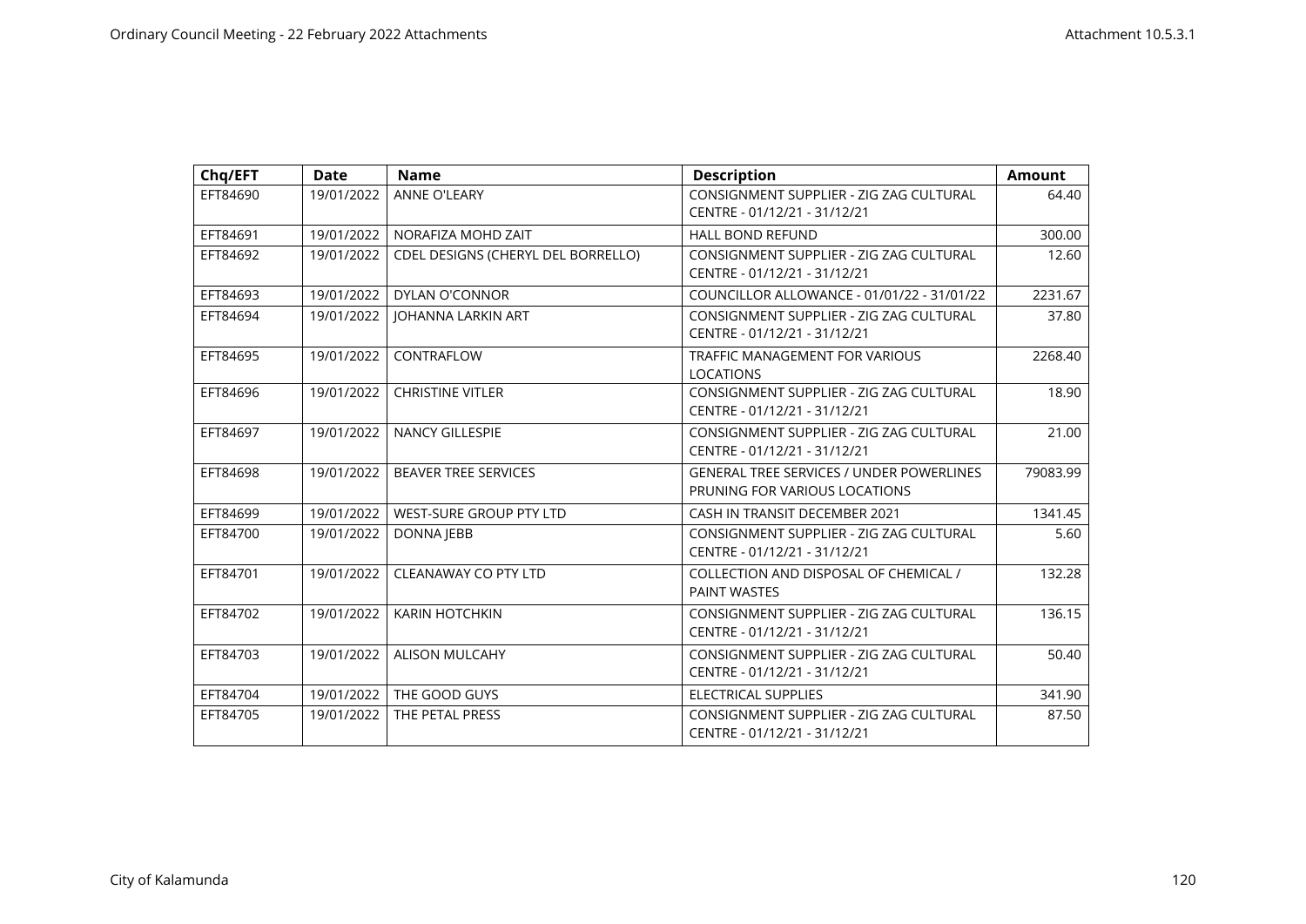| Chq/EFT  | <b>Date</b> | <b>Name</b>                        | <b>Description</b>                                                               | <b>Amount</b> |
|----------|-------------|------------------------------------|----------------------------------------------------------------------------------|---------------|
| EFT84690 | 19/01/2022  | ANNE O'LEARY                       | CONSIGNMENT SUPPLIER - ZIG ZAG CULTURAL<br>CENTRE - 01/12/21 - 31/12/21          | 64.40         |
| EFT84691 | 19/01/2022  | NORAFIZA MOHD ZAIT                 | <b>HALL BOND REFUND</b>                                                          | 300.00        |
| EFT84692 | 19/01/2022  | CDEL DESIGNS (CHERYL DEL BORRELLO) | CONSIGNMENT SUPPLIER - ZIG ZAG CULTURAL<br>CENTRE - 01/12/21 - 31/12/21          | 12.60         |
| EFT84693 | 19/01/2022  | <b>DYLAN O'CONNOR</b>              | COUNCILLOR ALLOWANCE - 01/01/22 - 31/01/22                                       | 2231.67       |
| EFT84694 | 19/01/2022  | <b>JOHANNA LARKIN ART</b>          | CONSIGNMENT SUPPLIER - ZIG ZAG CULTURAL<br>CENTRE - 01/12/21 - 31/12/21          | 37.80         |
| EFT84695 | 19/01/2022  | CONTRAFLOW                         | <b>TRAFFIC MANAGEMENT FOR VARIOUS</b><br><b>LOCATIONS</b>                        | 2268.40       |
| EFT84696 | 19/01/2022  | <b>CHRISTINE VITLER</b>            | CONSIGNMENT SUPPLIER - ZIG ZAG CULTURAL<br>CENTRE - 01/12/21 - 31/12/21          | 18.90         |
| EFT84697 | 19/01/2022  | <b>NANCY GILLESPIE</b>             | CONSIGNMENT SUPPLIER - ZIG ZAG CULTURAL<br>CENTRE - 01/12/21 - 31/12/21          | 21.00         |
| EFT84698 | 19/01/2022  | <b>BEAVER TREE SERVICES</b>        | <b>GENERAL TREE SERVICES / UNDER POWERLINES</b><br>PRUNING FOR VARIOUS LOCATIONS | 79083.99      |
| EFT84699 | 19/01/2022  | WEST-SURE GROUP PTY LTD            | CASH IN TRANSIT DECEMBER 2021                                                    | 1341.45       |
| EFT84700 | 19/01/2022  | <b>DONNA JEBB</b>                  | CONSIGNMENT SUPPLIER - ZIG ZAG CULTURAL<br>CENTRE - 01/12/21 - 31/12/21          | 5.60          |
| EFT84701 | 19/01/2022  | <b>CLEANAWAY CO PTY LTD</b>        | COLLECTION AND DISPOSAL OF CHEMICAL /<br><b>PAINT WASTES</b>                     | 132.28        |
| EFT84702 | 19/01/2022  | <b>KARIN HOTCHKIN</b>              | CONSIGNMENT SUPPLIER - ZIG ZAG CULTURAL<br>CENTRE - 01/12/21 - 31/12/21          | 136.15        |
| EFT84703 | 19/01/2022  | <b>ALISON MULCAHY</b>              | CONSIGNMENT SUPPLIER - ZIG ZAG CULTURAL<br>CENTRE - 01/12/21 - 31/12/21          | 50.40         |
| EFT84704 | 19/01/2022  | THE GOOD GUYS                      | <b>ELECTRICAL SUPPLIES</b>                                                       | 341.90        |
| EFT84705 | 19/01/2022  | THE PETAL PRESS                    | CONSIGNMENT SUPPLIER - ZIG ZAG CULTURAL<br>CENTRE - 01/12/21 - 31/12/21          | 87.50         |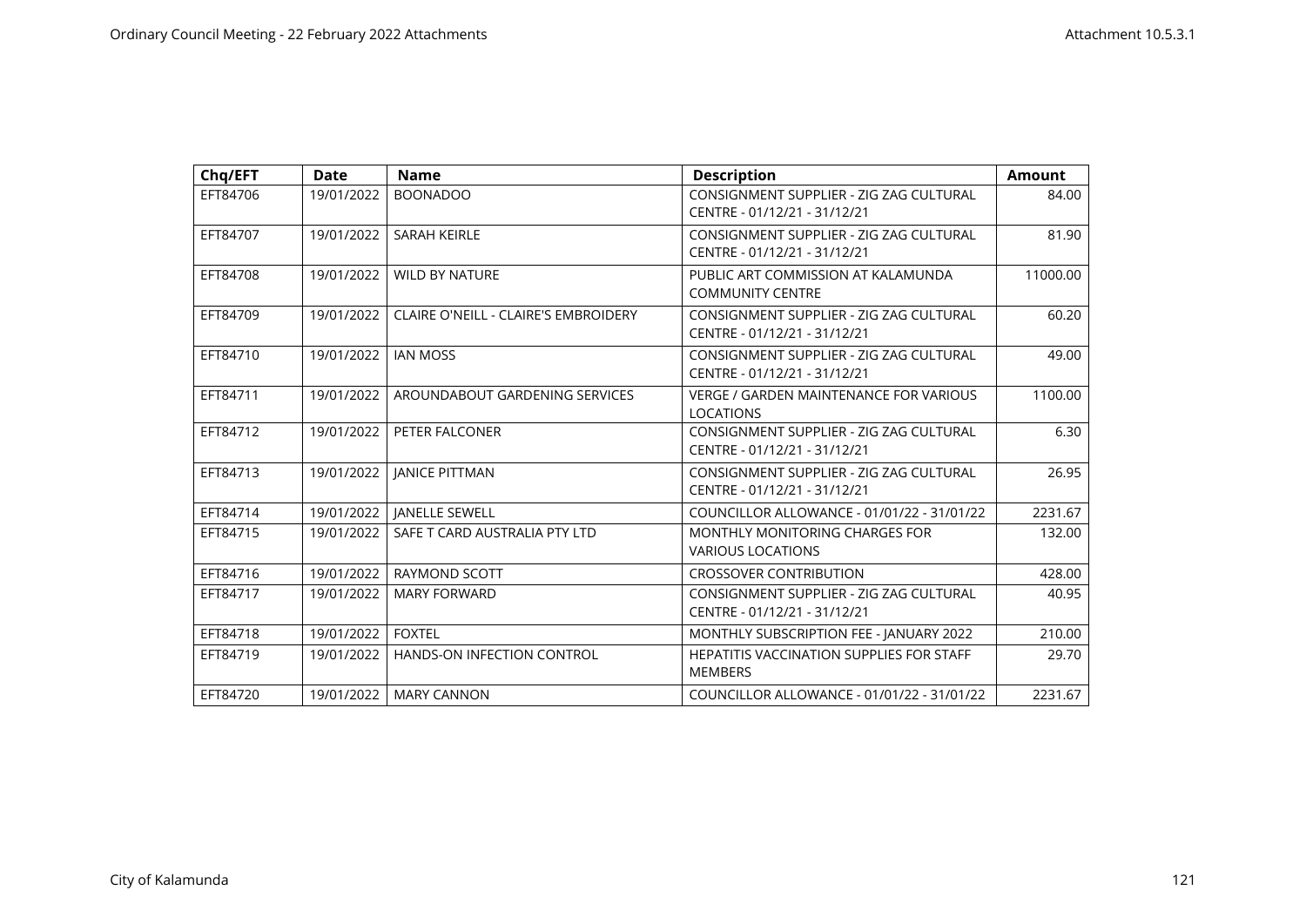| Chq/EFT  | <b>Date</b> | <b>Name</b>                                 | <b>Description</b>                                                      | <b>Amount</b> |
|----------|-------------|---------------------------------------------|-------------------------------------------------------------------------|---------------|
| EFT84706 | 19/01/2022  | <b>BOONADOO</b>                             | CONSIGNMENT SUPPLIER - ZIG ZAG CULTURAL<br>CENTRE - 01/12/21 - 31/12/21 | 84.00         |
| EFT84707 | 19/01/2022  | <b>SARAH KEIRLE</b>                         | CONSIGNMENT SUPPLIER - ZIG ZAG CULTURAL<br>CENTRE - 01/12/21 - 31/12/21 | 81.90         |
| EFT84708 | 19/01/2022  | <b>WILD BY NATURE</b>                       | PUBLIC ART COMMISSION AT KALAMUNDA<br><b>COMMUNITY CENTRE</b>           | 11000.00      |
| EFT84709 | 19/01/2022  | <b>CLAIRE O'NEILL - CLAIRE'S EMBROIDERY</b> | CONSIGNMENT SUPPLIER - ZIG ZAG CULTURAL<br>CENTRE - 01/12/21 - 31/12/21 | 60.20         |
| EFT84710 | 19/01/2022  | <b>IAN MOSS</b>                             | CONSIGNMENT SUPPLIER - ZIG ZAG CULTURAL<br>CENTRE - 01/12/21 - 31/12/21 | 49.00         |
| EFT84711 | 19/01/2022  | AROUNDABOUT GARDENING SERVICES              | <b>VERGE / GARDEN MAINTENANCE FOR VARIOUS</b><br><b>LOCATIONS</b>       | 1100.00       |
| EFT84712 | 19/01/2022  | PETER FALCONER                              | CONSIGNMENT SUPPLIER - ZIG ZAG CULTURAL<br>CENTRE - 01/12/21 - 31/12/21 | 6.30          |
| EFT84713 | 19/01/2022  | <b>IANICE PITTMAN</b>                       | CONSIGNMENT SUPPLIER - ZIG ZAG CULTURAL<br>CENTRE - 01/12/21 - 31/12/21 | 26.95         |
| EFT84714 | 19/01/2022  | <b>JANELLE SEWELL</b>                       | COUNCILLOR ALLOWANCE - 01/01/22 - 31/01/22                              | 2231.67       |
| EFT84715 | 19/01/2022  | SAFE T CARD AUSTRALIA PTY LTD               | <b>MONTHLY MONITORING CHARGES FOR</b><br><b>VARIOUS LOCATIONS</b>       | 132.00        |
| EFT84716 | 19/01/2022  | <b>RAYMOND SCOTT</b>                        | <b>CROSSOVER CONTRIBUTION</b>                                           | 428.00        |
| EFT84717 | 19/01/2022  | <b>MARY FORWARD</b>                         | CONSIGNMENT SUPPLIER - ZIG ZAG CULTURAL<br>CENTRE - 01/12/21 - 31/12/21 | 40.95         |
| EFT84718 | 19/01/2022  | <b>FOXTEL</b>                               | MONTHLY SUBSCRIPTION FEE - JANUARY 2022                                 | 210.00        |
| EFT84719 | 19/01/2022  | HANDS-ON INFECTION CONTROL                  | <b>HEPATITIS VACCINATION SUPPLIES FOR STAFF</b><br><b>MEMBERS</b>       | 29.70         |
| EFT84720 | 19/01/2022  | <b>MARY CANNON</b>                          | COUNCILLOR ALLOWANCE - 01/01/22 - 31/01/22                              | 2231.67       |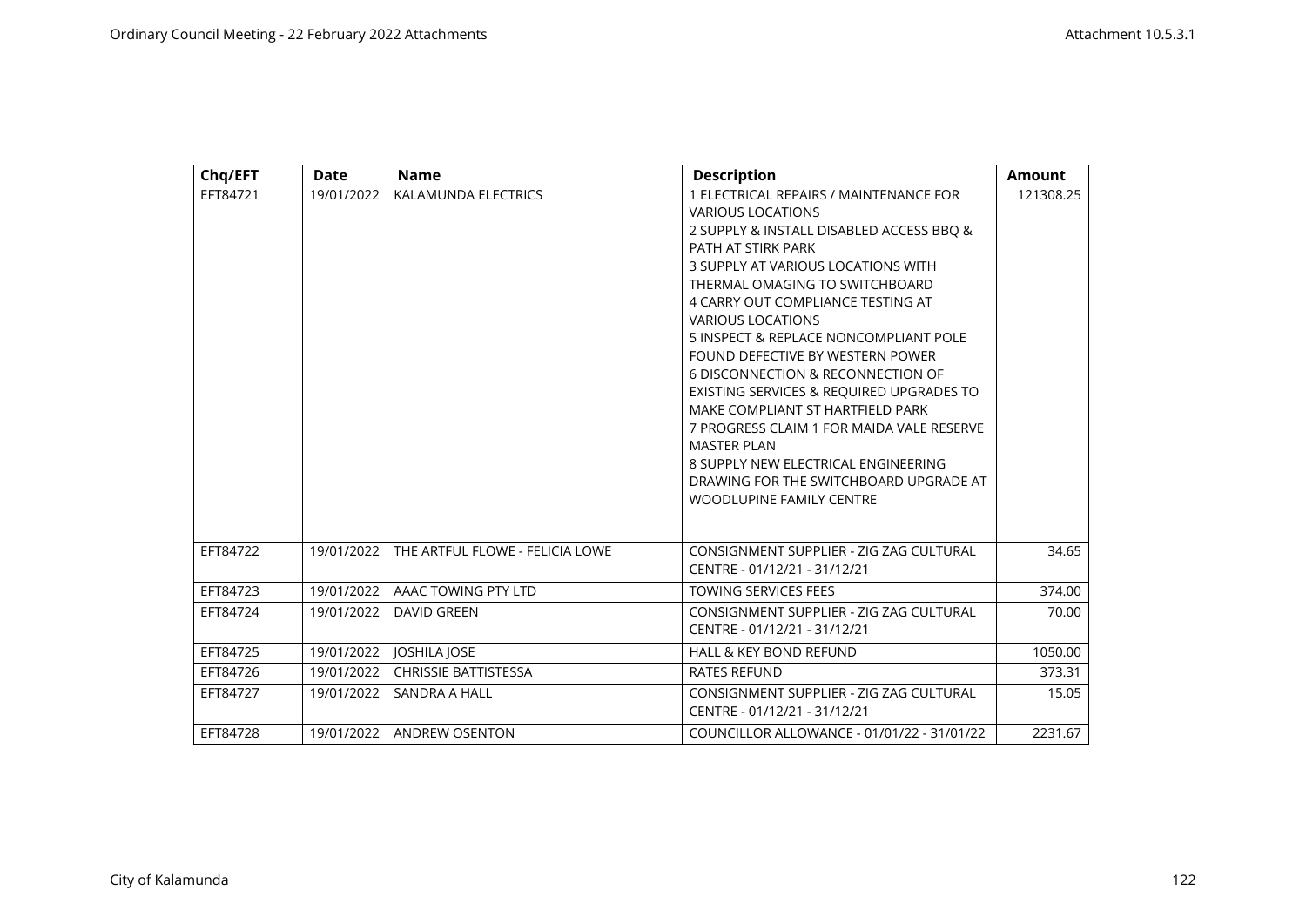| Chq/EFT  | <b>Date</b> | <b>Name</b>                     | <b>Description</b>                                                                                                                                                                                                                                                                                                                                                                                                                                                                                                                                                                                                                                                     | <b>Amount</b> |
|----------|-------------|---------------------------------|------------------------------------------------------------------------------------------------------------------------------------------------------------------------------------------------------------------------------------------------------------------------------------------------------------------------------------------------------------------------------------------------------------------------------------------------------------------------------------------------------------------------------------------------------------------------------------------------------------------------------------------------------------------------|---------------|
| EFT84721 | 19/01/2022  | KALAMUNDA ELECTRICS             | 1 ELECTRICAL REPAIRS / MAINTENANCE FOR<br><b>VARIOUS LOCATIONS</b><br>2 SUPPLY & INSTALL DISABLED ACCESS BBO &<br>PATH AT STIRK PARK<br>3 SUPPLY AT VARIOUS LOCATIONS WITH<br>THERMAL OMAGING TO SWITCHBOARD<br>4 CARRY OUT COMPLIANCE TESTING AT<br><b>VARIOUS LOCATIONS</b><br>5 INSPECT & REPLACE NONCOMPLIANT POLE<br>FOUND DEFECTIVE BY WESTERN POWER<br>6 DISCONNECTION & RECONNECTION OF<br>EXISTING SERVICES & REQUIRED UPGRADES TO<br>MAKE COMPLIANT ST HARTFIELD PARK<br>7 PROGRESS CLAIM 1 FOR MAIDA VALE RESERVE<br><b>MASTER PLAN</b><br>8 SUPPLY NEW ELECTRICAL ENGINEERING<br>DRAWING FOR THE SWITCHBOARD UPGRADE AT<br><b>WOODLUPINE FAMILY CENTRE</b> | 121308.25     |
| EFT84722 | 19/01/2022  | THE ARTFUL FLOWE - FELICIA LOWE | CONSIGNMENT SUPPLIER - ZIG ZAG CULTURAL<br>CENTRE - 01/12/21 - 31/12/21                                                                                                                                                                                                                                                                                                                                                                                                                                                                                                                                                                                                | 34.65         |
| EFT84723 | 19/01/2022  | AAAC TOWING PTY LTD             | <b>TOWING SERVICES FEES</b>                                                                                                                                                                                                                                                                                                                                                                                                                                                                                                                                                                                                                                            | 374.00        |
| EFT84724 | 19/01/2022  | <b>DAVID GREEN</b>              | CONSIGNMENT SUPPLIER - ZIG ZAG CULTURAL<br>CENTRE - 01/12/21 - 31/12/21                                                                                                                                                                                                                                                                                                                                                                                                                                                                                                                                                                                                | 70.00         |
| EFT84725 | 19/01/2022  | <b>JOSHILA JOSE</b>             | <b>HALL &amp; KEY BOND REFUND</b>                                                                                                                                                                                                                                                                                                                                                                                                                                                                                                                                                                                                                                      | 1050.00       |
| EFT84726 | 19/01/2022  | <b>CHRISSIE BATTISTESSA</b>     | <b>RATES REFUND</b>                                                                                                                                                                                                                                                                                                                                                                                                                                                                                                                                                                                                                                                    | 373.31        |
| EFT84727 | 19/01/2022  | SANDRA A HALL                   | CONSIGNMENT SUPPLIER - ZIG ZAG CULTURAL<br>CENTRE - 01/12/21 - 31/12/21                                                                                                                                                                                                                                                                                                                                                                                                                                                                                                                                                                                                | 15.05         |
| EFT84728 | 19/01/2022  | ANDREW OSENTON                  | COUNCILLOR ALLOWANCE - 01/01/22 - 31/01/22                                                                                                                                                                                                                                                                                                                                                                                                                                                                                                                                                                                                                             | 2231.67       |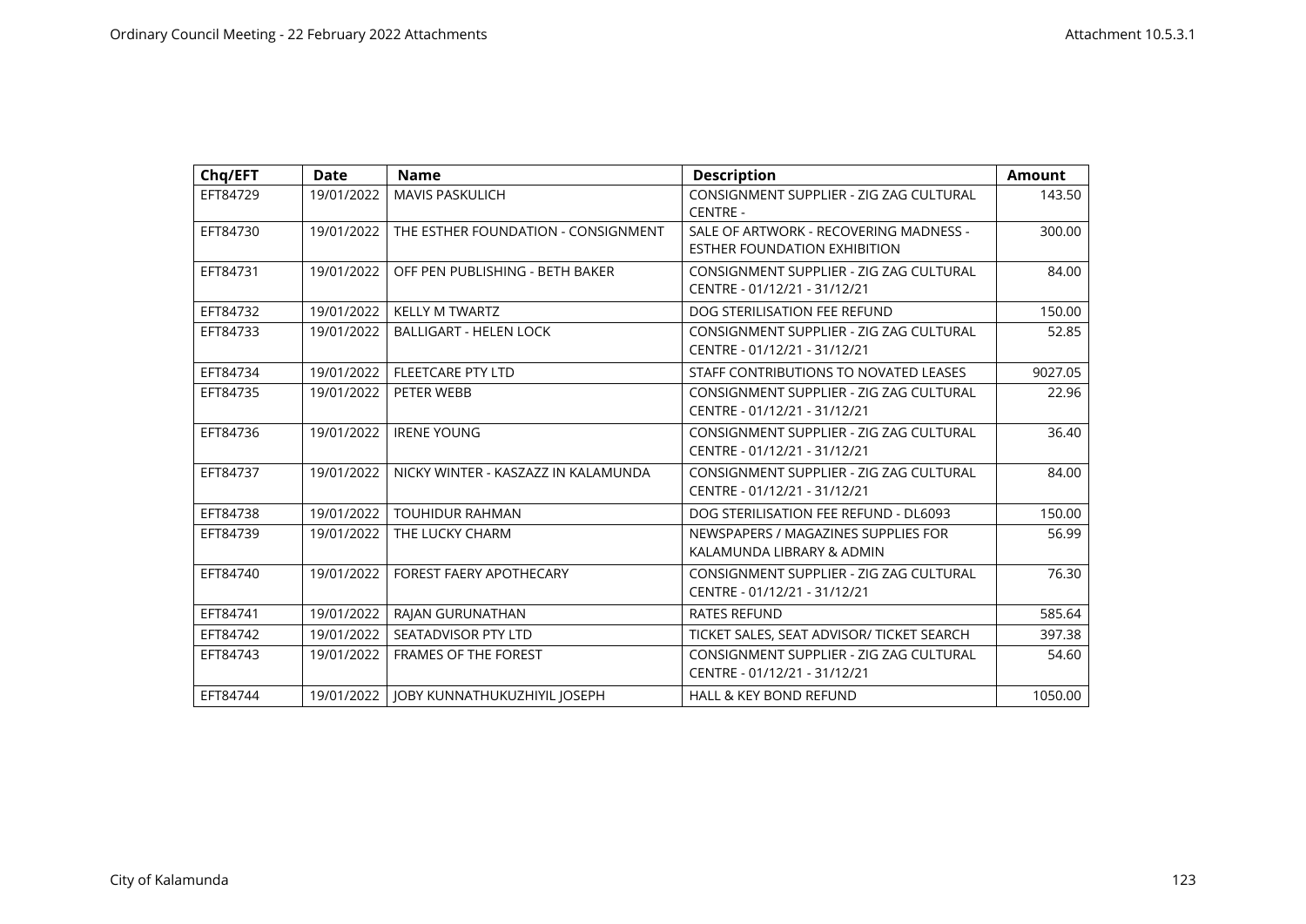| Chq/EFT  | Date       | <b>Name</b>                         | <b>Description</b>                                                            | <b>Amount</b> |
|----------|------------|-------------------------------------|-------------------------------------------------------------------------------|---------------|
| EFT84729 | 19/01/2022 | <b>MAVIS PASKULICH</b>              | CONSIGNMENT SUPPLIER - ZIG ZAG CULTURAL<br><b>CENTRE -</b>                    | 143.50        |
| EFT84730 | 19/01/2022 | THE ESTHER FOUNDATION - CONSIGNMENT | SALE OF ARTWORK - RECOVERING MADNESS -<br><b>ESTHER FOUNDATION EXHIBITION</b> | 300.00        |
| EFT84731 | 19/01/2022 | OFF PEN PUBLISHING - BETH BAKER     | CONSIGNMENT SUPPLIER - ZIG ZAG CULTURAL<br>CENTRE - 01/12/21 - 31/12/21       | 84.00         |
| EFT84732 | 19/01/2022 | <b>KELLY M TWARTZ</b>               | DOG STERILISATION FEE REFUND                                                  | 150.00        |
| EFT84733 | 19/01/2022 | <b>BALLIGART - HELEN LOCK</b>       | CONSIGNMENT SUPPLIER - ZIG ZAG CULTURAL<br>CENTRE - 01/12/21 - 31/12/21       | 52.85         |
| EFT84734 | 19/01/2022 | <b>FLEETCARE PTY LTD</b>            | STAFF CONTRIBUTIONS TO NOVATED LEASES                                         | 9027.05       |
| EFT84735 | 19/01/2022 | PETER WEBB                          | CONSIGNMENT SUPPLIER - ZIG ZAG CULTURAL<br>CENTRE - 01/12/21 - 31/12/21       | 22.96         |
| EFT84736 | 19/01/2022 | <b>IRENE YOUNG</b>                  | CONSIGNMENT SUPPLIER - ZIG ZAG CULTURAL<br>CENTRE - 01/12/21 - 31/12/21       | 36.40         |
| EFT84737 | 19/01/2022 | NICKY WINTER - KASZAZZ IN KALAMUNDA | CONSIGNMENT SUPPLIER - ZIG ZAG CULTURAL<br>CENTRE - 01/12/21 - 31/12/21       | 84.00         |
| EFT84738 | 19/01/2022 | <b>TOUHIDUR RAHMAN</b>              | DOG STERILISATION FEE REFUND - DL6093                                         | 150.00        |
| EFT84739 | 19/01/2022 | THE LUCKY CHARM                     | NEWSPAPERS / MAGAZINES SUPPLIES FOR<br>KALAMUNDA LIBRARY & ADMIN              | 56.99         |
| EFT84740 | 19/01/2022 | <b>FOREST FAERY APOTHECARY</b>      | CONSIGNMENT SUPPLIER - ZIG ZAG CULTURAL<br>CENTRE - 01/12/21 - 31/12/21       | 76.30         |
| EFT84741 | 19/01/2022 | RAJAN GURUNATHAN                    | <b>RATES REFUND</b>                                                           | 585.64        |
| EFT84742 | 19/01/2022 | SEATADVISOR PTY LTD                 | TICKET SALES, SEAT ADVISOR/ TICKET SEARCH                                     | 397.38        |
| EFT84743 | 19/01/2022 | <b>FRAMES OF THE FOREST</b>         | CONSIGNMENT SUPPLIER - ZIG ZAG CULTURAL<br>CENTRE - 01/12/21 - 31/12/21       | 54.60         |
| EFT84744 | 19/01/2022 | JOBY KUNNATHUKUZHIYIL JOSEPH        | <b>HALL &amp; KEY BOND REFUND</b>                                             | 1050.00       |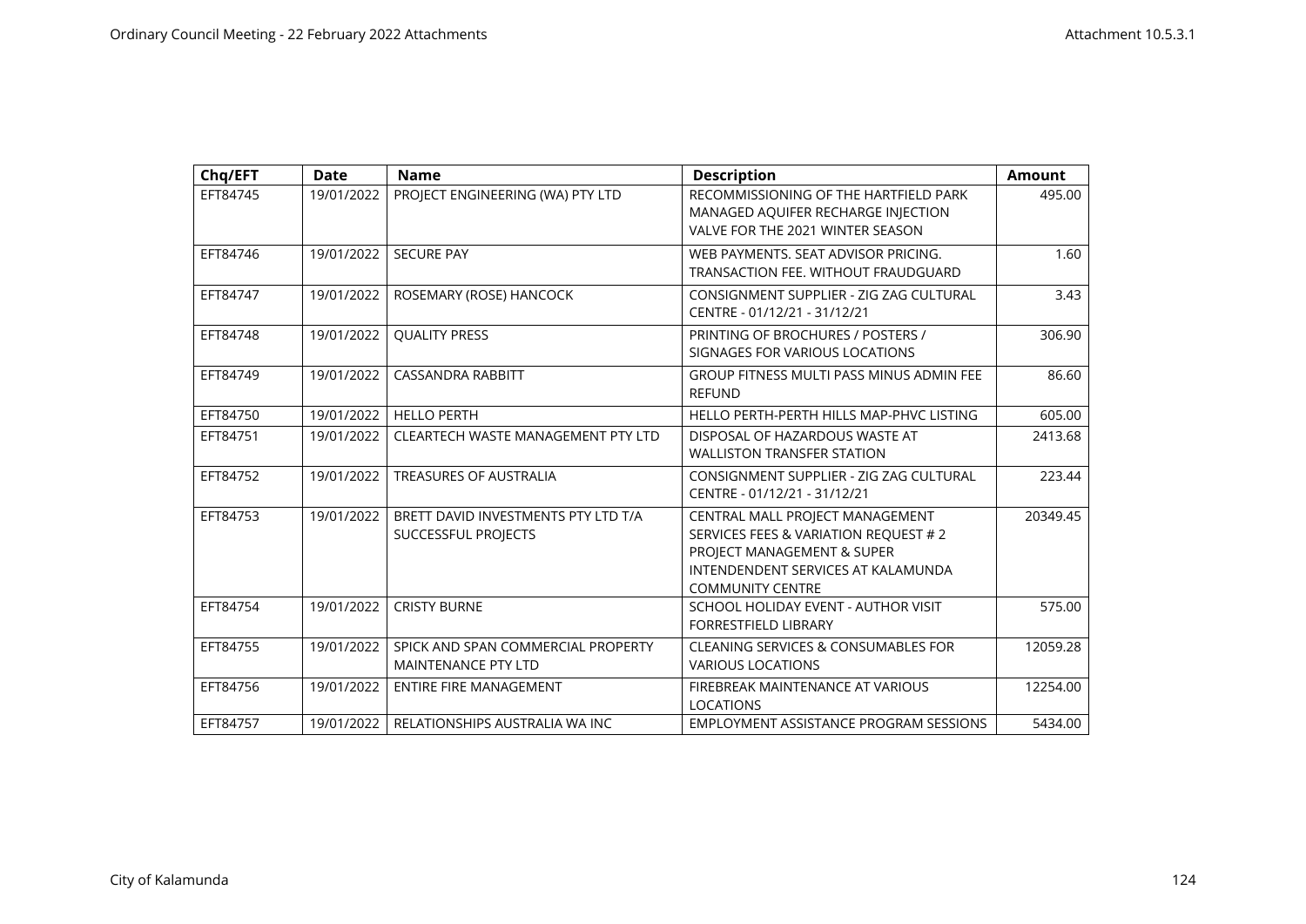| Chq/EFT  | <b>Date</b> | <b>Name</b>                                                      | <b>Description</b>                                                                                                                                                      | <b>Amount</b> |
|----------|-------------|------------------------------------------------------------------|-------------------------------------------------------------------------------------------------------------------------------------------------------------------------|---------------|
| EFT84745 | 19/01/2022  | PROJECT ENGINEERING (WA) PTY LTD                                 | RECOMMISSIONING OF THE HARTFIELD PARK<br>MANAGED AQUIFER RECHARGE INJECTION<br>VALVE FOR THE 2021 WINTER SEASON                                                         | 495.00        |
| EFT84746 | 19/01/2022  | <b>SECURE PAY</b>                                                | WEB PAYMENTS, SEAT ADVISOR PRICING.<br>TRANSACTION FEE. WITHOUT FRAUDGUARD                                                                                              | 1.60          |
| EFT84747 | 19/01/2022  | ROSEMARY (ROSE) HANCOCK                                          | CONSIGNMENT SUPPLIER - ZIG ZAG CULTURAL<br>CENTRE - 01/12/21 - 31/12/21                                                                                                 | 3.43          |
| EFT84748 | 19/01/2022  | <b>QUALITY PRESS</b>                                             | PRINTING OF BROCHURES / POSTERS /<br>SIGNAGES FOR VARIOUS LOCATIONS                                                                                                     | 306.90        |
| EFT84749 | 19/01/2022  | <b>CASSANDRA RABBITT</b>                                         | <b>GROUP FITNESS MULTI PASS MINUS ADMIN FEE</b><br><b>REFUND</b>                                                                                                        | 86.60         |
| EFT84750 | 19/01/2022  | <b>HELLO PERTH</b>                                               | HELLO PERTH-PERTH HILLS MAP-PHVC LISTING                                                                                                                                | 605.00        |
| EFT84751 | 19/01/2022  | <b>CLEARTECH WASTE MANAGEMENT PTY LTD</b>                        | DISPOSAL OF HAZARDOUS WASTE AT<br><b>WALLISTON TRANSFER STATION</b>                                                                                                     | 2413.68       |
| EFT84752 | 19/01/2022  | <b>TREASURES OF AUSTRALIA</b>                                    | CONSIGNMENT SUPPLIER - ZIG ZAG CULTURAL<br>CENTRE - 01/12/21 - 31/12/21                                                                                                 | 223.44        |
| EFT84753 | 19/01/2022  | BRETT DAVID INVESTMENTS PTY LTD T/A<br>SUCCESSFUL PROJECTS       | CENTRAL MALL PROJECT MANAGEMENT<br>SERVICES FEES & VARIATION REQUEST # 2<br>PROJECT MANAGEMENT & SUPER<br>INTENDENDENT SERVICES AT KALAMUNDA<br><b>COMMUNITY CENTRE</b> | 20349.45      |
| EFT84754 | 19/01/2022  | <b>CRISTY BURNE</b>                                              | SCHOOL HOLIDAY EVENT - AUTHOR VISIT<br><b>FORRESTFIELD LIBRARY</b>                                                                                                      | 575.00        |
| EFT84755 | 19/01/2022  | SPICK AND SPAN COMMERCIAL PROPERTY<br><b>MAINTENANCE PTY LTD</b> | <b>CLEANING SERVICES &amp; CONSUMABLES FOR</b><br><b>VARIOUS LOCATIONS</b>                                                                                              | 12059.28      |
| EFT84756 | 19/01/2022  | <b>ENTIRE FIRE MANAGEMENT</b>                                    | FIREBREAK MAINTENANCE AT VARIOUS<br><b>LOCATIONS</b>                                                                                                                    | 12254.00      |
| EFT84757 | 19/01/2022  | RELATIONSHIPS AUSTRALIA WA INC                                   | EMPLOYMENT ASSISTANCE PROGRAM SESSIONS                                                                                                                                  | 5434.00       |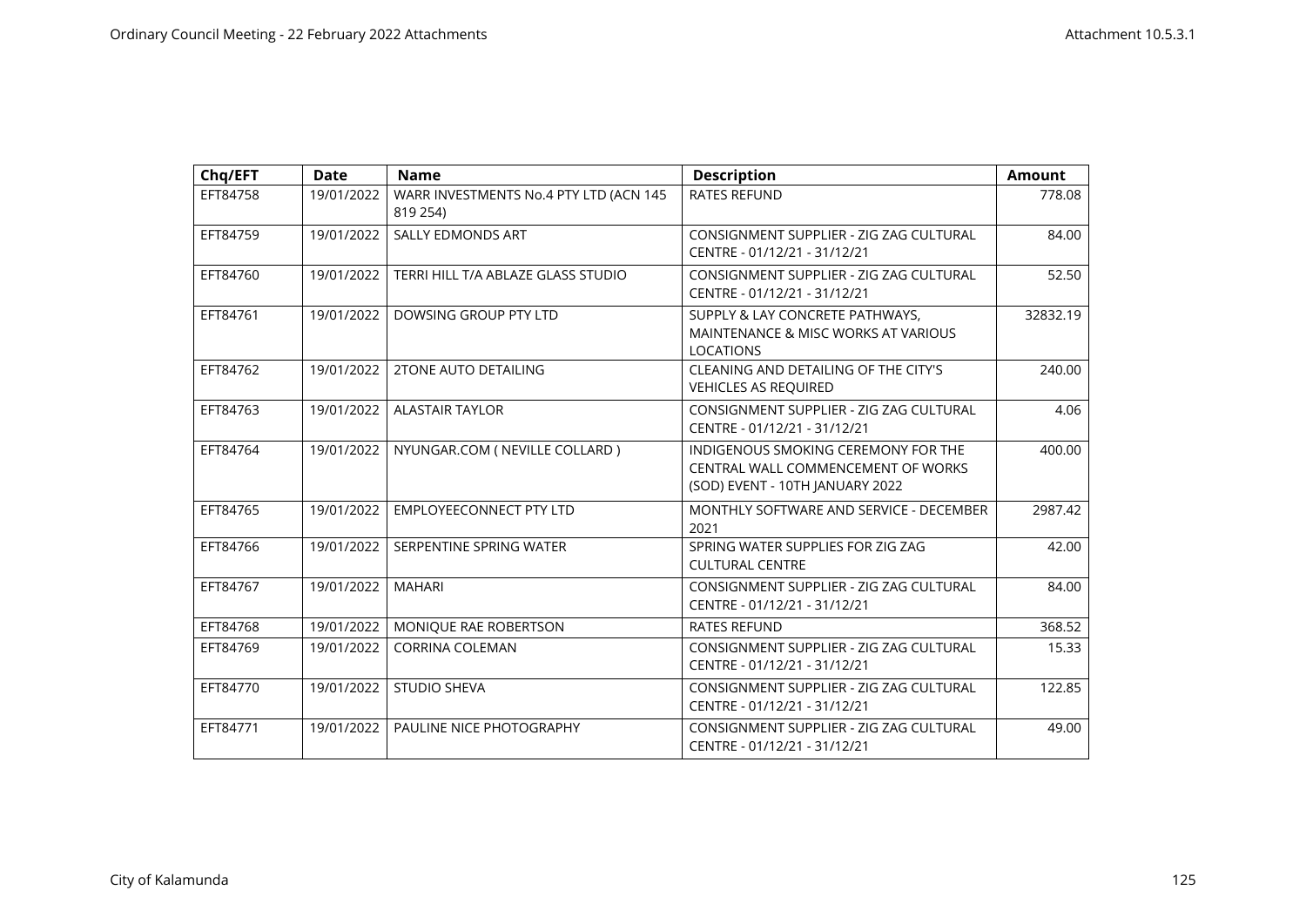| Chq/EFT  | <b>Date</b> | <b>Name</b>                                        | <b>Description</b>                                                                                           | <b>Amount</b> |
|----------|-------------|----------------------------------------------------|--------------------------------------------------------------------------------------------------------------|---------------|
| EFT84758 | 19/01/2022  | WARR INVESTMENTS No.4 PTY LTD (ACN 145<br>819 254) | <b>RATES REFUND</b>                                                                                          | 778.08        |
| EFT84759 | 19/01/2022  | SALLY EDMONDS ART                                  | CONSIGNMENT SUPPLIER - ZIG ZAG CULTURAL<br>CENTRE - 01/12/21 - 31/12/21                                      | 84.00         |
| EFT84760 | 19/01/2022  | TERRI HILL T/A ABLAZE GLASS STUDIO                 | CONSIGNMENT SUPPLIER - ZIG ZAG CULTURAL<br>CENTRE - 01/12/21 - 31/12/21                                      | 52.50         |
| EFT84761 | 19/01/2022  | DOWSING GROUP PTY LTD                              | SUPPLY & LAY CONCRETE PATHWAYS,<br>MAINTENANCE & MISC WORKS AT VARIOUS<br><b>LOCATIONS</b>                   | 32832.19      |
| EFT84762 | 19/01/2022  | <b>2TONE AUTO DETAILING</b>                        | CLEANING AND DETAILING OF THE CITY'S<br><b>VEHICLES AS REQUIRED</b>                                          | 240.00        |
| EFT84763 | 19/01/2022  | <b>ALASTAIR TAYLOR</b>                             | CONSIGNMENT SUPPLIER - ZIG ZAG CULTURAL<br>CENTRE - 01/12/21 - 31/12/21                                      | 4.06          |
| EFT84764 | 19/01/2022  | NYUNGAR.COM ( NEVILLE COLLARD )                    | INDIGENOUS SMOKING CEREMONY FOR THE<br>CENTRAL WALL COMMENCEMENT OF WORKS<br>(SOD) EVENT - 10TH JANUARY 2022 | 400.00        |
| EFT84765 | 19/01/2022  | <b>EMPLOYEECONNECT PTY LTD</b>                     | MONTHLY SOFTWARE AND SERVICE - DECEMBER<br>2021                                                              | 2987.42       |
| EFT84766 | 19/01/2022  | SERPENTINE SPRING WATER                            | SPRING WATER SUPPLIES FOR ZIG ZAG<br><b>CULTURAL CENTRE</b>                                                  | 42.00         |
| EFT84767 | 19/01/2022  | <b>MAHARI</b>                                      | CONSIGNMENT SUPPLIER - ZIG ZAG CULTURAL<br>CENTRE - 01/12/21 - 31/12/21                                      | 84.00         |
| EFT84768 | 19/01/2022  | MONIQUE RAE ROBERTSON                              | <b>RATES REFUND</b>                                                                                          | 368.52        |
| EFT84769 | 19/01/2022  | <b>CORRINA COLEMAN</b>                             | CONSIGNMENT SUPPLIER - ZIG ZAG CULTURAL<br>CENTRE - 01/12/21 - 31/12/21                                      | 15.33         |
| EFT84770 | 19/01/2022  | <b>STUDIO SHEVA</b>                                | CONSIGNMENT SUPPLIER - ZIG ZAG CULTURAL<br>CENTRE - 01/12/21 - 31/12/21                                      | 122.85        |
| EFT84771 | 19/01/2022  | PAULINE NICE PHOTOGRAPHY                           | CONSIGNMENT SUPPLIER - ZIG ZAG CULTURAL<br>CENTRE - 01/12/21 - 31/12/21                                      | 49.00         |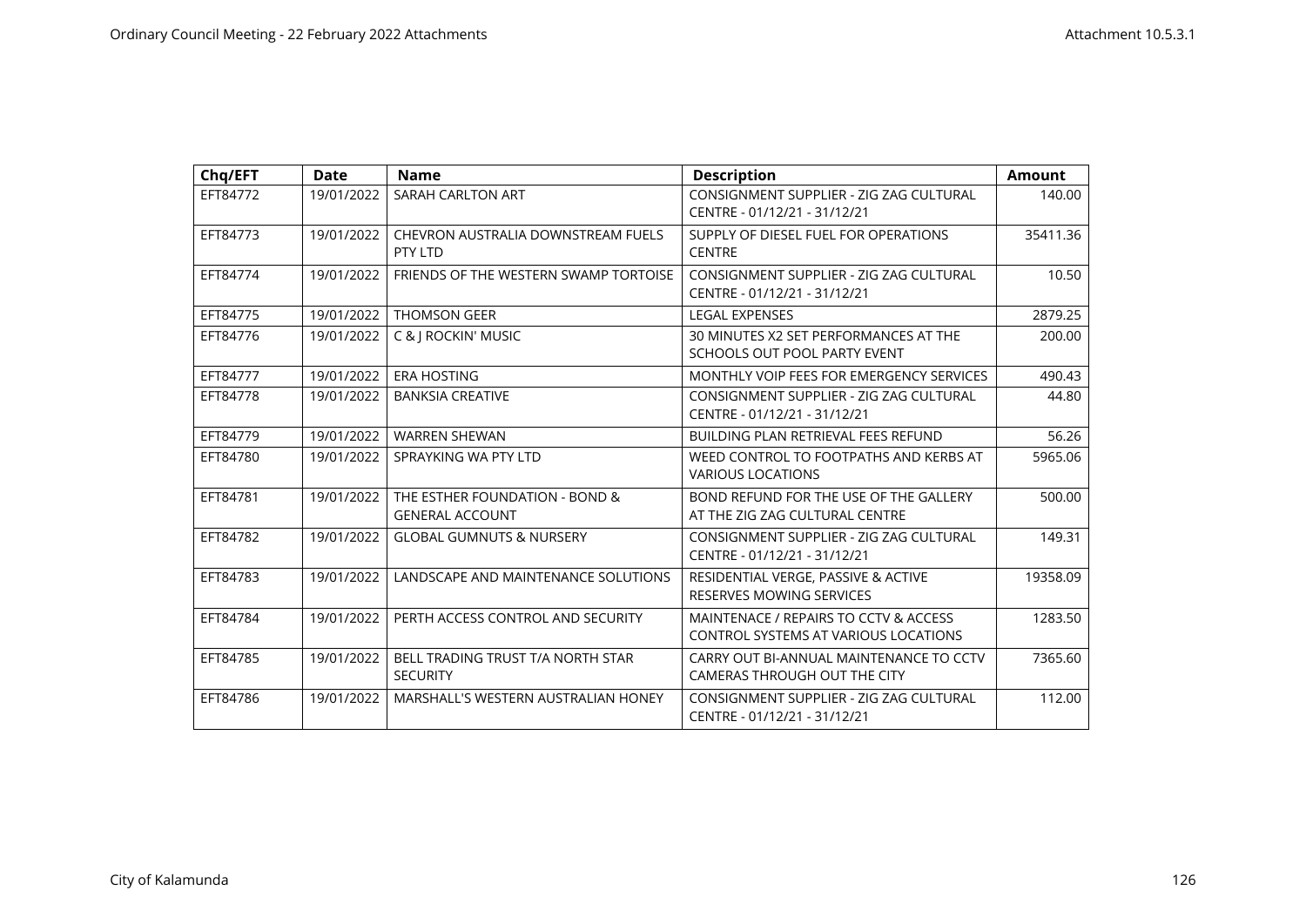| Chq/EFT  | Date       | <b>Name</b>                                              | <b>Description</b>                                                            | <b>Amount</b> |
|----------|------------|----------------------------------------------------------|-------------------------------------------------------------------------------|---------------|
| EFT84772 | 19/01/2022 | SARAH CARLTON ART                                        | CONSIGNMENT SUPPLIER - ZIG ZAG CULTURAL<br>CENTRE - 01/12/21 - 31/12/21       | 140.00        |
| EFT84773 | 19/01/2022 | CHEVRON AUSTRALIA DOWNSTREAM FUELS<br>PTY LTD            | SUPPLY OF DIESEL FUEL FOR OPERATIONS<br><b>CENTRE</b>                         | 35411.36      |
| EFT84774 | 19/01/2022 | FRIENDS OF THE WESTERN SWAMP TORTOISE                    | CONSIGNMENT SUPPLIER - ZIG ZAG CULTURAL<br>CENTRE - 01/12/21 - 31/12/21       | 10.50         |
| EFT84775 | 19/01/2022 | <b>THOMSON GEER</b>                                      | <b>LEGAL EXPENSES</b>                                                         | 2879.25       |
| EFT84776 | 19/01/2022 | C &   ROCKIN' MUSIC                                      | 30 MINUTES X2 SET PERFORMANCES AT THE<br>SCHOOLS OUT POOL PARTY EVENT         | 200.00        |
| EFT84777 | 19/01/2022 | <b>ERA HOSTING</b>                                       | MONTHLY VOIP FEES FOR EMERGENCY SERVICES                                      | 490.43        |
| EFT84778 | 19/01/2022 | <b>BANKSIA CREATIVE</b>                                  | CONSIGNMENT SUPPLIER - ZIG ZAG CULTURAL<br>CENTRE - 01/12/21 - 31/12/21       | 44.80         |
| EFT84779 | 19/01/2022 | <b>WARREN SHEWAN</b>                                     | <b>BUILDING PLAN RETRIEVAL FEES REFUND</b>                                    | 56.26         |
| EFT84780 | 19/01/2022 | SPRAYKING WA PTY LTD                                     | WEED CONTROL TO FOOTPATHS AND KERBS AT<br><b>VARIOUS LOCATIONS</b>            | 5965.06       |
| EFT84781 | 19/01/2022 | THE ESTHER FOUNDATION - BOND &<br><b>GENERAL ACCOUNT</b> | BOND REFUND FOR THE USE OF THE GALLERY<br>AT THE ZIG ZAG CULTURAL CENTRE      | 500.00        |
| EFT84782 | 19/01/2022 | <b>GLOBAL GUMNUTS &amp; NURSERY</b>                      | CONSIGNMENT SUPPLIER - ZIG ZAG CULTURAL<br>CENTRE - 01/12/21 - 31/12/21       | 149.31        |
| EFT84783 | 19/01/2022 | LANDSCAPE AND MAINTENANCE SOLUTIONS                      | RESIDENTIAL VERGE, PASSIVE & ACTIVE<br><b>RESERVES MOWING SERVICES</b>        | 19358.09      |
| EFT84784 | 19/01/2022 | PERTH ACCESS CONTROL AND SECURITY                        | MAINTENACE / REPAIRS TO CCTV & ACCESS<br>CONTROL SYSTEMS AT VARIOUS LOCATIONS | 1283.50       |
| EFT84785 | 19/01/2022 | BELL TRADING TRUST T/A NORTH STAR<br><b>SECURITY</b>     | CARRY OUT BI-ANNUAL MAINTENANCE TO CCTV<br>CAMERAS THROUGH OUT THE CITY       | 7365.60       |
| EFT84786 | 19/01/2022 | MARSHALL'S WESTERN AUSTRALIAN HONEY                      | CONSIGNMENT SUPPLIER - ZIG ZAG CULTURAL<br>CENTRE - 01/12/21 - 31/12/21       | 112.00        |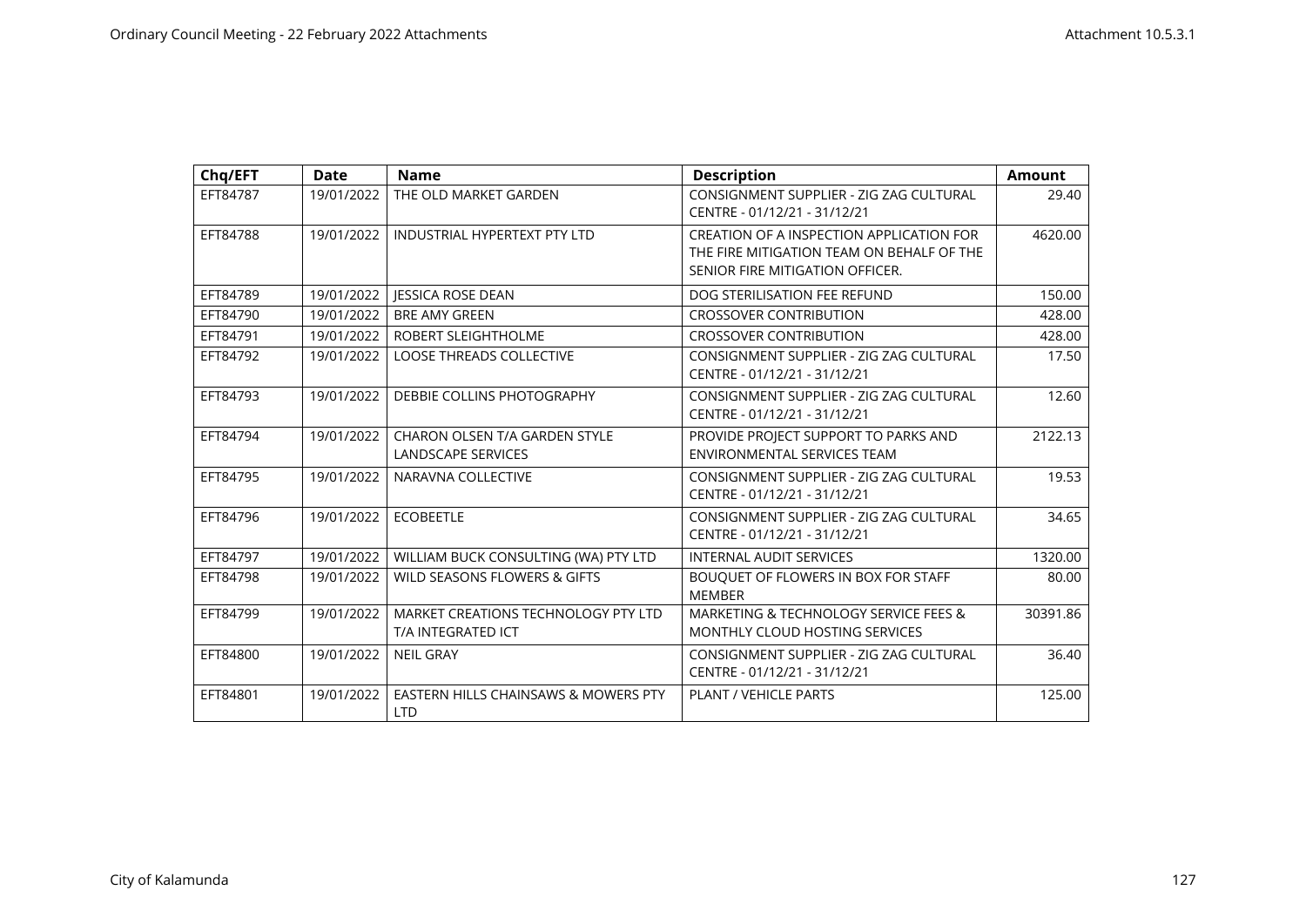| Chq/EFT  | <b>Date</b> | <b>Name</b>                                                | <b>Description</b>                                                                                                       | <b>Amount</b> |
|----------|-------------|------------------------------------------------------------|--------------------------------------------------------------------------------------------------------------------------|---------------|
| EFT84787 | 19/01/2022  | THE OLD MARKET GARDEN                                      | CONSIGNMENT SUPPLIER - ZIG ZAG CULTURAL<br>CENTRE - 01/12/21 - 31/12/21                                                  | 29.40         |
| EFT84788 | 19/01/2022  | <b>INDUSTRIAL HYPERTEXT PTY LTD</b>                        | CREATION OF A INSPECTION APPLICATION FOR<br>THE FIRE MITIGATION TEAM ON BEHALF OF THE<br>SENIOR FIRE MITIGATION OFFICER. | 4620.00       |
| EFT84789 | 19/01/2022  | <b>JESSICA ROSE DEAN</b>                                   | DOG STERILISATION FEE REFUND                                                                                             | 150.00        |
| EFT84790 | 19/01/2022  | <b>BRE AMY GREEN</b>                                       | <b>CROSSOVER CONTRIBUTION</b>                                                                                            | 428.00        |
| EFT84791 | 19/01/2022  | ROBERT SLEIGHTHOLME                                        | <b>CROSSOVER CONTRIBUTION</b>                                                                                            | 428.00        |
| EFT84792 | 19/01/2022  | <b>LOOSE THREADS COLLECTIVE</b>                            | CONSIGNMENT SUPPLIER - ZIG ZAG CULTURAL<br>CENTRE - 01/12/21 - 31/12/21                                                  | 17.50         |
| EFT84793 | 19/01/2022  | DEBBIE COLLINS PHOTOGRAPHY                                 | CONSIGNMENT SUPPLIER - ZIG ZAG CULTURAL<br>CENTRE - 01/12/21 - 31/12/21                                                  | 12.60         |
| EFT84794 | 19/01/2022  | <b>CHARON OLSEN T/A GARDEN STYLE</b><br>LANDSCAPE SERVICES | PROVIDE PROJECT SUPPORT TO PARKS AND<br><b>ENVIRONMENTAL SERVICES TEAM</b>                                               | 2122.13       |
| EFT84795 | 19/01/2022  | NARAVNA COLLECTIVE                                         | CONSIGNMENT SUPPLIER - ZIG ZAG CULTURAL<br>CENTRE - 01/12/21 - 31/12/21                                                  | 19.53         |
| EFT84796 | 19/01/2022  | <b>ECOBEETLE</b>                                           | CONSIGNMENT SUPPLIER - ZIG ZAG CULTURAL<br>CENTRE - 01/12/21 - 31/12/21                                                  | 34.65         |
| EFT84797 | 19/01/2022  | WILLIAM BUCK CONSULTING (WA) PTY LTD                       | <b>INTERNAL AUDIT SERVICES</b>                                                                                           | 1320.00       |
| EFT84798 | 19/01/2022  | WILD SEASONS FLOWERS & GIFTS                               | BOUQUET OF FLOWERS IN BOX FOR STAFF<br><b>MEMBER</b>                                                                     | 80.00         |
| EFT84799 | 19/01/2022  | MARKET CREATIONS TECHNOLOGY PTY LTD<br>T/A INTEGRATED ICT  | MARKETING & TECHNOLOGY SERVICE FEES &<br>MONTHLY CLOUD HOSTING SERVICES                                                  | 30391.86      |
| EFT84800 | 19/01/2022  | <b>NEIL GRAY</b>                                           | CONSIGNMENT SUPPLIER - ZIG ZAG CULTURAL<br>CENTRE - 01/12/21 - 31/12/21                                                  | 36.40         |
| EFT84801 | 19/01/2022  | EASTERN HILLS CHAINSAWS & MOWERS PTY<br><b>LTD</b>         | <b>PLANT / VEHICLE PARTS</b>                                                                                             | 125.00        |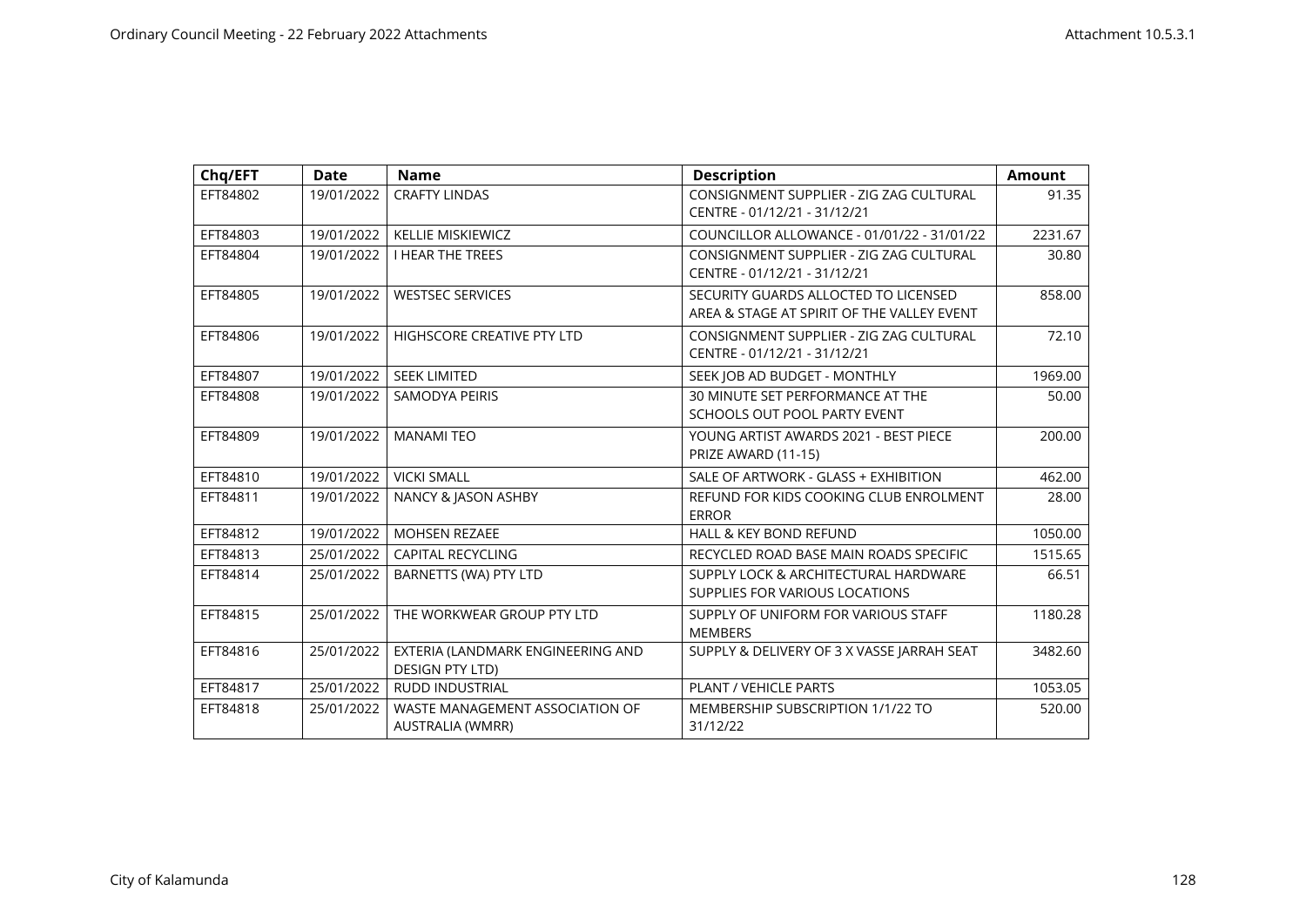| Chq/EFT  | <b>Date</b> | <b>Name</b>                                                 | <b>Description</b>                                                                 | <b>Amount</b> |
|----------|-------------|-------------------------------------------------------------|------------------------------------------------------------------------------------|---------------|
| EFT84802 | 19/01/2022  | <b>CRAFTY LINDAS</b>                                        | CONSIGNMENT SUPPLIER - ZIG ZAG CULTURAL<br>CENTRE - 01/12/21 - 31/12/21            | 91.35         |
| EFT84803 | 19/01/2022  | <b>KELLIE MISKIEWICZ</b>                                    | COUNCILLOR ALLOWANCE - 01/01/22 - 31/01/22                                         | 2231.67       |
| EFT84804 | 19/01/2022  | <b>I HEAR THE TREES</b>                                     | CONSIGNMENT SUPPLIER - ZIG ZAG CULTURAL<br>CENTRE - 01/12/21 - 31/12/21            | 30.80         |
| EFT84805 | 19/01/2022  | <b>WESTSEC SERVICES</b>                                     | SECURITY GUARDS ALLOCTED TO LICENSED<br>AREA & STAGE AT SPIRIT OF THE VALLEY EVENT | 858.00        |
| EFT84806 | 19/01/2022  | <b>HIGHSCORE CREATIVE PTY LTD</b>                           | CONSIGNMENT SUPPLIER - ZIG ZAG CULTURAL<br>CENTRE - 01/12/21 - 31/12/21            | 72.10         |
| EFT84807 | 19/01/2022  | <b>SEEK LIMITED</b>                                         | SEEK JOB AD BUDGET - MONTHLY                                                       | 1969.00       |
| EFT84808 | 19/01/2022  | SAMODYA PEIRIS                                              | 30 MINUTE SET PERFORMANCE AT THE<br>SCHOOLS OUT POOL PARTY EVENT                   | 50.00         |
| EFT84809 | 19/01/2022  | <b>MANAMI TEO</b>                                           | YOUNG ARTIST AWARDS 2021 - BEST PIECE<br>PRIZE AWARD (11-15)                       | 200.00        |
| EFT84810 | 19/01/2022  | <b>VICKI SMALL</b>                                          | SALE OF ARTWORK - GLASS + EXHIBITION                                               | 462.00        |
| EFT84811 | 19/01/2022  | NANCY & JASON ASHBY                                         | REFUND FOR KIDS COOKING CLUB ENROLMENT<br><b>ERROR</b>                             | 28.00         |
| EFT84812 | 19/01/2022  | <b>MOHSEN REZAEE</b>                                        | <b>HALL &amp; KEY BOND REFUND</b>                                                  | 1050.00       |
| EFT84813 | 25/01/2022  | <b>CAPITAL RECYCLING</b>                                    | RECYCLED ROAD BASE MAIN ROADS SPECIFIC                                             | 1515.65       |
| EFT84814 | 25/01/2022  | BARNETTS (WA) PTY LTD                                       | SUPPLY LOCK & ARCHITECTURAL HARDWARE<br>SUPPLIES FOR VARIOUS LOCATIONS             | 66.51         |
| EFT84815 | 25/01/2022  | THE WORKWEAR GROUP PTY LTD                                  | SUPPLY OF UNIFORM FOR VARIOUS STAFF<br><b>MEMBERS</b>                              | 1180.28       |
| EFT84816 | 25/01/2022  | EXTERIA (LANDMARK ENGINEERING AND<br><b>DESIGN PTY LTD)</b> | SUPPLY & DELIVERY OF 3 X VASSE JARRAH SEAT                                         | 3482.60       |
| EFT84817 | 25/01/2022  | <b>RUDD INDUSTRIAL</b>                                      | PLANT / VEHICLE PARTS                                                              | 1053.05       |
| EFT84818 | 25/01/2022  | WASTE MANAGEMENT ASSOCIATION OF<br>AUSTRALIA (WMRR)         | MEMBERSHIP SUBSCRIPTION 1/1/22 TO<br>31/12/22                                      | 520.00        |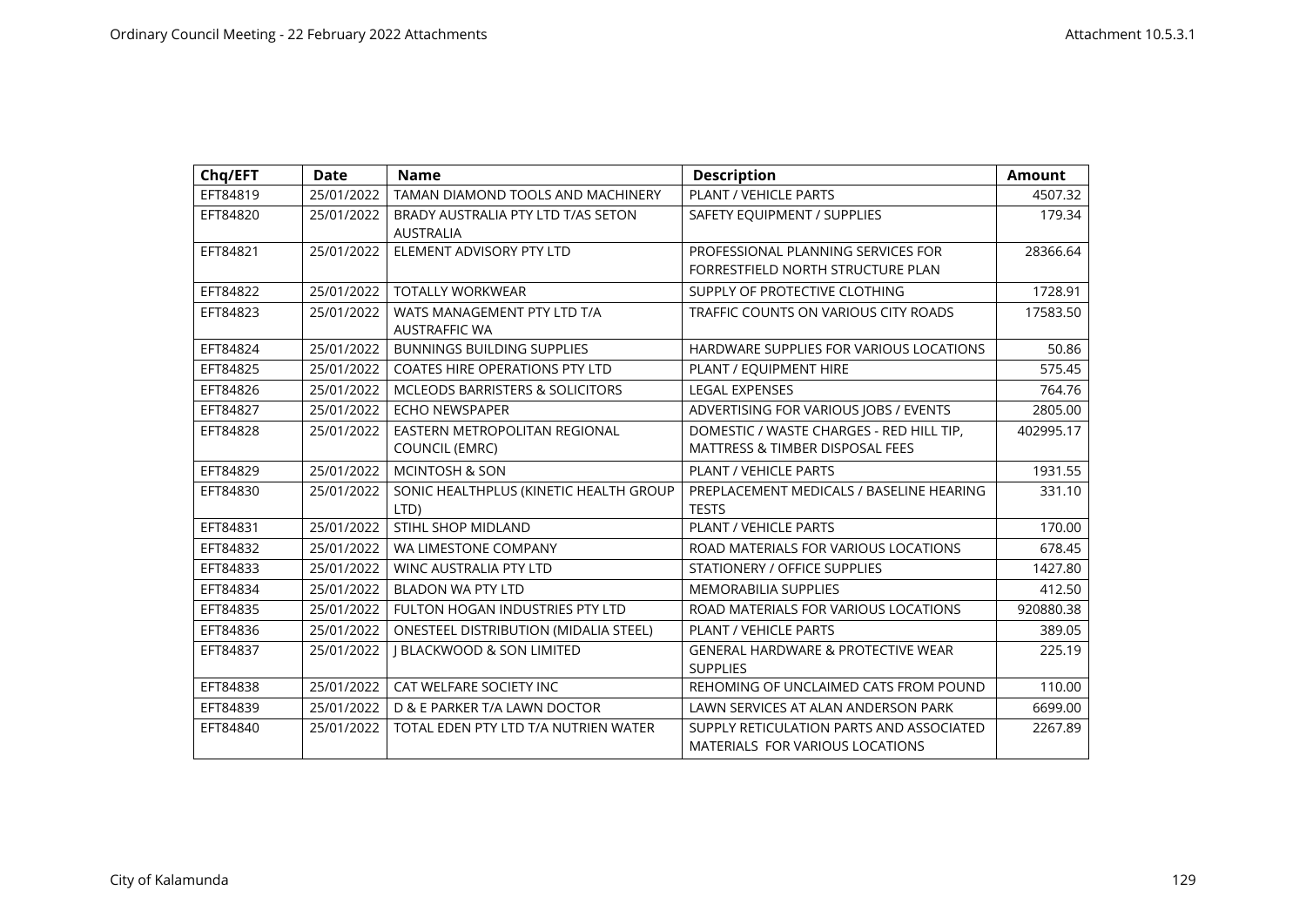| Chq/EFT  | Date       | <b>Name</b>                                            | <b>Description</b>                                                          | <b>Amount</b> |
|----------|------------|--------------------------------------------------------|-----------------------------------------------------------------------------|---------------|
| EFT84819 | 25/01/2022 | TAMAN DIAMOND TOOLS AND MACHINERY                      | PLANT / VEHICLE PARTS                                                       | 4507.32       |
| EFT84820 | 25/01/2022 | BRADY AUSTRALIA PTY LTD T/AS SETON<br><b>AUSTRALIA</b> | SAFETY EQUIPMENT / SUPPLIES                                                 | 179.34        |
| EFT84821 | 25/01/2022 | ELEMENT ADVISORY PTY LTD                               | PROFESSIONAL PLANNING SERVICES FOR<br>FORRESTFIELD NORTH STRUCTURE PLAN     | 28366.64      |
| EFT84822 | 25/01/2022 | <b>TOTALLY WORKWEAR</b>                                | SUPPLY OF PROTECTIVE CLOTHING                                               | 1728.91       |
| EFT84823 | 25/01/2022 | WATS MANAGEMENT PTY LTD T/A<br><b>AUSTRAFFIC WA</b>    | TRAFFIC COUNTS ON VARIOUS CITY ROADS                                        | 17583.50      |
| EFT84824 | 25/01/2022 | <b>BUNNINGS BUILDING SUPPLIES</b>                      | HARDWARE SUPPLIES FOR VARIOUS LOCATIONS                                     | 50.86         |
| EFT84825 | 25/01/2022 | <b>COATES HIRE OPERATIONS PTY LTD</b>                  | PLANT / EQUIPMENT HIRE                                                      | 575.45        |
| EFT84826 | 25/01/2022 | <b>MCLEODS BARRISTERS &amp; SOLICITORS</b>             | <b>LEGAL EXPENSES</b>                                                       | 764.76        |
| EFT84827 | 25/01/2022 | <b>ECHO NEWSPAPER</b>                                  | ADVERTISING FOR VARIOUS JOBS / EVENTS                                       | 2805.00       |
| EFT84828 | 25/01/2022 | EASTERN METROPOLITAN REGIONAL                          | DOMESTIC / WASTE CHARGES - RED HILL TIP,                                    | 402995.17     |
|          |            | <b>COUNCIL (EMRC)</b>                                  | <b>MATTRESS &amp; TIMBER DISPOSAL FEES</b>                                  |               |
| EFT84829 | 25/01/2022 | <b>MCINTOSH &amp; SON</b>                              | PLANT / VEHICLE PARTS                                                       | 1931.55       |
| EFT84830 | 25/01/2022 | SONIC HEALTHPLUS (KINETIC HEALTH GROUP                 | PREPLACEMENT MEDICALS / BASELINE HEARING                                    | 331.10        |
|          |            | LTD)                                                   | <b>TESTS</b>                                                                |               |
| EFT84831 | 25/01/2022 | STIHL SHOP MIDLAND                                     | <b>PLANT / VEHICLE PARTS</b>                                                | 170.00        |
| EFT84832 | 25/01/2022 | WA LIMESTONE COMPANY                                   | ROAD MATERIALS FOR VARIOUS LOCATIONS                                        | 678.45        |
| EFT84833 | 25/01/2022 | <b>WINC AUSTRALIA PTY LTD</b>                          | <b>STATIONERY / OFFICE SUPPLIES</b>                                         | 1427.80       |
| EFT84834 | 25/01/2022 | <b>BLADON WA PTY LTD</b>                               | <b>MEMORABILIA SUPPLIES</b>                                                 | 412.50        |
| EFT84835 | 25/01/2022 | FULTON HOGAN INDUSTRIES PTY LTD                        | ROAD MATERIALS FOR VARIOUS LOCATIONS                                        | 920880.38     |
| EFT84836 | 25/01/2022 | <b>ONESTEEL DISTRIBUTION (MIDALIA STEEL)</b>           | PLANT / VEHICLE PARTS                                                       | 389.05        |
| EFT84837 | 25/01/2022 | J BLACKWOOD & SON LIMITED                              | <b>GENERAL HARDWARE &amp; PROTECTIVE WEAR</b><br><b>SUPPLIES</b>            | 225.19        |
| EFT84838 | 25/01/2022 | CAT WELFARE SOCIETY INC                                | REHOMING OF UNCLAIMED CATS FROM POUND                                       | 110.00        |
| EFT84839 | 25/01/2022 | D & E PARKER T/A LAWN DOCTOR                           | LAWN SERVICES AT ALAN ANDERSON PARK                                         | 6699.00       |
| EFT84840 | 25/01/2022 | TOTAL EDEN PTY LTD T/A NUTRIEN WATER                   | SUPPLY RETICULATION PARTS AND ASSOCIATED<br>MATERIALS FOR VARIOUS LOCATIONS | 2267.89       |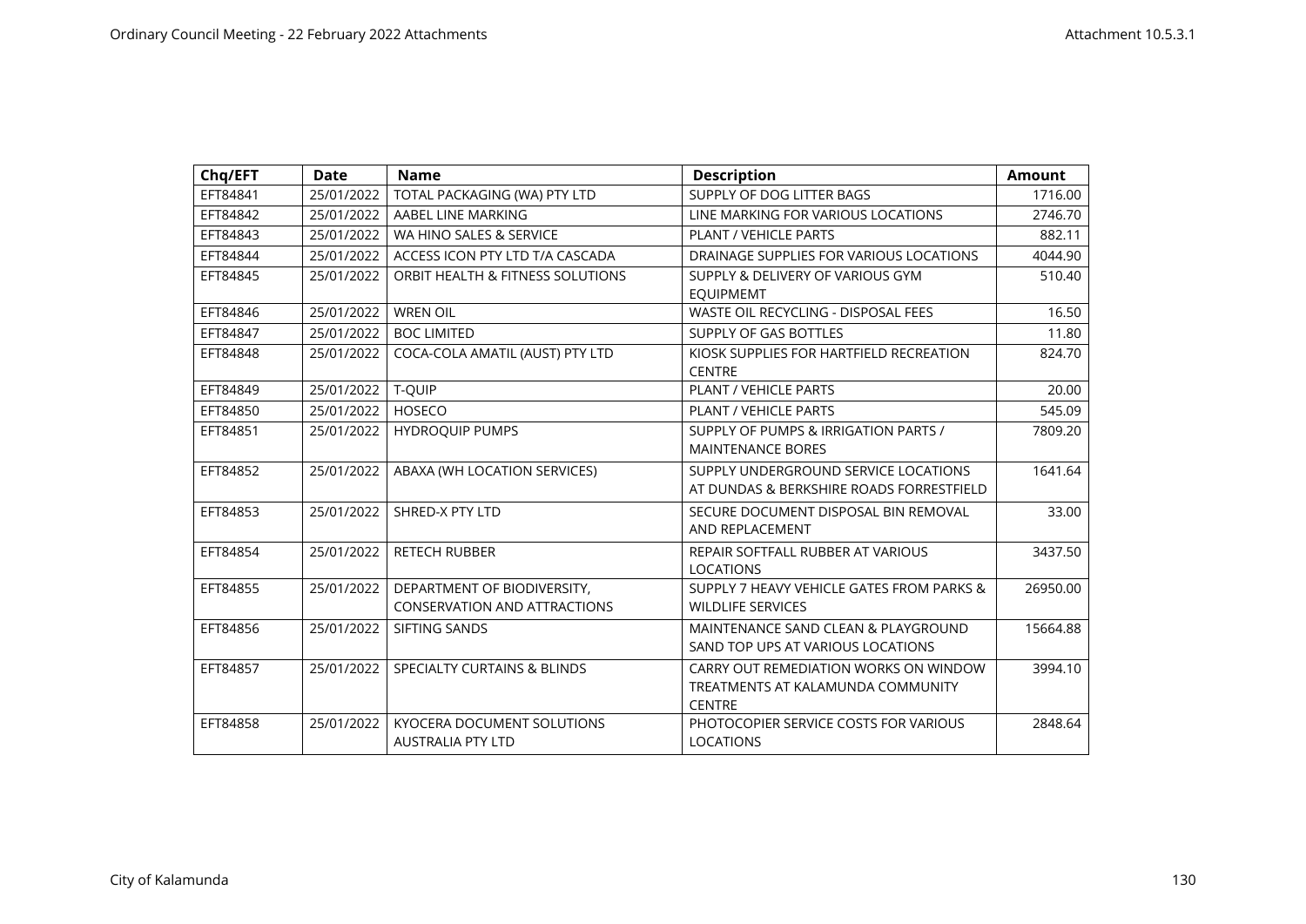| Chq/EFT  | <b>Date</b> | <b>Name</b>                                                        | <b>Description</b>                                                                          | <b>Amount</b> |
|----------|-------------|--------------------------------------------------------------------|---------------------------------------------------------------------------------------------|---------------|
| EFT84841 | 25/01/2022  | TOTAL PACKAGING (WA) PTY LTD                                       | SUPPLY OF DOG LITTER BAGS                                                                   | 1716.00       |
| EFT84842 | 25/01/2022  | AABEL LINE MARKING                                                 | LINE MARKING FOR VARIOUS LOCATIONS                                                          | 2746.70       |
| EFT84843 | 25/01/2022  | WA HINO SALES & SERVICE                                            | <b>PLANT / VEHICLE PARTS</b>                                                                | 882.11        |
| EFT84844 | 25/01/2022  | ACCESS ICON PTY LTD T/A CASCADA                                    | DRAINAGE SUPPLIES FOR VARIOUS LOCATIONS                                                     | 4044.90       |
| EFT84845 | 25/01/2022  | ORBIT HEALTH & FITNESS SOLUTIONS                                   | SUPPLY & DELIVERY OF VARIOUS GYM<br><b>EQUIPMEMT</b>                                        | 510.40        |
| EFT84846 | 25/01/2022  | <b>WREN OIL</b>                                                    | WASTE OIL RECYCLING - DISPOSAL FEES                                                         | 16.50         |
| EFT84847 | 25/01/2022  | <b>BOC LIMITED</b>                                                 | SUPPLY OF GAS BOTTLES                                                                       | 11.80         |
| EFT84848 | 25/01/2022  | COCA-COLA AMATIL (AUST) PTY LTD                                    | KIOSK SUPPLIES FOR HARTFIELD RECREATION<br><b>CENTRE</b>                                    | 824.70        |
| EFT84849 | 25/01/2022  | T-QUIP                                                             | PLANT / VEHICLE PARTS                                                                       | 20.00         |
| EFT84850 | 25/01/2022  | <b>HOSECO</b>                                                      | PLANT / VEHICLE PARTS                                                                       | 545.09        |
| EFT84851 | 25/01/2022  | <b>HYDROQUIP PUMPS</b>                                             | SUPPLY OF PUMPS & IRRIGATION PARTS /<br><b>MAINTENANCE BORES</b>                            | 7809.20       |
| EFT84852 | 25/01/2022  | ABAXA (WH LOCATION SERVICES)                                       | SUPPLY UNDERGROUND SERVICE LOCATIONS<br>AT DUNDAS & BERKSHIRE ROADS FORRESTFIELD            | 1641.64       |
| EFT84853 | 25/01/2022  | SHRED-X PTY LTD                                                    | SECURE DOCUMENT DISPOSAL BIN REMOVAL<br>AND REPLACEMENT                                     | 33.00         |
| EFT84854 | 25/01/2022  | <b>RETECH RUBBER</b>                                               | REPAIR SOFTFALL RUBBER AT VARIOUS<br><b>LOCATIONS</b>                                       | 3437.50       |
| EFT84855 | 25/01/2022  | DEPARTMENT OF BIODIVERSITY,<br><b>CONSERVATION AND ATTRACTIONS</b> | SUPPLY 7 HEAVY VEHICLE GATES FROM PARKS &<br><b>WILDLIFE SERVICES</b>                       | 26950.00      |
| EFT84856 | 25/01/2022  | SIFTING SANDS                                                      | MAINTENANCE SAND CLEAN & PLAYGROUND<br>SAND TOP UPS AT VARIOUS LOCATIONS                    | 15664.88      |
| EFT84857 | 25/01/2022  | <b>SPECIALTY CURTAINS &amp; BLINDS</b>                             | CARRY OUT REMEDIATION WORKS ON WINDOW<br>TREATMENTS AT KALAMUNDA COMMUNITY<br><b>CENTRE</b> | 3994.10       |
| EFT84858 | 25/01/2022  | KYOCERA DOCUMENT SOLUTIONS<br><b>AUSTRALIA PTY LTD</b>             | PHOTOCOPIER SERVICE COSTS FOR VARIOUS<br><b>LOCATIONS</b>                                   | 2848.64       |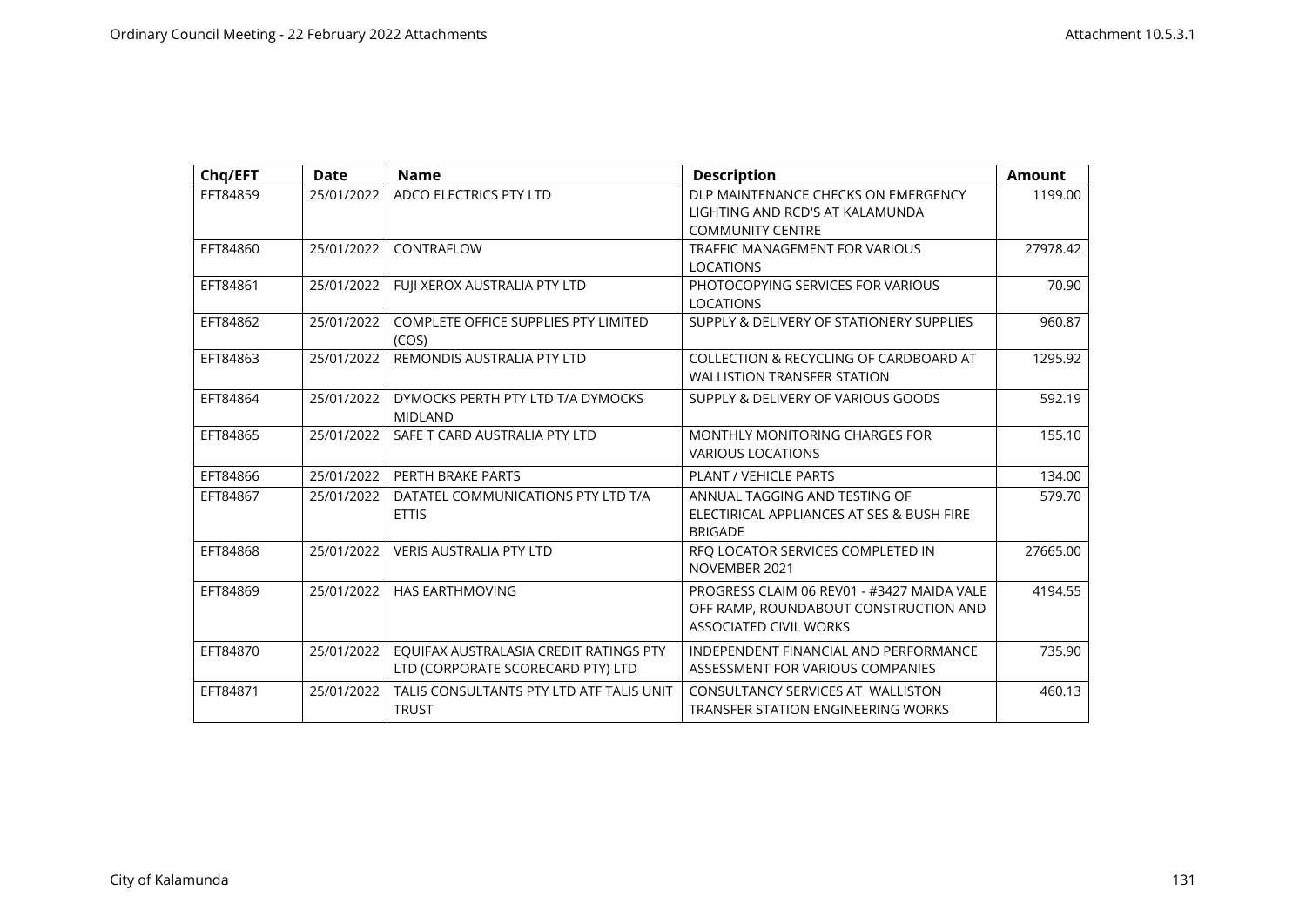| Chq/EFT  | <b>Date</b> | <b>Name</b>                                                                 | <b>Description</b>                                                                                                   | <b>Amount</b> |
|----------|-------------|-----------------------------------------------------------------------------|----------------------------------------------------------------------------------------------------------------------|---------------|
| EFT84859 | 25/01/2022  | ADCO ELECTRICS PTY LTD                                                      | DLP MAINTENANCE CHECKS ON EMERGENCY<br>LIGHTING AND RCD'S AT KALAMUNDA<br><b>COMMUNITY CENTRE</b>                    | 1199.00       |
| EFT84860 | 25/01/2022  | CONTRAFLOW                                                                  | <b>TRAFFIC MANAGEMENT FOR VARIOUS</b><br><b>LOCATIONS</b>                                                            | 27978.42      |
| EFT84861 | 25/01/2022  | FUJI XEROX AUSTRALIA PTY LTD                                                | PHOTOCOPYING SERVICES FOR VARIOUS<br><b>LOCATIONS</b>                                                                | 70.90         |
| EFT84862 | 25/01/2022  | <b>COMPLETE OFFICE SUPPLIES PTY LIMITED</b><br>(COS)                        | SUPPLY & DELIVERY OF STATIONERY SUPPLIES                                                                             | 960.87        |
| EFT84863 | 25/01/2022  | REMONDIS AUSTRALIA PTY LTD                                                  | COLLECTION & RECYCLING OF CARDBOARD AT<br><b>WALLISTION TRANSFER STATION</b>                                         | 1295.92       |
| EFT84864 | 25/01/2022  | DYMOCKS PERTH PTY LTD T/A DYMOCKS<br><b>MIDLAND</b>                         | SUPPLY & DELIVERY OF VARIOUS GOODS                                                                                   | 592.19        |
| EFT84865 | 25/01/2022  | SAFE T CARD AUSTRALIA PTY LTD                                               | MONTHLY MONITORING CHARGES FOR<br><b>VARIOUS LOCATIONS</b>                                                           | 155.10        |
| EFT84866 | 25/01/2022  | PERTH BRAKE PARTS                                                           | <b>PLANT / VEHICLE PARTS</b>                                                                                         | 134.00        |
| EFT84867 | 25/01/2022  | DATATEL COMMUNICATIONS PTY LTD T/A<br><b>ETTIS</b>                          | ANNUAL TAGGING AND TESTING OF<br>ELECTIRICAL APPLIANCES AT SES & BUSH FIRE<br><b>BRIGADE</b>                         | 579.70        |
| EFT84868 | 25/01/2022  | <b>VERIS AUSTRALIA PTY LTD</b>                                              | RFQ LOCATOR SERVICES COMPLETED IN<br>NOVEMBER 2021                                                                   | 27665.00      |
| EFT84869 | 25/01/2022  | <b>HAS EARTHMOVING</b>                                                      | PROGRESS CLAIM 06 REV01 - #3427 MAIDA VALE<br>OFF RAMP, ROUNDABOUT CONSTRUCTION AND<br><b>ASSOCIATED CIVIL WORKS</b> | 4194.55       |
| EFT84870 | 25/01/2022  | EQUIFAX AUSTRALASIA CREDIT RATINGS PTY<br>LTD (CORPORATE SCORECARD PTY) LTD | INDEPENDENT FINANCIAL AND PERFORMANCE<br>ASSESSMENT FOR VARIOUS COMPANIES                                            | 735.90        |
| EFT84871 | 25/01/2022  | TALIS CONSULTANTS PTY LTD ATF TALIS UNIT<br><b>TRUST</b>                    | CONSULTANCY SERVICES AT WALLISTON<br><b>TRANSFER STATION ENGINEERING WORKS</b>                                       | 460.13        |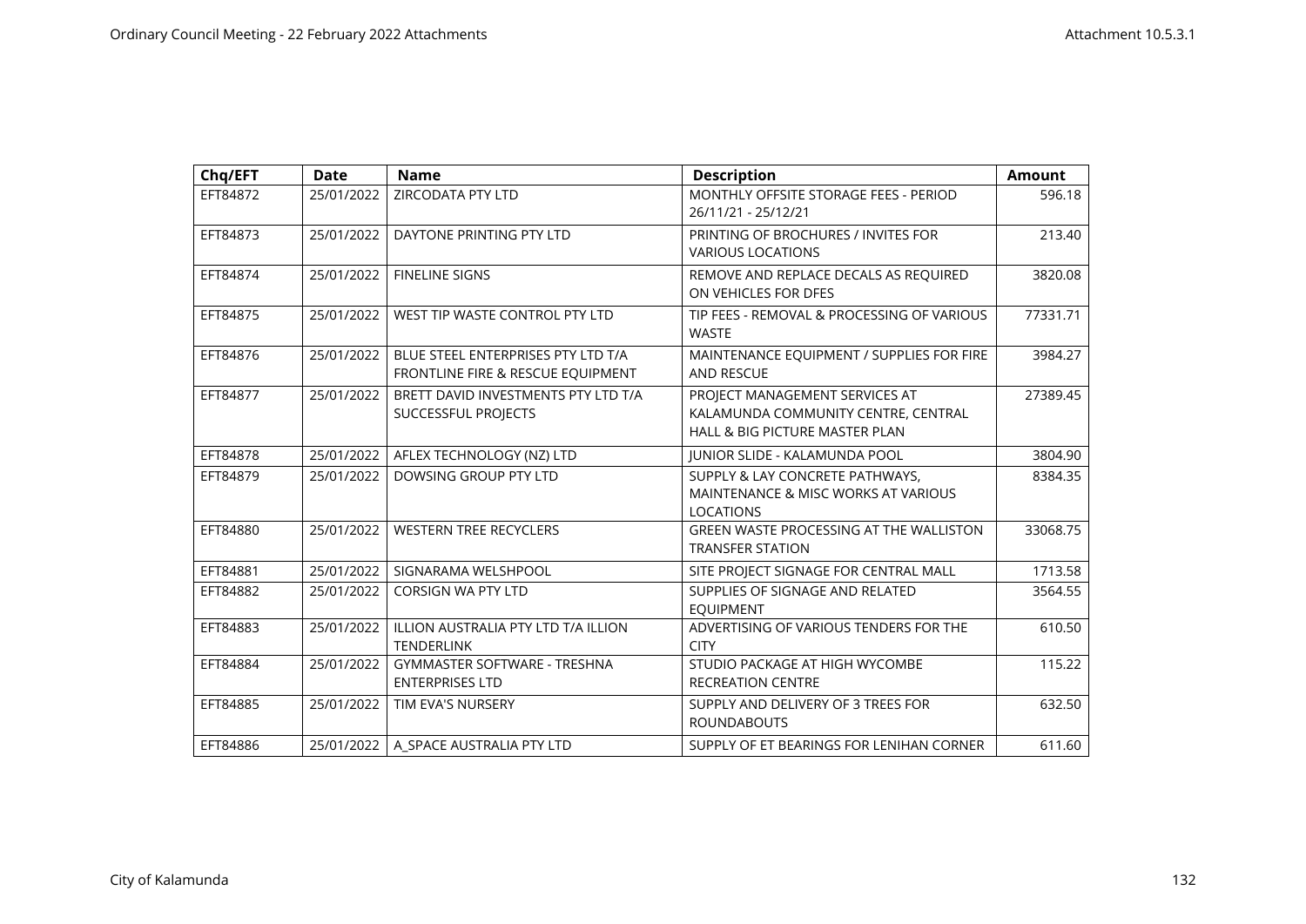| Chq/EFT  | <b>Date</b> | <b>Name</b>                                                             | <b>Description</b>                                                                                                 | <b>Amount</b> |
|----------|-------------|-------------------------------------------------------------------------|--------------------------------------------------------------------------------------------------------------------|---------------|
| EFT84872 | 25/01/2022  | <b>ZIRCODATA PTY LTD</b>                                                | MONTHLY OFFSITE STORAGE FEES - PERIOD<br>26/11/21 - 25/12/21                                                       | 596.18        |
| EFT84873 | 25/01/2022  | DAYTONE PRINTING PTY LTD                                                | PRINTING OF BROCHURES / INVITES FOR<br><b>VARIOUS LOCATIONS</b>                                                    | 213.40        |
| EFT84874 | 25/01/2022  | <b>FINELINE SIGNS</b>                                                   | REMOVE AND REPLACE DECALS AS REQUIRED<br>ON VEHICLES FOR DFES                                                      | 3820.08       |
| EFT84875 | 25/01/2022  | WEST TIP WASTE CONTROL PTY LTD                                          | TIP FEES - REMOVAL & PROCESSING OF VARIOUS<br><b>WASTE</b>                                                         | 77331.71      |
| EFT84876 | 25/01/2022  | BLUE STEEL ENTERPRISES PTY LTD T/A<br>FRONTLINE FIRE & RESCUE EQUIPMENT | MAINTENANCE EQUIPMENT / SUPPLIES FOR FIRE<br><b>AND RESCUE</b>                                                     | 3984.27       |
| EFT84877 | 25/01/2022  | BRETT DAVID INVESTMENTS PTY LTD T/A<br>SUCCESSFUL PROJECTS              | PROJECT MANAGEMENT SERVICES AT<br>KALAMUNDA COMMUNITY CENTRE, CENTRAL<br><b>HALL &amp; BIG PICTURE MASTER PLAN</b> | 27389.45      |
| EFT84878 | 25/01/2022  | AFLEX TECHNOLOGY (NZ) LTD                                               | JUNIOR SLIDE - KALAMUNDA POOL                                                                                      | 3804.90       |
| EFT84879 | 25/01/2022  | DOWSING GROUP PTY LTD                                                   | SUPPLY & LAY CONCRETE PATHWAYS,<br>MAINTENANCE & MISC WORKS AT VARIOUS<br><b>LOCATIONS</b>                         | 8384.35       |
| EFT84880 | 25/01/2022  | <b>WESTERN TREE RECYCLERS</b>                                           | <b>GREEN WASTE PROCESSING AT THE WALLISTON</b><br><b>TRANSFER STATION</b>                                          | 33068.75      |
| EFT84881 | 25/01/2022  | SIGNARAMA WELSHPOOL                                                     | SITE PROJECT SIGNAGE FOR CENTRAL MALL                                                                              | 1713.58       |
| EFT84882 | 25/01/2022  | <b>CORSIGN WA PTY LTD</b>                                               | SUPPLIES OF SIGNAGE AND RELATED<br><b>EQUIPMENT</b>                                                                | 3564.55       |
| EFT84883 | 25/01/2022  | ILLION AUSTRALIA PTY LTD T/A ILLION<br><b>TENDERLINK</b>                | ADVERTISING OF VARIOUS TENDERS FOR THE<br><b>CITY</b>                                                              | 610.50        |
| EFT84884 | 25/01/2022  | <b>GYMMASTER SOFTWARE - TRESHNA</b><br><b>ENTERPRISES LTD</b>           | STUDIO PACKAGE AT HIGH WYCOMBE<br><b>RECREATION CENTRE</b>                                                         | 115.22        |
| EFT84885 | 25/01/2022  | TIM EVA'S NURSERY                                                       | SUPPLY AND DELIVERY OF 3 TREES FOR<br><b>ROUNDABOUTS</b>                                                           | 632.50        |
| EFT84886 | 25/01/2022  | A SPACE AUSTRALIA PTY LTD                                               | SUPPLY OF ET BEARINGS FOR LENIHAN CORNER                                                                           | 611.60        |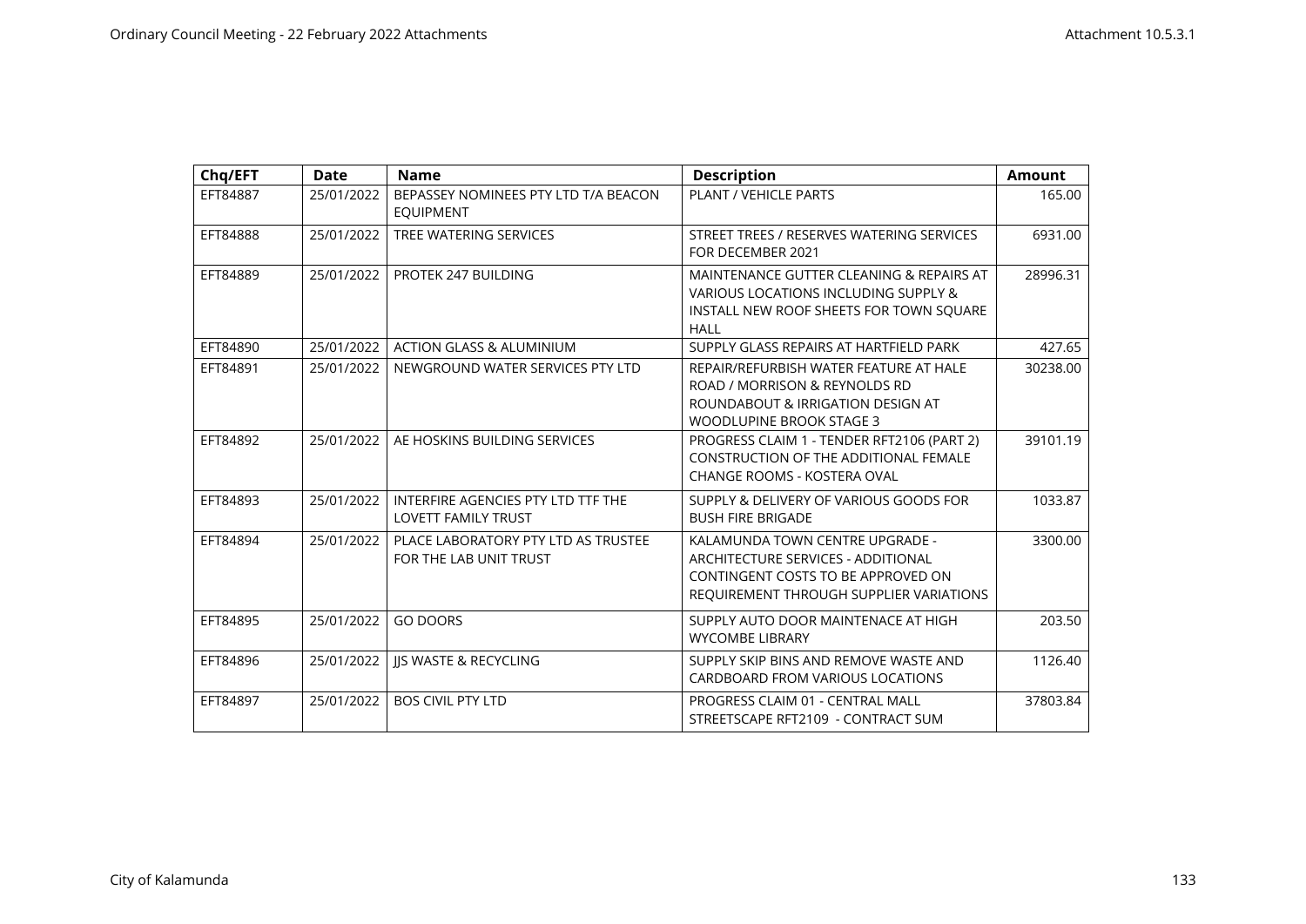| Chq/EFT  | <b>Date</b> | <b>Name</b>                                                      | <b>Description</b>                                                                                                                                     | <b>Amount</b> |
|----------|-------------|------------------------------------------------------------------|--------------------------------------------------------------------------------------------------------------------------------------------------------|---------------|
| EFT84887 | 25/01/2022  | BEPASSEY NOMINEES PTY LTD T/A BEACON<br><b>EQUIPMENT</b>         | PLANT / VEHICLE PARTS                                                                                                                                  | 165.00        |
| EFT84888 | 25/01/2022  | TREE WATERING SERVICES                                           | STREET TREES / RESERVES WATERING SERVICES<br>FOR DECEMBER 2021                                                                                         | 6931.00       |
| EFT84889 | 25/01/2022  | PROTEK 247 BUILDING                                              | MAINTENANCE GUTTER CLEANING & REPAIRS AT<br>VARIOUS LOCATIONS INCLUDING SUPPLY &<br>INSTALL NEW ROOF SHEETS FOR TOWN SQUARE<br><b>HALL</b>             | 28996.31      |
| EFT84890 | 25/01/2022  | <b>ACTION GLASS &amp; ALUMINIUM</b>                              | SUPPLY GLASS REPAIRS AT HARTFIELD PARK                                                                                                                 | 427.65        |
| EFT84891 | 25/01/2022  | NEWGROUND WATER SERVICES PTY LTD                                 | REPAIR/REFURBISH WATER FEATURE AT HALE<br>ROAD / MORRISON & REYNOLDS RD<br>ROUNDABOUT & IRRIGATION DESIGN AT<br><b>WOODLUPINE BROOK STAGE 3</b>        | 30238.00      |
| EFT84892 | 25/01/2022  | AE HOSKINS BUILDING SERVICES                                     | PROGRESS CLAIM 1 - TENDER RFT2106 (PART 2)<br>CONSTRUCTION OF THE ADDITIONAL FEMALE<br><b>CHANGE ROOMS - KOSTERA OVAL</b>                              | 39101.19      |
| EFT84893 | 25/01/2022  | INTERFIRE AGENCIES PTY LTD TTF THE<br><b>LOVETT FAMILY TRUST</b> | SUPPLY & DELIVERY OF VARIOUS GOODS FOR<br><b>BUSH FIRE BRIGADE</b>                                                                                     | 1033.87       |
| EFT84894 | 25/01/2022  | PLACE LABORATORY PTY LTD AS TRUSTEE<br>FOR THE LAB UNIT TRUST    | KALAMUNDA TOWN CENTRE UPGRADE -<br>ARCHITECTURE SERVICES - ADDITIONAL<br>CONTINGENT COSTS TO BE APPROVED ON<br>REQUIREMENT THROUGH SUPPLIER VARIATIONS | 3300.00       |
| EFT84895 | 25/01/2022  | <b>GO DOORS</b>                                                  | SUPPLY AUTO DOOR MAINTENACE AT HIGH<br><b>WYCOMBE LIBRARY</b>                                                                                          | 203.50        |
| EFT84896 | 25/01/2022  | <b>IS WASTE &amp; RECYCLING</b>                                  | SUPPLY SKIP BINS AND REMOVE WASTE AND<br>CARDBOARD FROM VARIOUS LOCATIONS                                                                              | 1126.40       |
| EFT84897 | 25/01/2022  | <b>BOS CIVIL PTY LTD</b>                                         | PROGRESS CLAIM 01 - CENTRAL MALL<br>STREETSCAPE RFT2109 - CONTRACT SUM                                                                                 | 37803.84      |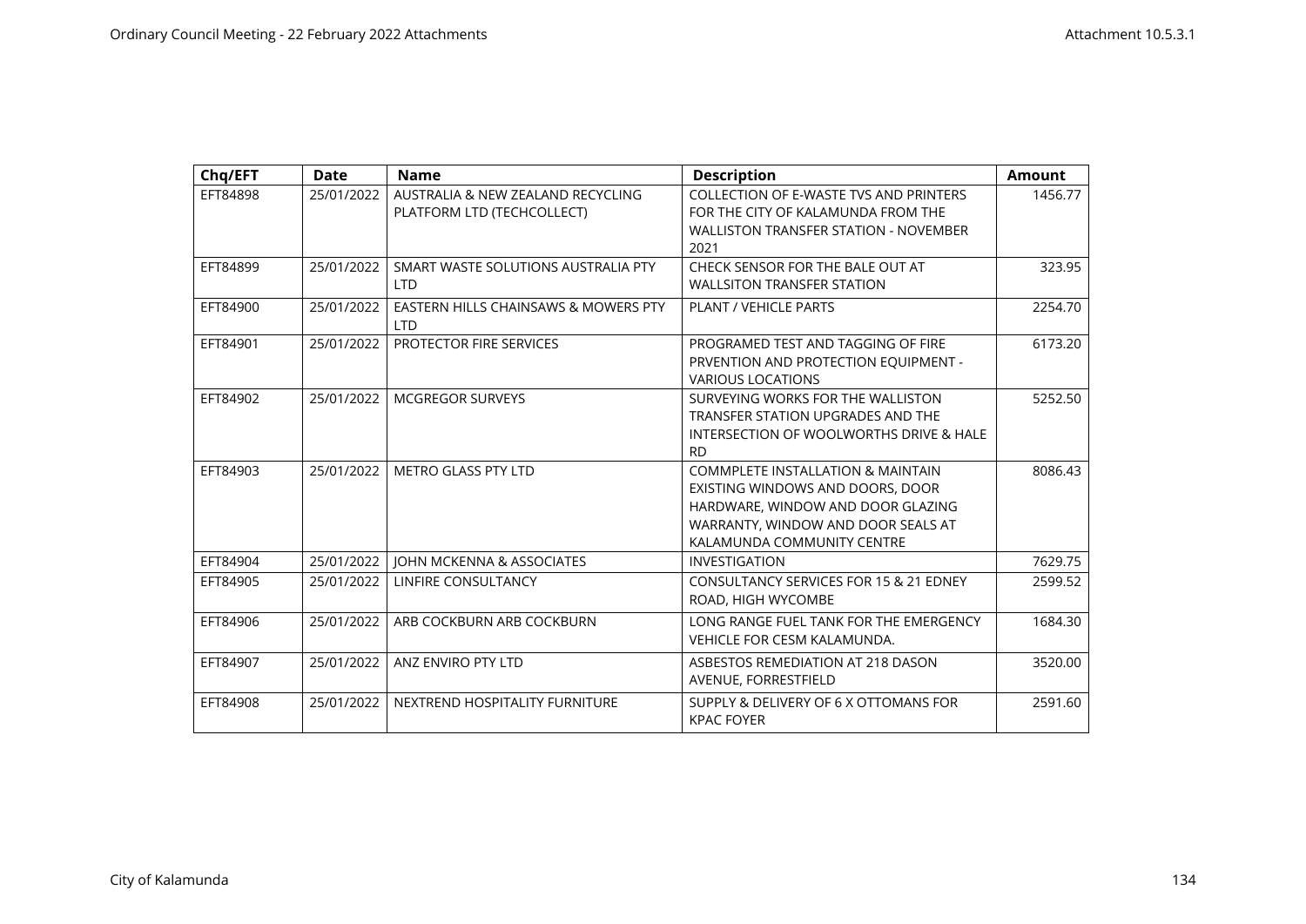| Chq/EFT  | <b>Date</b> | <b>Name</b>                                                     | <b>Description</b>                                                                                                                                                                        | <b>Amount</b> |
|----------|-------------|-----------------------------------------------------------------|-------------------------------------------------------------------------------------------------------------------------------------------------------------------------------------------|---------------|
| EFT84898 | 25/01/2022  | AUSTRALIA & NEW ZEALAND RECYCLING<br>PLATFORM LTD (TECHCOLLECT) | <b>COLLECTION OF E-WASTE TVS AND PRINTERS</b><br>FOR THE CITY OF KALAMUNDA FROM THE<br><b>WALLISTON TRANSFER STATION - NOVEMBER</b><br>2021                                               | 1456.77       |
| EFT84899 | 25/01/2022  | SMART WASTE SOLUTIONS AUSTRALIA PTY<br><b>LTD</b>               | CHECK SENSOR FOR THE BALE OUT AT<br><b>WALLSITON TRANSFER STATION</b>                                                                                                                     | 323.95        |
| EFT84900 | 25/01/2022  | EASTERN HILLS CHAINSAWS & MOWERS PTY<br>I TD                    | PLANT / VEHICLE PARTS                                                                                                                                                                     | 2254.70       |
| EFT84901 | 25/01/2022  | PROTECTOR FIRE SERVICES                                         | PROGRAMED TEST AND TAGGING OF FIRE<br>PRVENTION AND PROTECTION EQUIPMENT -<br><b>VARIOUS LOCATIONS</b>                                                                                    | 6173.20       |
| EFT84902 | 25/01/2022  | <b>MCGREGOR SURVEYS</b>                                         | SURVEYING WORKS FOR THE WALLISTON<br>TRANSFER STATION UPGRADES AND THE<br>INTERSECTION OF WOOLWORTHS DRIVE & HALE<br><b>RD</b>                                                            | 5252.50       |
| EFT84903 | 25/01/2022  | <b>METRO GLASS PTY LTD</b>                                      | <b>COMMPLETE INSTALLATION &amp; MAINTAIN</b><br>EXISTING WINDOWS AND DOORS, DOOR<br>HARDWARE, WINDOW AND DOOR GLAZING<br>WARRANTY, WINDOW AND DOOR SEALS AT<br>KALAMUNDA COMMUNITY CENTRE | 8086.43       |
| EFT84904 | 25/01/2022  | JOHN MCKENNA & ASSOCIATES                                       | <b>INVESTIGATION</b>                                                                                                                                                                      | 7629.75       |
| EFT84905 | 25/01/2022  | LINFIRE CONSULTANCY                                             | <b>CONSULTANCY SERVICES FOR 15 &amp; 21 EDNEY</b><br>ROAD, HIGH WYCOMBE                                                                                                                   | 2599.52       |
| EFT84906 | 25/01/2022  | ARB COCKBURN ARB COCKBURN                                       | LONG RANGE FUEL TANK FOR THE EMERGENCY<br><b>VEHICLE FOR CESM KALAMUNDA.</b>                                                                                                              | 1684.30       |
| EFT84907 | 25/01/2022  | ANZ ENVIRO PTY LTD                                              | ASBESTOS REMEDIATION AT 218 DASON<br>AVENUE, FORRESTFIELD                                                                                                                                 | 3520.00       |
| EFT84908 | 25/01/2022  | NEXTREND HOSPITALITY FURNITURE                                  | SUPPLY & DELIVERY OF 6 X OTTOMANS FOR<br><b>KPAC FOYER</b>                                                                                                                                | 2591.60       |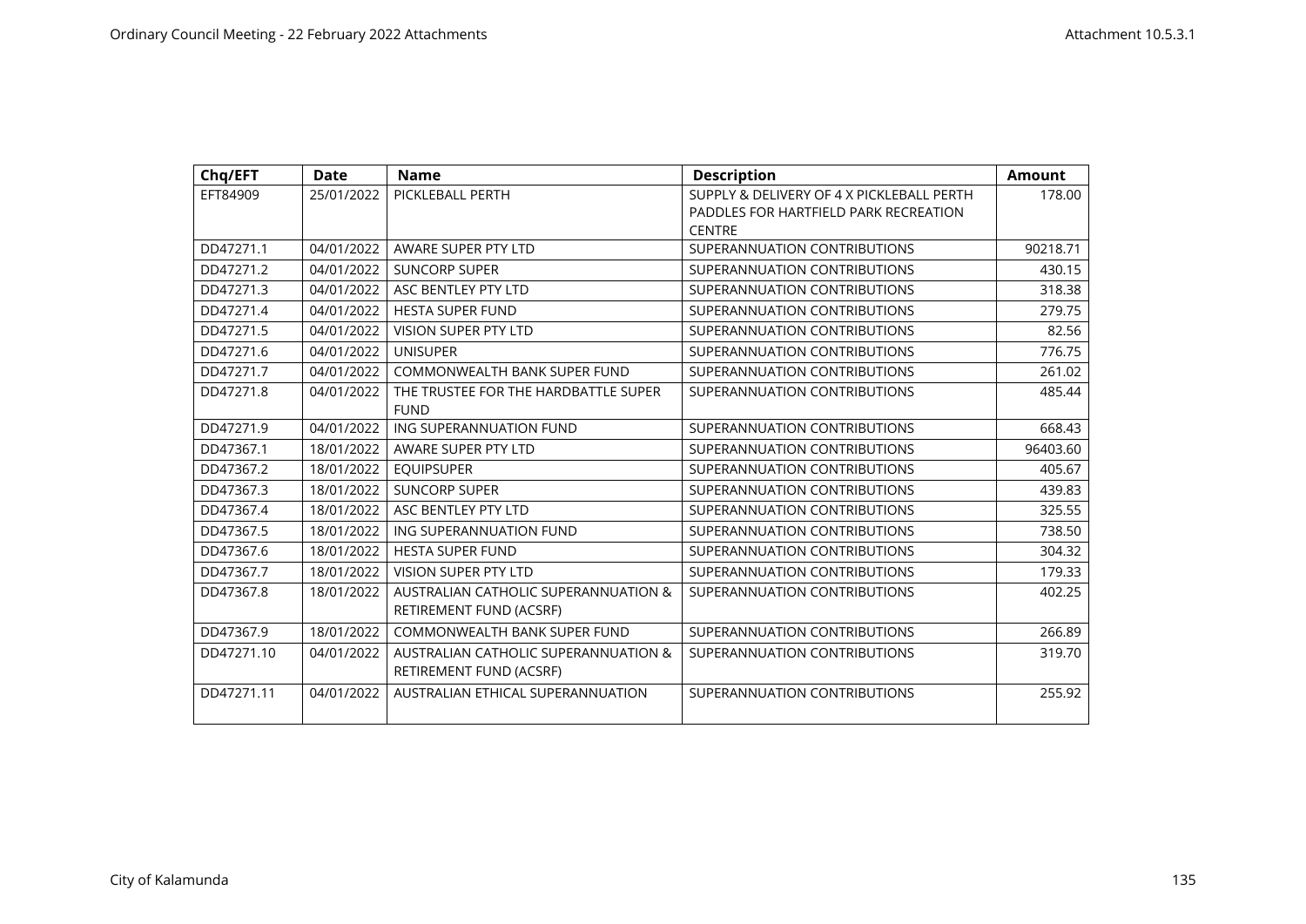| Chq/EFT    | <b>Date</b> | <b>Name</b>                                     | <b>Description</b>                        | <b>Amount</b> |
|------------|-------------|-------------------------------------------------|-------------------------------------------|---------------|
| EFT84909   | 25/01/2022  | PICKLEBALL PERTH                                | SUPPLY & DELIVERY OF 4 X PICKLEBALL PERTH | 178.00        |
|            |             |                                                 | PADDLES FOR HARTFIELD PARK RECREATION     |               |
|            |             |                                                 | <b>CENTRE</b>                             |               |
| DD47271.1  | 04/01/2022  | AWARE SUPER PTY LTD                             | SUPERANNUATION CONTRIBUTIONS              | 90218.71      |
| DD47271.2  | 04/01/2022  | <b>SUNCORP SUPER</b>                            | SUPERANNUATION CONTRIBUTIONS              | 430.15        |
| DD47271.3  | 04/01/2022  | ASC BENTLEY PTY LTD                             | SUPERANNUATION CONTRIBUTIONS              | 318.38        |
| DD47271.4  | 04/01/2022  | <b>HESTA SUPER FUND</b>                         | SUPERANNUATION CONTRIBUTIONS              | 279.75        |
| DD47271.5  | 04/01/2022  | <b>VISION SUPER PTY LTD</b>                     | SUPERANNUATION CONTRIBUTIONS              | 82.56         |
| DD47271.6  | 04/01/2022  | <b>UNISUPER</b>                                 | SUPERANNUATION CONTRIBUTIONS              | 776.75        |
| DD47271.7  | 04/01/2022  | COMMONWEALTH BANK SUPER FUND                    | SUPERANNUATION CONTRIBUTIONS              | 261.02        |
| DD47271.8  | 04/01/2022  | THE TRUSTEE FOR THE HARDBATTLE SUPER            | SUPERANNUATION CONTRIBUTIONS              | 485.44        |
|            |             | <b>FUND</b>                                     |                                           |               |
| DD47271.9  | 04/01/2022  | ING SUPERANNUATION FUND                         | SUPERANNUATION CONTRIBUTIONS              | 668.43        |
| DD47367.1  | 18/01/2022  | AWARE SUPER PTY LTD                             | SUPERANNUATION CONTRIBUTIONS              | 96403.60      |
| DD47367.2  | 18/01/2022  | <b>EQUIPSUPER</b>                               | SUPERANNUATION CONTRIBUTIONS              | 405.67        |
| DD47367.3  | 18/01/2022  | <b>SUNCORP SUPER</b>                            | SUPERANNUATION CONTRIBUTIONS              | 439.83        |
| DD47367.4  | 18/01/2022  | ASC BENTLEY PTY LTD                             | SUPERANNUATION CONTRIBUTIONS              | 325.55        |
| DD47367.5  | 18/01/2022  | ING SUPERANNUATION FUND                         | SUPERANNUATION CONTRIBUTIONS              | 738.50        |
| DD47367.6  | 18/01/2022  | <b>HESTA SUPER FUND</b>                         | SUPERANNUATION CONTRIBUTIONS              | 304.32        |
| DD47367.7  | 18/01/2022  | <b>VISION SUPER PTY LTD</b>                     | SUPERANNUATION CONTRIBUTIONS              | 179.33        |
| DD47367.8  | 18/01/2022  | <b>AUSTRALIAN CATHOLIC SUPERANNUATION &amp;</b> | SUPERANNUATION CONTRIBUTIONS              | 402.25        |
|            |             | RETIREMENT FUND (ACSRF)                         |                                           |               |
| DD47367.9  | 18/01/2022  | COMMONWEALTH BANK SUPER FUND                    | SUPERANNUATION CONTRIBUTIONS              | 266.89        |
| DD47271.10 | 04/01/2022  | AUSTRALIAN CATHOLIC SUPERANNUATION &            | SUPERANNUATION CONTRIBUTIONS              | 319.70        |
|            |             | RETIREMENT FUND (ACSRF)                         |                                           |               |
| DD47271.11 | 04/01/2022  | AUSTRALIAN ETHICAL SUPERANNUATION               | SUPERANNUATION CONTRIBUTIONS              | 255.92        |
|            |             |                                                 |                                           |               |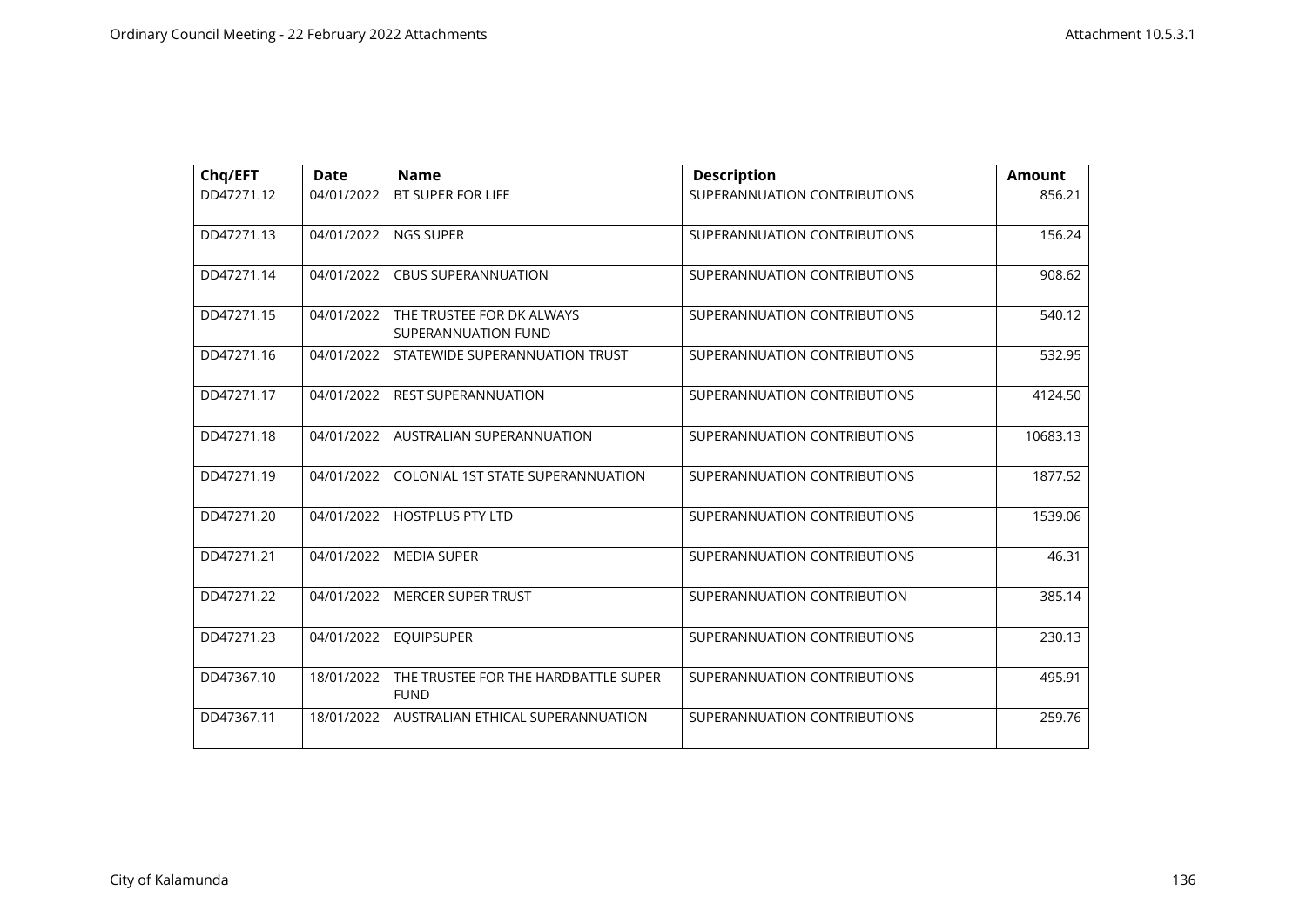| Chq/EFT    | <b>Date</b> | <b>Name</b>                                         | <b>Description</b>           | <b>Amount</b> |
|------------|-------------|-----------------------------------------------------|------------------------------|---------------|
| DD47271.12 | 04/01/2022  | <b>BT SUPER FOR LIFE</b>                            | SUPERANNUATION CONTRIBUTIONS | 856.21        |
| DD47271.13 | 04/01/2022  | <b>NGS SUPER</b>                                    | SUPERANNUATION CONTRIBUTIONS | 156.24        |
| DD47271.14 | 04/01/2022  | <b>CBUS SUPERANNUATION</b>                          | SUPERANNUATION CONTRIBUTIONS | 908.62        |
| DD47271.15 | 04/01/2022  | THE TRUSTEE FOR DK ALWAYS<br>SUPERANNUATION FUND    | SUPERANNUATION CONTRIBUTIONS | 540.12        |
| DD47271.16 | 04/01/2022  | STATEWIDE SUPERANNUATION TRUST                      | SUPERANNUATION CONTRIBUTIONS | 532.95        |
| DD47271.17 | 04/01/2022  | <b>REST SUPERANNUATION</b>                          | SUPERANNUATION CONTRIBUTIONS | 4124.50       |
| DD47271.18 | 04/01/2022  | AUSTRALIAN SUPERANNUATION                           | SUPERANNUATION CONTRIBUTIONS | 10683.13      |
| DD47271.19 | 04/01/2022  | COLONIAL 1ST STATE SUPERANNUATION                   | SUPERANNUATION CONTRIBUTIONS | 1877.52       |
| DD47271.20 | 04/01/2022  | <b>HOSTPLUS PTY LTD</b>                             | SUPERANNUATION CONTRIBUTIONS | 1539.06       |
| DD47271.21 | 04/01/2022  | <b>MEDIA SUPER</b>                                  | SUPERANNUATION CONTRIBUTIONS | 46.31         |
| DD47271.22 | 04/01/2022  | <b>MERCER SUPER TRUST</b>                           | SUPERANNUATION CONTRIBUTION  | 385.14        |
| DD47271.23 | 04/01/2022  | <b>EQUIPSUPER</b>                                   | SUPERANNUATION CONTRIBUTIONS | 230.13        |
| DD47367.10 | 18/01/2022  | THE TRUSTEE FOR THE HARDBATTLE SUPER<br><b>FUND</b> | SUPERANNUATION CONTRIBUTIONS | 495.91        |
| DD47367.11 | 18/01/2022  | AUSTRALIAN ETHICAL SUPERANNUATION                   | SUPERANNUATION CONTRIBUTIONS | 259.76        |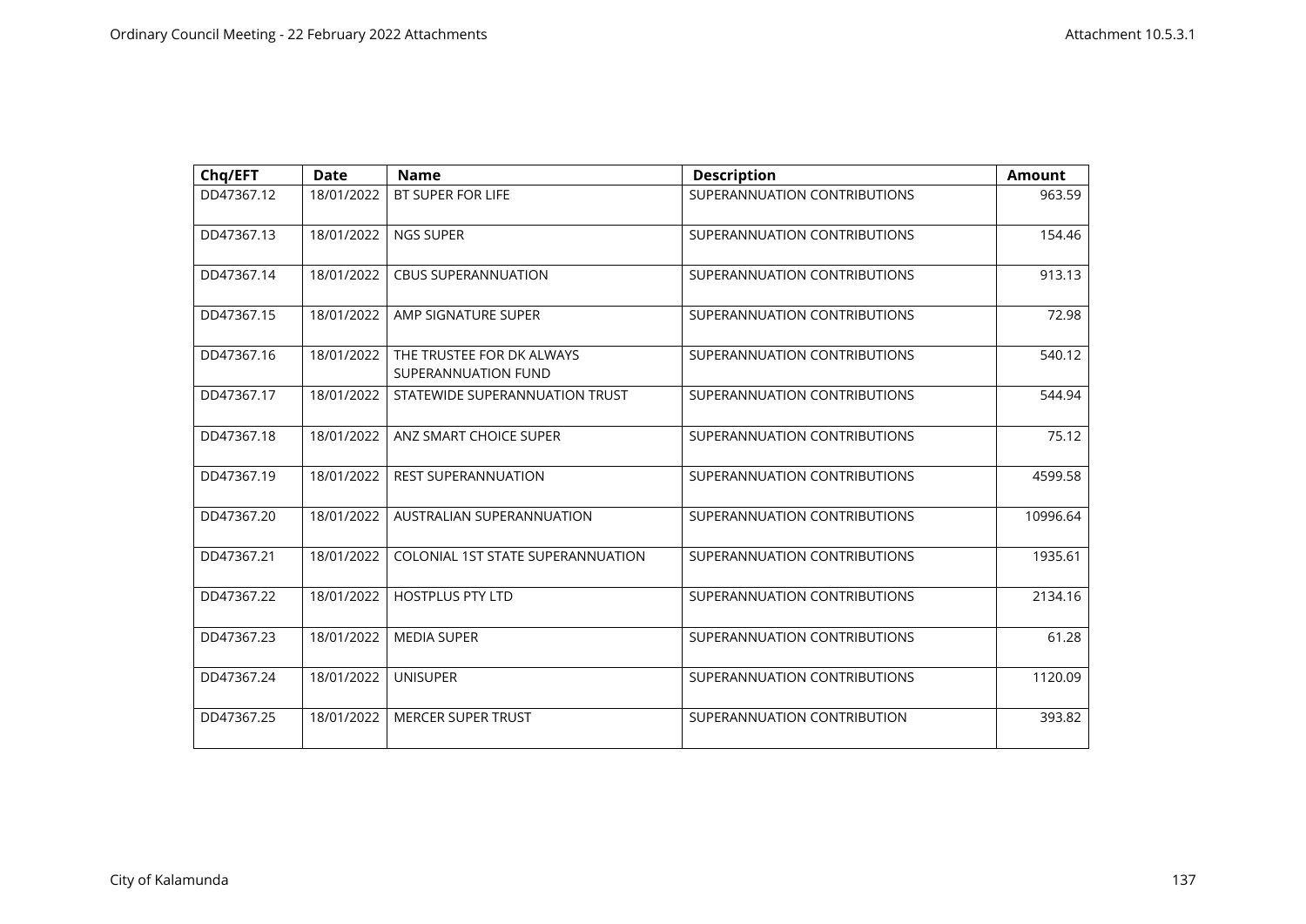| Chq/EFT    | <b>Date</b> | <b>Name</b>                                      | <b>Description</b>           | <b>Amount</b> |
|------------|-------------|--------------------------------------------------|------------------------------|---------------|
| DD47367.12 | 18/01/2022  | <b>BT SUPER FOR LIFE</b>                         | SUPERANNUATION CONTRIBUTIONS | 963.59        |
| DD47367.13 | 18/01/2022  | NGS SUPER                                        | SUPERANNUATION CONTRIBUTIONS | 154.46        |
| DD47367.14 | 18/01/2022  | <b>CBUS SUPERANNUATION</b>                       | SUPERANNUATION CONTRIBUTIONS | 913.13        |
| DD47367.15 | 18/01/2022  | AMP SIGNATURE SUPER                              | SUPERANNUATION CONTRIBUTIONS | 72.98         |
| DD47367.16 | 18/01/2022  | THE TRUSTEE FOR DK ALWAYS<br>SUPERANNUATION FUND | SUPERANNUATION CONTRIBUTIONS | 540.12        |
| DD47367.17 | 18/01/2022  | STATEWIDE SUPERANNUATION TRUST                   | SUPERANNUATION CONTRIBUTIONS | 544.94        |
| DD47367.18 | 18/01/2022  | ANZ SMART CHOICE SUPER                           | SUPERANNUATION CONTRIBUTIONS | 75.12         |
| DD47367.19 | 18/01/2022  | <b>REST SUPERANNUATION</b>                       | SUPERANNUATION CONTRIBUTIONS | 4599.58       |
| DD47367.20 | 18/01/2022  | AUSTRALIAN SUPERANNUATION                        | SUPERANNUATION CONTRIBUTIONS | 10996.64      |
| DD47367.21 | 18/01/2022  | COLONIAL 1ST STATE SUPERANNUATION                | SUPERANNUATION CONTRIBUTIONS | 1935.61       |
| DD47367.22 | 18/01/2022  | <b>HOSTPLUS PTY LTD</b>                          | SUPERANNUATION CONTRIBUTIONS | 2134.16       |
| DD47367.23 | 18/01/2022  | <b>MEDIA SUPER</b>                               | SUPERANNUATION CONTRIBUTIONS | 61.28         |
| DD47367.24 | 18/01/2022  | <b>UNISUPER</b>                                  | SUPERANNUATION CONTRIBUTIONS | 1120.09       |
| DD47367.25 | 18/01/2022  | <b>MERCER SUPER TRUST</b>                        | SUPERANNUATION CONTRIBUTION  | 393.82        |